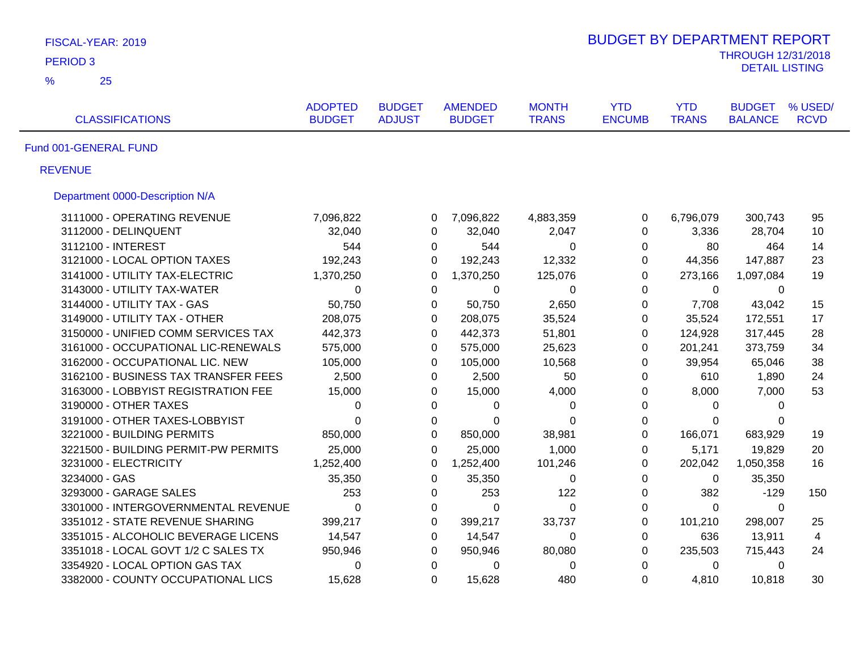| FISCAL-YEAR: 2019                    |                                 |                                |                                 |                              | <b>BUDGET BY DEPARTMENT REPORT</b> |                            |                                                    |                        |
|--------------------------------------|---------------------------------|--------------------------------|---------------------------------|------------------------------|------------------------------------|----------------------------|----------------------------------------------------|------------------------|
| <b>PERIOD 3</b>                      |                                 |                                |                                 |                              |                                    |                            | <b>THROUGH 12/31/2018</b><br><b>DETAIL LISTING</b> |                        |
| $\frac{9}{6}$<br>25                  |                                 |                                |                                 |                              |                                    |                            |                                                    |                        |
| <b>CLASSIFICATIONS</b>               | <b>ADOPTED</b><br><b>BUDGET</b> | <b>BUDGET</b><br><b>ADJUST</b> | <b>AMENDED</b><br><b>BUDGET</b> | <b>MONTH</b><br><b>TRANS</b> | <b>YTD</b><br><b>ENCUMB</b>        | <b>YTD</b><br><b>TRANS</b> | <b>BUDGET</b><br><b>BALANCE</b>                    | % USED/<br><b>RCVD</b> |
| Fund 001-GENERAL FUND                |                                 |                                |                                 |                              |                                    |                            |                                                    |                        |
| <b>REVENUE</b>                       |                                 |                                |                                 |                              |                                    |                            |                                                    |                        |
| Department 0000-Description N/A      |                                 |                                |                                 |                              |                                    |                            |                                                    |                        |
| 3111000 - OPERATING REVENUE          | 7,096,822                       | 0                              | 7,096,822                       | 4,883,359                    | $\mathbf 0$                        | 6,796,079                  | 300,743                                            | 95                     |
| 3112000 - DELINQUENT                 | 32,040                          | 0                              | 32,040                          | 2,047                        | $\mathbf 0$                        | 3,336                      | 28,704                                             | 10                     |
| 3112100 - INTEREST                   | 544                             | 0                              | 544                             | $\mathbf 0$                  | 0                                  | 80                         | 464                                                | 14                     |
| 3121000 - LOCAL OPTION TAXES         | 192,243                         | $\Omega$                       | 192,243                         | 12,332                       | 0                                  | 44,356                     | 147,887                                            | 23                     |
| 3141000 - UTILITY TAX-ELECTRIC       | 1,370,250                       | 0                              | 1,370,250                       | 125,076                      | $\mathbf 0$                        | 273,166                    | 1,097,084                                          | 19                     |
| 3143000 - UTILITY TAX-WATER          | 0                               | $\mathbf{0}$                   | $\Omega$                        | 0                            | $\Omega$                           | $\mathbf{0}$               | $\Omega$                                           |                        |
| 3144000 - UTILITY TAX - GAS          | 50,750                          | 0                              | 50,750                          | 2,650                        | $\mathbf 0$                        | 7,708                      | 43,042                                             | 15                     |
| 3149000 - UTILITY TAX - OTHER        | 208,075                         | 0                              | 208,075                         | 35,524                       | 0                                  | 35,524                     | 172,551                                            | 17                     |
| 3150000 - UNIFIED COMM SERVICES TAX  | 442,373                         | $\mathbf 0$                    | 442,373                         | 51,801                       | $\mathbf 0$                        | 124,928                    | 317,445                                            | 28                     |
| 3161000 - OCCUPATIONAL LIC-RENEWALS  | 575,000                         | $\Omega$                       | 575,000                         | 25,623                       | $\Omega$                           | 201,241                    | 373,759                                            | 34                     |
| 3162000 - OCCUPATIONAL LIC. NEW      | 105,000                         | $\Omega$                       | 105,000                         | 10,568                       | $\Omega$                           | 39,954                     | 65,046                                             | 38                     |
| 3162100 - BUSINESS TAX TRANSFER FEES | 2,500                           | 0                              | 2,500                           | 50                           | 0                                  | 610                        | 1,890                                              | 24                     |
| 3163000 - LOBBYIST REGISTRATION FEE  | 15,000                          | $\Omega$                       | 15,000                          | 4,000                        | $\Omega$                           | 8,000                      | 7,000                                              | 53                     |
| 3190000 - OTHER TAXES                | 0                               | 0                              | 0                               | 0                            | 0                                  | 0                          | $\Omega$                                           |                        |
| 3191000 - OTHER TAXES-LOBBYIST       | $\Omega$                        | $\mathbf{0}$                   | 0                               | $\Omega$                     | $\mathbf{0}$                       | 0                          | 0                                                  |                        |
| 3221000 - BUILDING PERMITS           | 850,000                         | 0                              | 850,000                         | 38,981                       | 0                                  | 166,071                    | 683,929                                            | 19                     |
| 3221500 - BUILDING PERMIT-PW PERMITS | 25,000                          | $\mathbf{0}$                   | 25,000                          | 1,000                        | $\mathbf 0$                        | 5,171                      | 19,829                                             | 20                     |
| 3231000 - ELECTRICITY                | 1,252,400                       | 0                              | 1,252,400                       | 101,246                      | 0                                  | 202,042                    | 1,050,358                                          | 16                     |
| 3234000 - GAS                        | 35,350                          | 0                              | 35,350                          | $\mathbf 0$                  | 0                                  | 0                          | 35,350                                             |                        |
| 3293000 - GARAGE SALES               | 253                             | 0                              | 253                             | 122                          | $\boldsymbol{0}$                   | 382                        | $-129$                                             | 150                    |
| 3301000 - INTERGOVERNMENTAL REVENUE  | 0                               | 0                              | $\mathbf 0$                     | $\mathbf 0$                  | $\mathbf 0$                        | 0                          | 0                                                  |                        |
| 3351012 - STATE REVENUE SHARING      | 399,217                         | 0                              | 399,217                         | 33,737                       | 0                                  | 101,210                    | 298,007                                            | 25                     |
| 3351015 - ALCOHOLIC BEVERAGE LICENS  | 14,547                          | $\mathbf 0$                    | 14,547                          | $\mathbf 0$                  | 0                                  | 636                        | 13,911                                             | $\overline{4}$         |
| 3351018 - LOCAL GOVT 1/2 C SALES TX  | 950,946                         | 0                              | 950,946                         | 80,080                       | 0                                  | 235,503                    | 715,443                                            | 24                     |
| 3354920 - LOCAL OPTION GAS TAX       | 0                               | $\mathbf 0$                    | 0                               | $\mathbf 0$                  | $\mathbf 0$                        | 0                          | 0                                                  |                        |
| 3382000 - COUNTY OCCUPATIONAL LICS   | 15,628                          | $\Omega$                       | 15,628                          | 480                          | $\Omega$                           | 4,810                      | 10,818                                             | 30                     |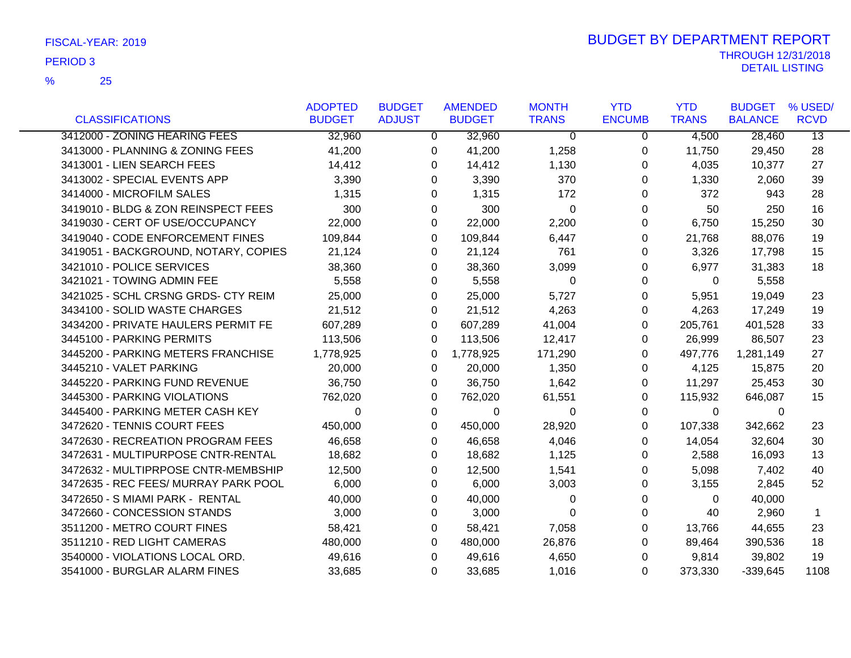|                                      | <b>ADOPTED</b> | <b>BUDGET</b>  | <b>AMENDED</b> | <b>MONTH</b> | <b>YTD</b>    | <b>YTD</b>   | <b>BUDGET</b>  | % USED/         |
|--------------------------------------|----------------|----------------|----------------|--------------|---------------|--------------|----------------|-----------------|
| <b>CLASSIFICATIONS</b>               | <b>BUDGET</b>  | <b>ADJUST</b>  | <b>BUDGET</b>  | <b>TRANS</b> | <b>ENCUMB</b> | <b>TRANS</b> | <b>BALANCE</b> | <b>RCVD</b>     |
| 3412000 - ZONING HEARING FEES        | 32,960         | $\overline{0}$ | 32,960         | $\Omega$     | 0             | 4,500        | 28,460         | $\overline{13}$ |
| 3413000 - PLANNING & ZONING FEES     | 41,200         | 0              | 41,200         | 1,258        | 0             | 11,750       | 29,450         | 28              |
| 3413001 - LIEN SEARCH FEES           | 14,412         | 0              | 14,412         | 1,130        | 0             | 4,035        | 10,377         | 27              |
| 3413002 - SPECIAL EVENTS APP         | 3,390          | 0              | 3,390          | 370          | 0             | 1,330        | 2,060          | 39              |
| 3414000 - MICROFILM SALES            | 1,315          | 0              | 1,315          | 172          | 0             | 372          | 943            | 28              |
| 3419010 - BLDG & ZON REINSPECT FEES  | 300            | $\Omega$       | 300            | $\Omega$     | $\Omega$      | 50           | 250            | 16              |
| 3419030 - CERT OF USE/OCCUPANCY      | 22,000         | 0              | 22,000         | 2,200        | 0             | 6,750        | 15,250         | 30              |
| 3419040 - CODE ENFORCEMENT FINES     | 109,844        | 0              | 109,844        | 6,447        | 0             | 21,768       | 88,076         | 19              |
| 3419051 - BACKGROUND, NOTARY, COPIES | 21,124         | 0              | 21,124         | 761          | 0             | 3,326        | 17,798         | 15              |
| 3421010 - POLICE SERVICES            | 38,360         | 0              | 38,360         | 3,099        | 0             | 6,977        | 31,383         | 18              |
| 3421021 - TOWING ADMIN FEE           | 5,558          | 0              | 5,558          | $\Omega$     | 0             | $\Omega$     | 5,558          |                 |
| 3421025 - SCHL CRSNG GRDS- CTY REIM  | 25,000         | 0              | 25,000         | 5,727        | 0             | 5,951        | 19,049         | 23              |
| 3434100 - SOLID WASTE CHARGES        | 21,512         | 0              | 21,512         | 4,263        | 0             | 4,263        | 17,249         | 19              |
| 3434200 - PRIVATE HAULERS PERMIT FE  | 607,289        | 0              | 607,289        | 41,004       | 0             | 205,761      | 401,528        | 33              |
| 3445100 - PARKING PERMITS            | 113,506        | $\Omega$       | 113,506        | 12,417       | 0             | 26,999       | 86,507         | 23              |
| 3445200 - PARKING METERS FRANCHISE   | 1,778,925      | 0              | 1,778,925      | 171,290      | 0             | 497,776      | 1,281,149      | 27              |
| 3445210 - VALET PARKING              | 20,000         | 0              | 20,000         | 1,350        | 0             | 4,125        | 15,875         | 20              |
| 3445220 - PARKING FUND REVENUE       | 36,750         | $\Omega$       | 36,750         | 1,642        | 0             | 11,297       | 25,453         | 30              |
| 3445300 - PARKING VIOLATIONS         | 762,020        | 0              | 762,020        | 61,551       | 0             | 115,932      | 646,087        | 15              |
| 3445400 - PARKING METER CASH KEY     | $\Omega$       | $\mathbf 0$    | 0              | 0            | 0             | 0            | 0              |                 |
| 3472620 - TENNIS COURT FEES          | 450,000        | $\Omega$       | 450,000        | 28,920       | 0             | 107,338      | 342,662        | 23              |
| 3472630 - RECREATION PROGRAM FEES    | 46,658         | $\Omega$       | 46,658         | 4,046        | 0             | 14,054       | 32,604         | 30              |
| 3472631 - MULTIPURPOSE CNTR-RENTAL   | 18,682         | 0              | 18,682         | 1,125        | 0             | 2,588        | 16,093         | 13              |
| 3472632 - MULTIPRPOSE CNTR-MEMBSHIP  | 12,500         | 0              | 12,500         | 1,541        | 0             | 5,098        | 7,402          | 40              |
| 3472635 - REC FEES/ MURRAY PARK POOL | 6,000          | $\Omega$       | 6,000          | 3,003        | 0             | 3,155        | 2,845          | 52              |
| 3472650 - S MIAMI PARK - RENTAL      | 40,000         | 0              | 40,000         | 0            | 0             | $\Omega$     | 40,000         |                 |
| 3472660 - CONCESSION STANDS          | 3,000          | 0              | 3,000          | $\Omega$     | 0             | 40           | 2,960          | $\mathbf{1}$    |
| 3511200 - METRO COURT FINES          | 58,421         | 0              | 58,421         | 7,058        | 0             | 13,766       | 44,655         | 23              |
| 3511210 - RED LIGHT CAMERAS          | 480,000        | $\Omega$       | 480,000        | 26,876       | 0             | 89,464       | 390,536        | 18              |
| 3540000 - VIOLATIONS LOCAL ORD.      | 49,616         | 0              | 49,616         | 4,650        | 0             | 9,814        | 39,802         | 19              |
| 3541000 - BURGLAR ALARM FINES        | 33,685         | 0              | 33,685         | 1,016        | $\Omega$      | 373,330      | $-339.645$     | 1108            |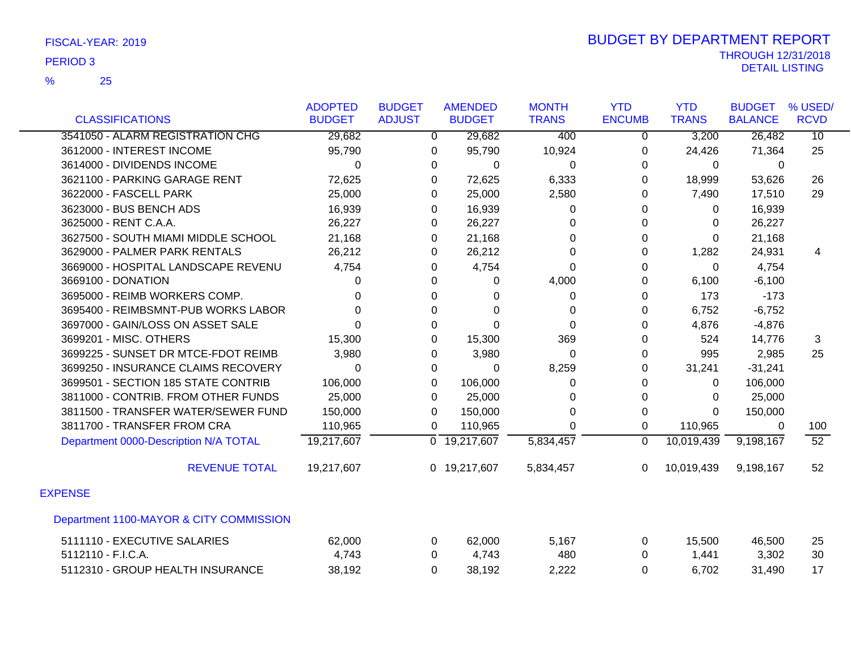|                                         | <b>ADOPTED</b> | <b>BUDGET</b>  | <b>AMENDED</b>            | <b>MONTH</b> | <b>YTD</b>     | <b>YTD</b>   | <b>BUDGET</b>  | % USED/         |
|-----------------------------------------|----------------|----------------|---------------------------|--------------|----------------|--------------|----------------|-----------------|
| <b>CLASSIFICATIONS</b>                  | <b>BUDGET</b>  | <b>ADJUST</b>  | <b>BUDGET</b>             | <b>TRANS</b> | <b>ENCUMB</b>  | <b>TRANS</b> | <b>BALANCE</b> | <b>RCVD</b>     |
| 3541050 - ALARM REGISTRATION CHG        | 29,682         | $\overline{0}$ | 29,682                    | 400          | $\overline{0}$ | 3,200        | 26,482         | $\overline{10}$ |
| 3612000 - INTEREST INCOME               | 95,790         | 0              | 95,790                    | 10,924       | 0              | 24,426       | 71,364         | 25              |
| 3614000 - DIVIDENDS INCOME              | 0              | 0              | 0                         | 0            | 0              | 0            | 0              |                 |
| 3621100 - PARKING GARAGE RENT           | 72,625         | 0              | 72,625                    | 6,333        | 0              | 18,999       | 53,626         | 26              |
| 3622000 - FASCELL PARK                  | 25,000         | 0              | 25,000                    | 2,580        | 0              | 7,490        | 17,510         | 29              |
| 3623000 - BUS BENCH ADS                 | 16,939         | 0              | 16,939                    | $\Omega$     | 0              | $\Omega$     | 16,939         |                 |
| 3625000 - RENT C.A.A.                   | 26,227         | 0              | 26,227                    | 0            | 0              | $\mathbf 0$  | 26,227         |                 |
| 3627500 - SOUTH MIAMI MIDDLE SCHOOL     | 21,168         | 0              | 21,168                    | 0            | 0              | $\Omega$     | 21,168         |                 |
| 3629000 - PALMER PARK RENTALS           | 26,212         | 0              | 26,212                    | $\Omega$     | 0              | 1,282        | 24,931         | 4               |
| 3669000 - HOSPITAL LANDSCAPE REVENU     | 4,754          | 0              | 4,754                     | $\Omega$     | 0              | $\mathbf{0}$ | 4,754          |                 |
| 3669100 - DONATION                      |                | 0              | 0                         | 4,000        | 0              | 6,100        | $-6,100$       |                 |
| 3695000 - REIMB WORKERS COMP.           | 0              | 0              | 0                         | 0            | 0              | 173          | $-173$         |                 |
| 3695400 - REIMBSMNT-PUB WORKS LABOR     | O              | $\Omega$       | $\Omega$                  | $\Omega$     | $\Omega$       | 6,752        | $-6,752$       |                 |
| 3697000 - GAIN/LOSS ON ASSET SALE       | 0              | 0              | 0                         | $\Omega$     | 0              | 4,876        | $-4,876$       |                 |
| 3699201 - MISC. OTHERS                  | 15,300         | 0              | 15,300                    | 369          | 0              | 524          | 14,776         | 3               |
| 3699225 - SUNSET DR MTCE-FDOT REIMB     | 3,980          | 0              | 3,980                     | $\Omega$     | 0              | 995          | 2,985          | 25              |
| 3699250 - INSURANCE CLAIMS RECOVERY     | $\Omega$       | 0              | 0                         | 8,259        | 0              | 31,241       | $-31,241$      |                 |
| 3699501 - SECTION 185 STATE CONTRIB     | 106,000        | 0              | 106,000                   | $\Omega$     | $\Omega$       | $\mathbf 0$  | 106,000        |                 |
| 3811000 - CONTRIB. FROM OTHER FUNDS     | 25,000         | 0              | 25,000                    | 0            | 0              | 0            | 25,000         |                 |
| 3811500 - TRANSFER WATER/SEWER FUND     | 150,000        | $\Omega$       | 150,000                   | $\Omega$     | $\Omega$       | $\Omega$     | 150,000        |                 |
| 3811700 - TRANSFER FROM CRA             | 110,965        | 0              | 110,965                   | $\Omega$     | 0              | 110,965      | 0              | 100             |
| Department 0000-Description N/A TOTAL   | 19,217,607     |                | $\overline{0}$ 19,217,607 | 5,834,457    | $\mathbf 0$    | 10,019,439   | 9,198,167      | 52              |
| <b>REVENUE TOTAL</b>                    | 19,217,607     |                | 0 19,217,607              | 5,834,457    | 0              | 10,019,439   | 9,198,167      | 52              |
| <b>EXPENSE</b>                          |                |                |                           |              |                |              |                |                 |
| Department 1100-MAYOR & CITY COMMISSION |                |                |                           |              |                |              |                |                 |
| 5111110 - EXECUTIVE SALARIES            | 62,000         | 0              | 62,000                    | 5,167        | 0              | 15,500       | 46,500         | 25              |
| 5112110 - F.I.C.A.                      | 4,743          | 0              | 4,743                     | 480          | 0              | 1,441        | 3,302          | 30              |
| 5112310 - GROUP HEALTH INSURANCE        | 38,192         | 0              | 38,192                    | 2,222        | 0              | 6,702        | 31,490         | 17              |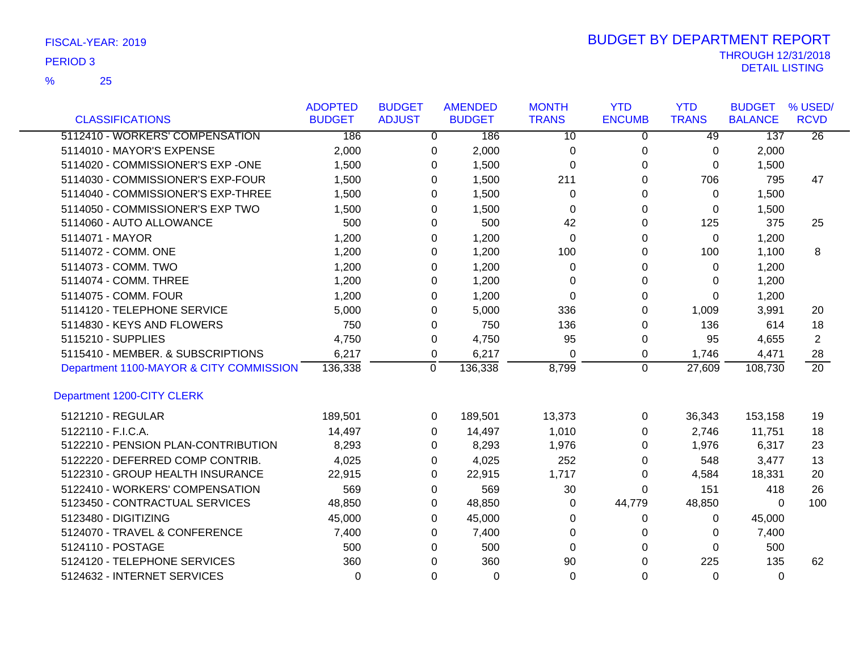25 %

|                                         | <b>ADOPTED</b> | <b>BUDGET</b>  | <b>AMENDED</b> | <b>MONTH</b> | <b>YTD</b>    | <b>YTD</b>   | <b>BUDGET</b>  | % USED/         |
|-----------------------------------------|----------------|----------------|----------------|--------------|---------------|--------------|----------------|-----------------|
| <b>CLASSIFICATIONS</b>                  | <b>BUDGET</b>  | <b>ADJUST</b>  | <b>BUDGET</b>  | <b>TRANS</b> | <b>ENCUMB</b> | <b>TRANS</b> | <b>BALANCE</b> | <b>RCVD</b>     |
| 5112410 - WORKERS' COMPENSATION         | 186            | $\overline{0}$ | 186            | 10           | 0             | 49           | 137            | $\overline{26}$ |
| 5114010 - MAYOR'S EXPENSE               | 2,000          | 0              | 2,000          | 0            | 0             | 0            | 2,000          |                 |
| 5114020 - COMMISSIONER'S EXP -ONE       | 1,500          | $\Omega$       | 1,500          | 0            | 0             | 0            | 1,500          |                 |
| 5114030 - COMMISSIONER'S EXP-FOUR       | 1,500          | $\Omega$       | 1,500          | 211          | 0             | 706          | 795            | 47              |
| 5114040 - COMMISSIONER'S EXP-THREE      | 1,500          | 0              | 1,500          | 0            | 0             | 0            | 1,500          |                 |
| 5114050 - COMMISSIONER'S EXP TWO        | 1,500          | $\Omega$       | 1,500          | 0            | 0             | $\Omega$     | 1,500          |                 |
| 5114060 - AUTO ALLOWANCE                | 500            | $\Omega$       | 500            | 42           | $\Omega$      | 125          | 375            | 25              |
| 5114071 - MAYOR                         | 1,200          | $\Omega$       | 1,200          | $\Omega$     | 0             | $\Omega$     | 1,200          |                 |
| 5114072 - COMM. ONE                     | 1,200          | 0              | 1,200          | 100          | 0             | 100          | 1,100          | 8               |
| 5114073 - COMM. TWO                     | 1,200          | 0              | 1,200          | 0            | 0             | 0            | 1,200          |                 |
| 5114074 - COMM. THREE                   | 1,200          | $\Omega$       | 1,200          | 0            | 0             | 0            | 1,200          |                 |
| 5114075 - COMM. FOUR                    | 1,200          | 0              | 1,200          | 0            | 0             | 0            | 1,200          |                 |
| 5114120 - TELEPHONE SERVICE             | 5,000          | 0              | 5,000          | 336          | 0             | 1,009        | 3,991          | 20              |
| 5114830 - KEYS AND FLOWERS              | 750            | 0              | 750            | 136          | 0             | 136          | 614            | 18              |
| 5115210 - SUPPLIES                      | 4,750          | 0              | 4,750          | 95           | 0             | 95           | 4,655          | $\overline{2}$  |
| 5115410 - MEMBER. & SUBSCRIPTIONS       | 6,217          | 0              | 6,217          | 0            | 0             | 1,746        | 4,471          | 28              |
| Department 1100-MAYOR & CITY COMMISSION | 136,338        | 0              | 136,338        | 8,799        | $\mathbf 0$   | 27,609       | 108,730        | $\overline{20}$ |
| Department 1200-CITY CLERK              |                |                |                |              |               |              |                |                 |
| 5121210 - REGULAR                       | 189,501        | 0              | 189,501        | 13,373       | 0             | 36,343       | 153,158        | 19              |
| 5122110 - F.I.C.A.                      | 14,497         | $\Omega$       | 14,497         | 1,010        | 0             | 2,746        | 11,751         | 18              |
| 5122210 - PENSION PLAN-CONTRIBUTION     | 8,293          | 0              | 8,293          | 1,976        | 0             | 1,976        | 6,317          | 23              |
| 5122220 - DEFERRED COMP CONTRIB.        | 4,025          | 0              | 4,025          | 252          | 0             | 548          | 3,477          | 13              |
| 5122310 - GROUP HEALTH INSURANCE        | 22,915         | 0              | 22,915         | 1,717        | 0             | 4,584        | 18,331         | 20              |
| 5122410 - WORKERS' COMPENSATION         | 569            | 0              | 569            | 30           | 0             | 151          | 418            | 26              |
| 5123450 - CONTRACTUAL SERVICES          | 48,850         | 0              | 48,850         | 0            | 44,779        | 48,850       | $\Omega$       | 100             |
| 5123480 - DIGITIZING                    | 45,000         | 0              | 45,000         | 0            | 0             | 0            | 45,000         |                 |
| 5124070 - TRAVEL & CONFERENCE           | 7,400          | $\Omega$       | 7,400          | 0            | $\Omega$      | 0            | 7,400          |                 |
| 5124110 - POSTAGE                       | 500            | $\Omega$       | 500            | $\Omega$     | $\Omega$      | $\Omega$     | 500            |                 |
| 5124120 - TELEPHONE SERVICES            | 360            | $\Omega$       | 360            | 90           | $\Omega$      | 225          | 135            | 62              |
| 5124632 - INTERNET SERVICES             | $\Omega$       | $\Omega$       | $\Omega$       | $\Omega$     | $\Omega$      | $\Omega$     | $\Omega$       |                 |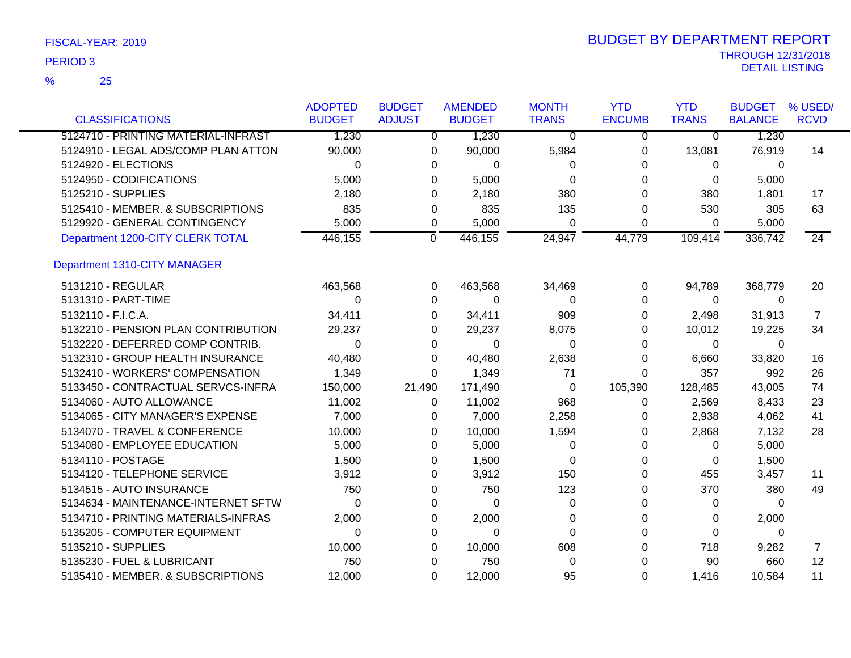| <b>CLASSIFICATIONS</b>              | <b>ADOPTED</b><br><b>BUDGET</b> | <b>BUDGET</b><br><b>ADJUST</b> | <b>AMENDED</b><br><b>BUDGET</b> | <b>MONTH</b><br><b>TRANS</b> | <b>YTD</b><br><b>ENCUMB</b> | <b>YTD</b><br><b>TRANS</b> | <b>BUDGET</b><br><b>BALANCE</b> | % USED/<br><b>RCVD</b> |
|-------------------------------------|---------------------------------|--------------------------------|---------------------------------|------------------------------|-----------------------------|----------------------------|---------------------------------|------------------------|
| 5124710 - PRINTING MATERIAL-INFRAST | 1,230                           | 0                              | 1,230                           | $\Omega$                     | 0                           | $\overline{0}$             | 1,230                           |                        |
| 5124910 - LEGAL ADS/COMP PLAN ATTON | 90,000                          | 0                              | 90,000                          | 5,984                        | 0                           | 13,081                     | 76,919                          | 14                     |
| 5124920 - ELECTIONS                 | 0                               | 0                              | 0                               | 0                            | $\Omega$                    | 0                          | $\Omega$                        |                        |
| 5124950 - CODIFICATIONS             | 5,000                           | 0                              | 5,000                           | $\Omega$                     | $\Omega$                    | 0                          | 5,000                           |                        |
| 5125210 - SUPPLIES                  | 2,180                           | 0                              | 2,180                           | 380                          | $\Omega$                    | 380                        | 1,801                           | 17                     |
| 5125410 - MEMBER. & SUBSCRIPTIONS   | 835                             | 0                              | 835                             | 135                          | 0                           | 530                        | 305                             | 63                     |
| 5129920 - GENERAL CONTINGENCY       | 5,000                           | 0                              | 5,000                           | $\Omega$                     | 0                           | 0                          | 5,000                           |                        |
| Department 1200-CITY CLERK TOTAL    | 446,155                         | $\overline{0}$                 | 446,155                         | 24,947                       | 44,779                      | 109,414                    | 336,742                         | $\overline{24}$        |
| Department 1310-CITY MANAGER        |                                 |                                |                                 |                              |                             |                            |                                 |                        |
| 5131210 - REGULAR                   | 463,568                         | 0                              | 463,568                         | 34,469                       | $\Omega$                    | 94,789                     | 368,779                         | 20                     |
| 5131310 - PART-TIME                 | $\Omega$                        | $\Omega$                       | $\Omega$                        | 0                            | $\Omega$                    | 0                          | 0                               |                        |
| 5132110 - F.I.C.A.                  | 34,411                          |                                | 0<br>34,411                     | 909                          | $\Omega$                    | 2,498                      | 31,913                          | $\overline{7}$         |
| 5132210 - PENSION PLAN CONTRIBUTION | 29,237                          | 0                              | 29,237                          | 8,075                        | $\Omega$                    | 10,012                     | 19,225                          | 34                     |
| 5132220 - DEFERRED COMP CONTRIB.    | 0                               | 0                              | 0                               | 0                            | 0                           | 0                          | 0                               |                        |
| 5132310 - GROUP HEALTH INSURANCE    | 40,480                          | 0                              | 40,480                          | 2,638                        | 0                           | 6,660                      | 33,820                          | 16                     |
| 5132410 - WORKERS' COMPENSATION     | 1,349                           | $\Omega$                       | 1,349                           | 71                           | $\Omega$                    | 357                        | 992                             | 26                     |
| 5133450 - CONTRACTUAL SERVCS-INFRA  | 150,000                         | 21,490                         | 171,490                         | 0                            | 105,390                     | 128,485                    | 43,005                          | 74                     |
| 5134060 - AUTO ALLOWANCE            | 11,002                          | 0                              | 11,002                          | 968                          | 0                           | 2,569                      | 8,433                           | 23                     |
| 5134065 - CITY MANAGER'S EXPENSE    | 7,000                           | 0                              | 7,000                           | 2,258                        | $\Omega$                    | 2,938                      | 4,062                           | 41                     |
| 5134070 - TRAVEL & CONFERENCE       | 10,000                          | 0                              | 10,000                          | 1,594                        | 0                           | 2,868                      | 7,132                           | 28                     |
| 5134080 - EMPLOYEE EDUCATION        | 5,000                           | 0                              | 5,000                           | 0                            | $\Omega$                    | 0                          | 5,000                           |                        |
| 5134110 - POSTAGE                   | 1,500                           | 0                              | 1,500                           | 0                            | 0                           | 0                          | 1,500                           |                        |
| 5134120 - TELEPHONE SERVICE         | 3,912                           | 0                              | 3,912                           | 150                          | 0                           | 455                        | 3,457                           | 11                     |
| 5134515 - AUTO INSURANCE            | 750                             | 0                              | 750                             | 123                          | 0                           | 370                        | 380                             | 49                     |
| 5134634 - MAINTENANCE-INTERNET SFTW | 0                               | 0                              | $\Omega$                        | 0                            | 0                           | 0                          | $\Omega$                        |                        |
| 5134710 - PRINTING MATERIALS-INFRAS | 2,000                           | 0                              | 2,000                           | 0                            | 0                           | 0                          | 2,000                           |                        |
| 5135205 - COMPUTER EQUIPMENT        | $\Omega$                        | 0                              | $\Omega$                        | $\Omega$                     | $\Omega$                    | 0                          | $\Omega$                        |                        |
| 5135210 - SUPPLIES                  | 10,000                          |                                | 10,000<br>0                     | 608                          | 0                           | 718                        | 9,282                           | 7                      |
| 5135230 - FUEL & LUBRICANT          | 750                             | $\Omega$                       | 750                             | 0                            | $\Omega$                    | 90                         | 660                             | 12                     |
| 5135410 - MEMBER. & SUBSCRIPTIONS   | 12.000                          | 0                              | 12,000                          | 95                           | $\Omega$                    | 1,416                      | 10.584                          | 11                     |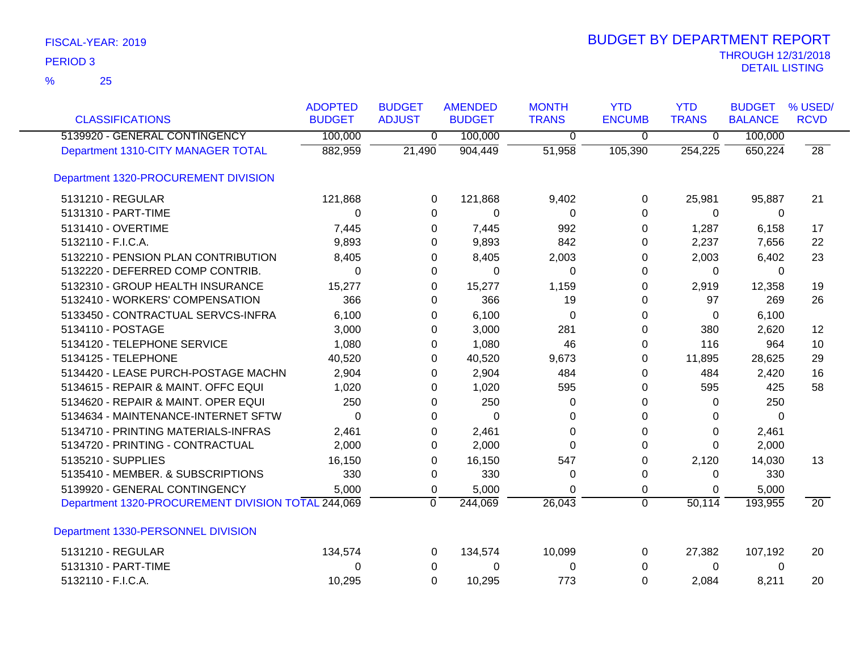| <b>CLASSIFICATIONS</b>                             | <b>ADOPTED</b><br><b>BUDGET</b> | <b>BUDGET</b><br><b>ADJUST</b> | <b>AMENDED</b><br><b>BUDGET</b> | <b>MONTH</b><br><b>TRANS</b> | <b>YTD</b><br><b>ENCUMB</b> | <b>YTD</b><br><b>TRANS</b> | <b>BUDGET</b><br><b>BALANCE</b> | % USED/<br><b>RCVD</b> |
|----------------------------------------------------|---------------------------------|--------------------------------|---------------------------------|------------------------------|-----------------------------|----------------------------|---------------------------------|------------------------|
| 5139920 - GENERAL CONTINGENCY                      | 100,000                         | $\overline{0}$                 | 100,000                         | 0                            | $\mathbf 0$                 | $\overline{0}$             | 100,000                         |                        |
| Department 1310-CITY MANAGER TOTAL                 | 882,959                         | 21,490                         | 904,449                         | 51,958                       | 105,390                     | 254,225                    | 650,224                         | $\overline{28}$        |
| Department 1320-PROCUREMENT DIVISION               |                                 |                                |                                 |                              |                             |                            |                                 |                        |
| 5131210 - REGULAR                                  | 121,868                         | 0                              | 121,868                         | 9,402                        | 0                           | 25,981                     | 95,887                          | 21                     |
| 5131310 - PART-TIME                                | 0                               | 0                              | $\pmb{0}$                       | 0                            | 0                           | 0                          | $\mathbf 0$                     |                        |
| 5131410 - OVERTIME                                 | 7,445                           | 0                              | 7,445                           | 992                          | 0                           | 1,287                      | 6,158                           | 17                     |
| 5132110 - F.I.C.A.                                 | 9,893                           | 0                              | 9,893                           | 842                          | 0                           | 2,237                      | 7,656                           | 22                     |
| 5132210 - PENSION PLAN CONTRIBUTION                | 8,405                           | 0                              | 8,405                           | 2,003                        | 0                           | 2,003                      | 6,402                           | 23                     |
| 5132220 - DEFERRED COMP CONTRIB.                   | 0                               | 0                              | 0                               | 0                            | 0                           | 0                          | 0                               |                        |
| 5132310 - GROUP HEALTH INSURANCE                   | 15,277                          | 0                              | 15,277                          | 1,159                        | 0                           | 2,919                      | 12,358                          | 19                     |
| 5132410 - WORKERS' COMPENSATION                    | 366                             | 0                              | 366                             | 19                           | 0                           | 97                         | 269                             | 26                     |
| 5133450 - CONTRACTUAL SERVCS-INFRA                 | 6,100                           | 0                              | 6,100                           | 0                            | 0                           | 0                          | 6,100                           |                        |
| 5134110 - POSTAGE                                  | 3,000                           | 0                              | 3,000                           | 281                          | 0                           | 380                        | 2,620                           | 12                     |
| 5134120 - TELEPHONE SERVICE                        | 1,080                           | 0                              | 1,080                           | 46                           | 0                           | 116                        | 964                             | 10                     |
| 5134125 - TELEPHONE                                | 40,520                          | 0                              | 40,520                          | 9,673                        | 0                           | 11,895                     | 28,625                          | 29                     |
| 5134420 - LEASE PURCH-POSTAGE MACHN                | 2,904                           | 0                              | 2,904                           | 484                          | 0                           | 484                        | 2,420                           | 16                     |
| 5134615 - REPAIR & MAINT. OFFC EQUI                | 1,020                           | 0                              | 1,020                           | 595                          | 0                           | 595                        | 425                             | 58                     |
| 5134620 - REPAIR & MAINT. OPER EQUI                | 250                             | 0                              | 250                             | 0                            | 0                           | 0                          | 250                             |                        |
| 5134634 - MAINTENANCE-INTERNET SFTW                | $\Omega$                        | 0                              | 0                               | 0                            | 0                           | 0                          | 0                               |                        |
| 5134710 - PRINTING MATERIALS-INFRAS                | 2,461                           | 0                              | 2,461                           | 0                            | 0                           | 0                          | 2,461                           |                        |
| 5134720 - PRINTING - CONTRACTUAL                   | 2,000                           | 0                              | 2,000                           | $\Omega$                     | $\Omega$                    | $\Omega$                   | 2,000                           |                        |
| 5135210 - SUPPLIES                                 | 16,150                          | 0                              | 16,150                          | 547                          | 0                           | 2,120                      | 14,030                          | 13                     |
| 5135410 - MEMBER. & SUBSCRIPTIONS                  | 330                             | 0                              | 330                             | 0                            | 0                           | 0                          | 330                             |                        |
| 5139920 - GENERAL CONTINGENCY                      | 5,000                           | 0                              | 5,000                           | 0                            | 0                           | 0                          | 5,000                           |                        |
| Department 1320-PROCUREMENT DIVISION TOTAL 244,069 |                                 | $\mathbf 0$                    | 244,069                         | 26,043                       | $\overline{0}$              | 50,114                     | 193,955                         | $\overline{20}$        |
| Department 1330-PERSONNEL DIVISION                 |                                 |                                |                                 |                              |                             |                            |                                 |                        |
| 5131210 - REGULAR                                  | 134,574                         | 0                              | 134,574                         | 10,099                       | 0                           | 27,382                     | 107,192                         | 20                     |
| 5131310 - PART-TIME                                | 0                               | 0                              | 0                               | 0                            | 0                           | 0                          | 0                               |                        |
| 5132110 - F.I.C.A.                                 | 10,295                          | $\Omega$                       | 10,295                          | 773                          | $\Omega$                    | 2,084                      | 8,211                           | 20                     |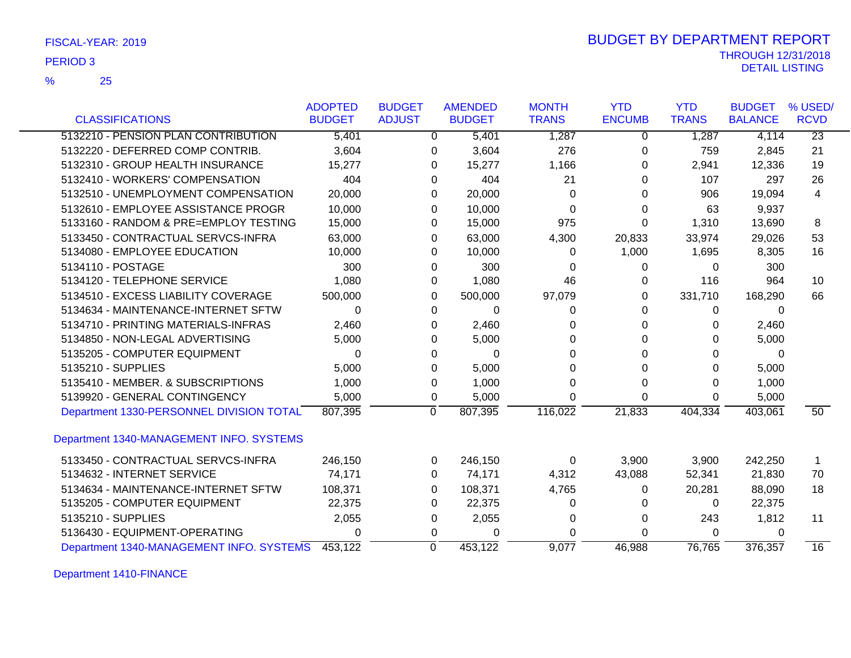25 %

|                                          | <b>ADOPTED</b> | <b>BUDGET</b> | <b>AMENDED</b> | <b>MONTH</b> | <b>YTD</b>    | <b>YTD</b>   | <b>BUDGET</b>  | % USED/         |
|------------------------------------------|----------------|---------------|----------------|--------------|---------------|--------------|----------------|-----------------|
| <b>CLASSIFICATIONS</b>                   | <b>BUDGET</b>  | <b>ADJUST</b> | <b>BUDGET</b>  | <b>TRANS</b> | <b>ENCUMB</b> | <b>TRANS</b> | <b>BALANCE</b> | <b>RCVD</b>     |
| 5132210 - PENSION PLAN CONTRIBUTION      | 5,401          | $\Omega$      | 5,401          | 1,287        | 0             | 1,287        | 4,114          | $\overline{23}$ |
| 5132220 - DEFERRED COMP CONTRIB.         | 3,604          | 0             | 3,604          | 276          | 0             | 759          | 2,845          | 21              |
| 5132310 - GROUP HEALTH INSURANCE         | 15,277         | 0             | 15,277         | 1,166        | 0             | 2,941        | 12,336         | 19              |
| 5132410 - WORKERS' COMPENSATION          | 404            | $\Omega$      | 404            | 21           | 0             | 107          | 297            | 26              |
| 5132510 - UNEMPLOYMENT COMPENSATION      | 20,000         | 0             | 20,000         | 0            | 0             | 906          | 19,094         | 4               |
| 5132610 - EMPLOYEE ASSISTANCE PROGR      | 10,000         | 0             | 10,000         | 0            | 0             | 63           | 9,937          |                 |
| 5133160 - RANDOM & PRE=EMPLOY TESTING    | 15,000         | 0             | 15,000         | 975          | 0             | 1,310        | 13,690         | 8               |
| 5133450 - CONTRACTUAL SERVCS-INFRA       | 63,000         | 0             | 63,000         | 4,300        | 20,833        | 33,974       | 29,026         | 53              |
| 5134080 - EMPLOYEE EDUCATION             | 10,000         | 0             | 10,000         | 0            | 1,000         | 1,695        | 8,305          | 16              |
| 5134110 - POSTAGE                        | 300            | 0             | 300            | 0            | 0             | 0            | 300            |                 |
| 5134120 - TELEPHONE SERVICE              | 1,080          | 0             | 1,080          | 46           | 0             | 116          | 964            | 10              |
| 5134510 - EXCESS LIABILITY COVERAGE      | 500,000        | 0             | 500,000        | 97,079       | 0             | 331,710      | 168,290        | 66              |
| 5134634 - MAINTENANCE-INTERNET SFTW      | 0              | 0             | 0              | 0            | 0             | 0            | 0              |                 |
| 5134710 - PRINTING MATERIALS-INFRAS      | 2,460          | 0             | 2,460          | 0            | 0             | 0            | 2,460          |                 |
| 5134850 - NON-LEGAL ADVERTISING          | 5,000          | 0             | 5,000          | 0            | 0             | 0            | 5,000          |                 |
| 5135205 - COMPUTER EQUIPMENT             | 0              | 0             | 0              | 0            | 0             | 0            | 0              |                 |
| 5135210 - SUPPLIES                       | 5,000          | 0             | 5,000          | 0            | 0             | 0            | 5,000          |                 |
| 5135410 - MEMBER, & SUBSCRIPTIONS        | 1,000          | 0             | 1,000          | 0            | 0             | 0            | 1,000          |                 |
| 5139920 - GENERAL CONTINGENCY            | 5,000          | 0             | 5,000          | $\Omega$     | $\Omega$      | 0            | 5,000          |                 |
| Department 1330-PERSONNEL DIVISION TOTAL | 807,395        | 0             | 807,395        | 116,022      | 21,833        | 404,334      | 403,061        | 50              |
| Department 1340-MANAGEMENT INFO. SYSTEMS |                |               |                |              |               |              |                |                 |
| 5133450 - CONTRACTUAL SERVCS-INFRA       | 246,150        | 0             | 246,150        | 0            | 3,900         | 3,900        | 242,250        | -1              |
| 5134632 - INTERNET SERVICE               | 74,171         | 0             | 74,171         | 4,312        | 43,088        | 52,341       | 21,830         | 70              |
| 5134634 - MAINTENANCE-INTERNET SFTW      | 108,371        | 0             | 108,371        | 4,765        | 0             | 20,281       | 88,090         | 18              |
| 5135205 - COMPUTER EQUIPMENT             | 22,375         | 0             | 22,375         | 0            | 0             | 0            | 22,375         |                 |
| 5135210 - SUPPLIES                       | 2,055          | 0             | 2,055          | 0            | 0             | 243          | 1,812          | 11              |
| 5136430 - EQUIPMENT-OPERATING            | 0              | 0             | $\Omega$       | 0            | 0             | 0            | 0              |                 |
| Department 1340-MANAGEMENT INFO. SYSTEMS | 453,122        | $\Omega$      | 453,122        | 9.077        | 46,988        | 76,765       | 376,357        | 16              |

Department 1410-FINANCE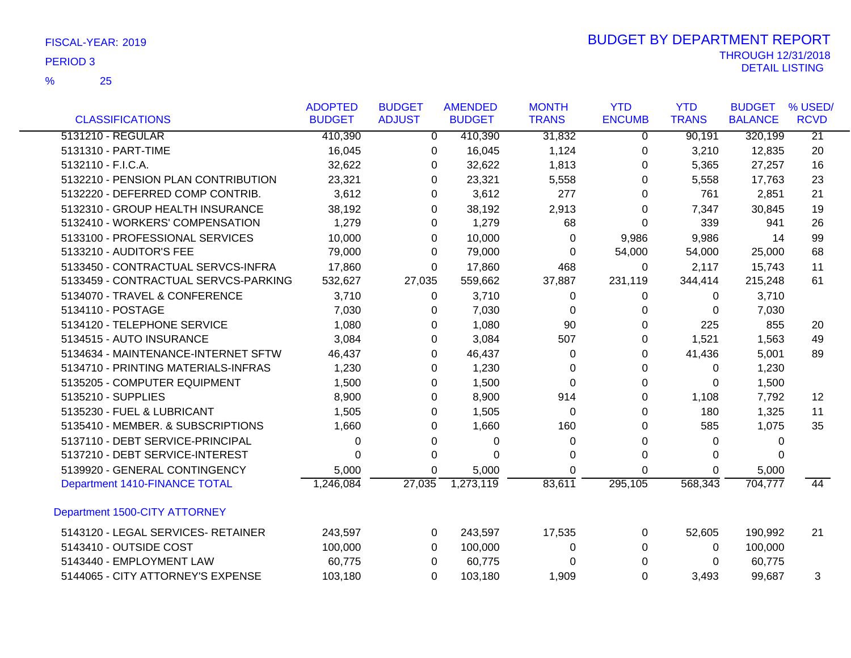25 %

|                                      | <b>ADOPTED</b> | <b>BUDGET</b> | <b>AMENDED</b> | <b>MONTH</b> | <b>YTD</b>    | <b>YTD</b>   | <b>BUDGET</b>  | % USED/         |
|--------------------------------------|----------------|---------------|----------------|--------------|---------------|--------------|----------------|-----------------|
| <b>CLASSIFICATIONS</b>               | <b>BUDGET</b>  | <b>ADJUST</b> | <b>BUDGET</b>  | <b>TRANS</b> | <b>ENCUMB</b> | <b>TRANS</b> | <b>BALANCE</b> | <b>RCVD</b>     |
| 5131210 - REGULAR                    | 410,390        | 0             | 410,390        | 31,832       | 0             | 90,191       | 320,199        | $\overline{21}$ |
| 5131310 - PART-TIME                  | 16,045         | 0             | 16,045         | 1,124        | 0             | 3,210        | 12,835         | 20              |
| 5132110 - F.I.C.A.                   | 32,622         | 0             | 32,622         | 1,813        | 0             | 5,365        | 27,257         | 16              |
| 5132210 - PENSION PLAN CONTRIBUTION  | 23,321         | 0             | 23,321         | 5,558        | 0             | 5,558        | 17,763         | 23              |
| 5132220 - DEFERRED COMP CONTRIB.     | 3,612          | 0             | 3,612          | 277          | 0             | 761          | 2,851          | 21              |
| 5132310 - GROUP HEALTH INSURANCE     | 38,192         | 0             | 38,192         | 2,913        | 0             | 7,347        | 30,845         | 19              |
| 5132410 - WORKERS' COMPENSATION      | 1,279          | 0             | 1,279          | 68           | 0             | 339          | 941            | 26              |
| 5133100 - PROFESSIONAL SERVICES      | 10,000         | 0             | 10,000         | 0            | 9,986         | 9,986        | 14             | 99              |
| 5133210 - AUDITOR'S FEE              | 79,000         | 0             | 79,000         | $\Omega$     | 54,000        | 54,000       | 25,000         | 68              |
| 5133450 - CONTRACTUAL SERVCS-INFRA   | 17,860         | 0             | 17,860         | 468          | 0             | 2,117        | 15,743         | 11              |
| 5133459 - CONTRACTUAL SERVCS-PARKING | 532,627        | 27,035        | 559,662        | 37,887       | 231,119       | 344,414      | 215,248        | 61              |
| 5134070 - TRAVEL & CONFERENCE        | 3,710          | 0             | 3,710          | 0            | $\Omega$      | 0            | 3,710          |                 |
| 5134110 - POSTAGE                    | 7,030          | 0             | 7,030          | $\Omega$     | 0             | $\Omega$     | 7,030          |                 |
| 5134120 - TELEPHONE SERVICE          | 1,080          | 0             | 1,080          | 90           | $\Omega$      | 225          | 855            | 20              |
| 5134515 - AUTO INSURANCE             | 3,084          | 0             | 3,084          | 507          | 0             | 1,521        | 1,563          | 49              |
| 5134634 - MAINTENANCE-INTERNET SFTW  | 46,437         | 0             | 46,437         | 0            | 0             | 41,436       | 5,001          | 89              |
| 5134710 - PRINTING MATERIALS-INFRAS  | 1,230          | 0             | 1,230          | 0            | 0             | 0            | 1,230          |                 |
| 5135205 - COMPUTER EQUIPMENT         | 1,500          | 0             | 1,500          | 0            | 0             | 0            | 1,500          |                 |
| 5135210 - SUPPLIES                   | 8,900          | 0             | 8,900          | 914          | 0             | 1,108        | 7,792          | 12              |
| 5135230 - FUEL & LUBRICANT           | 1,505          | 0             | 1,505          | 0            | 0             | 180          | 1,325          | 11              |
| 5135410 - MEMBER. & SUBSCRIPTIONS    | 1,660          | 0             | 1,660          | 160          | 0             | 585          | 1,075          | 35              |
| 5137110 - DEBT SERVICE-PRINCIPAL     | 0              | 0             | 0              | 0            | 0             | 0            | 0              |                 |
| 5137210 - DEBT SERVICE-INTEREST      | 0              | 0             | $\Omega$       | 0            | 0             | 0            | 0              |                 |
| 5139920 - GENERAL CONTINGENCY        | 5,000          | 0             | 5,000          | 0            | $\Omega$      | 0            | 5,000          |                 |
| Department 1410-FINANCE TOTAL        | 1,246,084      | 27,035        | 1,273,119      | 83,611       | 295,105       | 568,343      | 704,777        | 44              |
| Department 1500-CITY ATTORNEY        |                |               |                |              |               |              |                |                 |
| 5143120 - LEGAL SERVICES- RETAINER   | 243,597        | 0             | 243,597        | 17,535       | 0             | 52,605       | 190,992        | 21              |
| 5143410 - OUTSIDE COST               | 100,000        | 0             | 100,000        | 0            | $\Omega$      | 0            | 100,000        |                 |
| 5143440 - EMPLOYMENT LAW             | 60,775         | 0             | 60,775         | $\Omega$     | $\Omega$      | $\Omega$     | 60,775         |                 |
| 5144065 - CITY ATTORNEY'S EXPENSE    | 103,180        | $\Omega$      | 103,180        | 1,909        | $\Omega$      | 3,493        | 99,687         | 3               |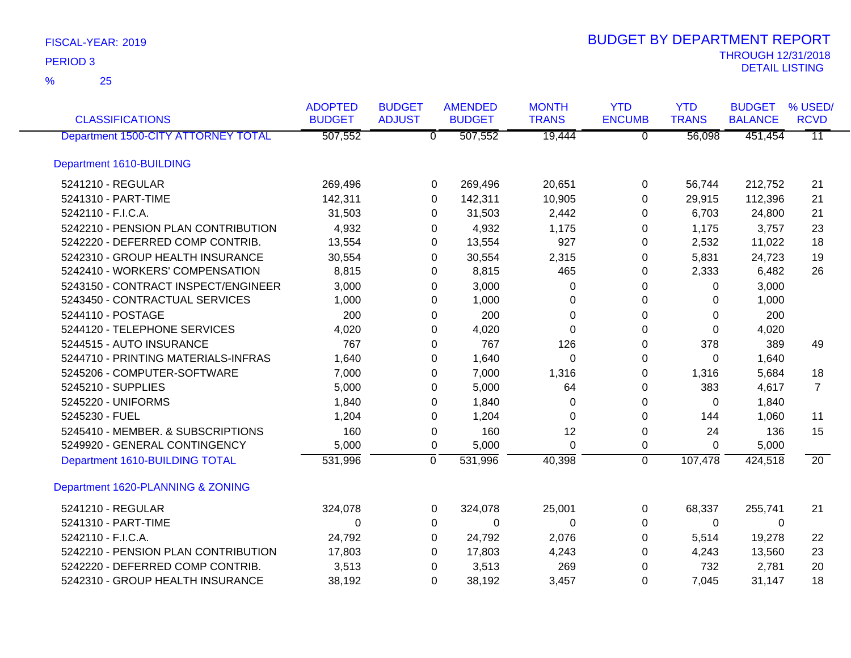| <b>CLASSIFICATIONS</b>                     | <b>ADOPTED</b><br><b>BUDGET</b> | <b>BUDGET</b><br><b>ADJUST</b> | <b>AMENDED</b><br><b>BUDGET</b> | <b>MONTH</b><br><b>TRANS</b> | <b>YTD</b><br><b>ENCUMB</b> | <b>YTD</b><br><b>TRANS</b> | <b>BUDGET</b><br><b>BALANCE</b> | % USED/<br><b>RCVD</b> |
|--------------------------------------------|---------------------------------|--------------------------------|---------------------------------|------------------------------|-----------------------------|----------------------------|---------------------------------|------------------------|
| <b>Department 1500-CITY ATTORNEY TOTAL</b> | 507,552                         |                                | 507,552<br>$\overline{0}$       | 19,444                       | $\overline{0}$              | 56,098                     | 451,454                         | $\overline{11}$        |
| Department 1610-BUILDING                   |                                 |                                |                                 |                              |                             |                            |                                 |                        |
| 5241210 - REGULAR                          | 269,496                         |                                | 269,496<br>0                    | 20,651                       | $\pmb{0}$                   | 56,744                     | 212,752                         | 21                     |
| 5241310 - PART-TIME                        | 142,311                         |                                | 142,311<br>0                    | 10,905                       | 0                           | 29,915                     | 112,396                         | 21                     |
| 5242110 - F.I.C.A.                         | 31,503                          |                                | 31,503<br>0                     | 2,442                        | 0                           | 6,703                      | 24,800                          | 21                     |
| 5242210 - PENSION PLAN CONTRIBUTION        | 4,932                           |                                | 4,932<br>0                      | 1,175                        | 0                           | 1,175                      | 3,757                           | 23                     |
| 5242220 - DEFERRED COMP CONTRIB.           | 13,554                          |                                | 13,554<br>0                     | 927                          | 0                           | 2,532                      | 11,022                          | 18                     |
| 5242310 - GROUP HEALTH INSURANCE           | 30,554                          |                                | 30,554<br>0                     | 2,315                        | 0                           | 5,831                      | 24,723                          | 19                     |
| 5242410 - WORKERS' COMPENSATION            | 8,815                           |                                | 8,815<br>0                      | 465                          | $\Omega$                    | 2,333                      | 6,482                           | 26                     |
| 5243150 - CONTRACT INSPECT/ENGINEER        | 3,000                           |                                | 3,000<br>0                      | 0                            | 0                           | 0                          | 3,000                           |                        |
| 5243450 - CONTRACTUAL SERVICES             | 1,000                           |                                | 1,000<br>0                      | 0                            | 0                           | $\Omega$                   | 1,000                           |                        |
| 5244110 - POSTAGE                          | 200                             |                                | 200<br>0                        | $\Omega$                     | $\Omega$                    | $\Omega$                   | 200                             |                        |
| 5244120 - TELEPHONE SERVICES               | 4,020                           |                                | 4,020<br>0                      | 0                            | 0                           | $\Omega$                   | 4,020                           |                        |
| 5244515 - AUTO INSURANCE                   | 767                             |                                | 767<br>0                        | 126                          | 0                           | 378                        | 389                             | 49                     |
| 5244710 - PRINTING MATERIALS-INFRAS        | 1,640                           |                                | 1,640<br>0                      | $\Omega$                     | 0                           | $\Omega$                   | 1,640                           |                        |
| 5245206 - COMPUTER-SOFTWARE                | 7,000                           |                                | 7,000<br>0                      | 1,316                        | 0                           | 1,316                      | 5,684                           | 18                     |
| 5245210 - SUPPLIES                         | 5,000                           |                                | 5,000<br>0                      | 64                           | 0                           | 383                        | 4,617                           | $\overline{7}$         |
| 5245220 - UNIFORMS                         | 1,840                           |                                | 1,840<br>0                      | $\Omega$                     | $\Omega$                    | $\Omega$                   | 1,840                           |                        |
| 5245230 - FUEL                             | 1,204                           |                                | 1,204<br>0                      | $\Omega$                     | 0                           | 144                        | 1,060                           | 11                     |
| 5245410 - MEMBER. & SUBSCRIPTIONS          | 160                             |                                | 160<br>0                        | 12                           | $\pmb{0}$                   | 24                         | 136                             | 15                     |
| 5249920 - GENERAL CONTINGENCY              | 5,000                           |                                | 5,000<br>0                      | $\Omega$                     | 0                           | $\Omega$                   | 5,000                           |                        |
| Department 1610-BUILDING TOTAL             | 531,996                         | $\overline{0}$                 | 531,996                         | 40,398                       | $\mathbf 0$                 | 107,478                    | 424,518                         | $\overline{20}$        |
| Department 1620-PLANNING & ZONING          |                                 |                                |                                 |                              |                             |                            |                                 |                        |
| 5241210 - REGULAR                          | 324,078                         |                                | 324,078<br>0                    | 25,001                       | 0                           | 68,337                     | 255,741                         | 21                     |
| 5241310 - PART-TIME                        | 0                               |                                | 0<br>0                          | $\Omega$                     | 0                           | 0                          | $\overline{0}$                  |                        |
| 5242110 - F.I.C.A.                         | 24,792                          |                                | 24,792<br>0                     | 2,076                        | 0                           | 5,514                      | 19,278                          | 22                     |
| 5242210 - PENSION PLAN CONTRIBUTION        | 17,803                          |                                | 17,803<br>0                     | 4,243                        | 0                           | 4,243                      | 13,560                          | 23                     |
| 5242220 - DEFERRED COMP CONTRIB.           | 3,513                           |                                | 3,513<br>0                      | 269                          | 0                           | 732                        | 2,781                           | 20                     |
| 5242310 - GROUP HEALTH INSURANCE           | 38,192                          |                                | 0<br>38,192                     | 3,457                        | 0                           | 7,045                      | 31,147                          | 18                     |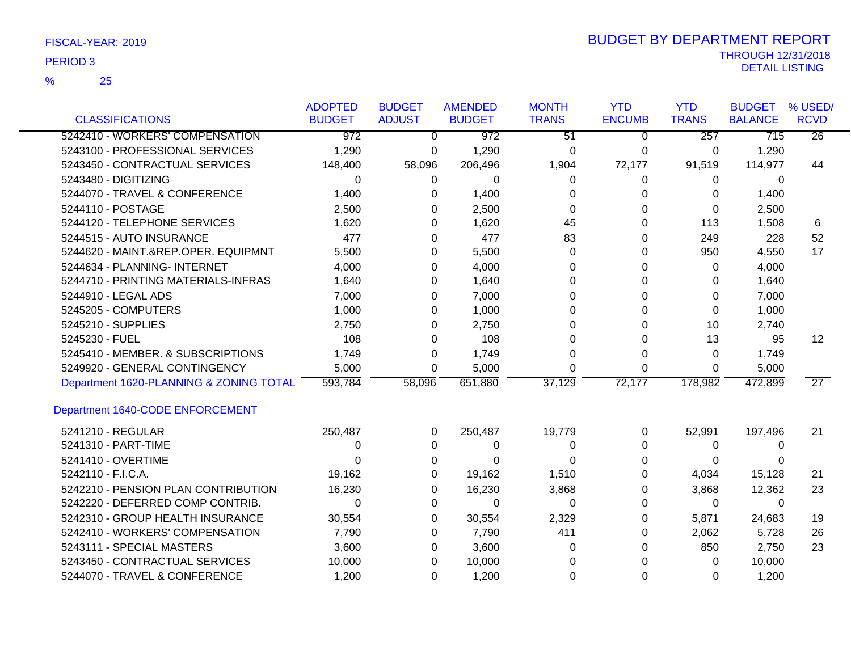| FISCAL-YEAR: 2019 |  |  |
|-------------------|--|--|
|-------------------|--|--|

25 %

| <b>CLASSIFICATIONS</b>                  | <b>ADOPTED</b><br><b>BUDGET</b> | <b>BUDGET</b><br><b>ADJUST</b> | <b>AMENDED</b><br><b>BUDGET</b> | <b>MONTH</b><br><b>TRANS</b> | <b>YTD</b><br><b>ENCUMB</b> | <b>YTD</b><br><b>TRANS</b> | <b>BUDGET</b><br><b>BALANCE</b> | % USED/<br><b>RCVD</b> |
|-----------------------------------------|---------------------------------|--------------------------------|---------------------------------|------------------------------|-----------------------------|----------------------------|---------------------------------|------------------------|
| 5242410 - WORKERS' COMPENSATION         | $\overline{972}$                | $\Omega$                       | 972                             | $\overline{51}$              | 0                           | $\overline{257}$           | 715                             | $\overline{26}$        |
| 5243100 - PROFESSIONAL SERVICES         | 1,290                           | 0                              | 1,290                           | 0                            | 0                           | 0                          | 1,290                           |                        |
| 5243450 - CONTRACTUAL SERVICES          | 148,400                         | 58,096                         | 206,496                         | 1,904                        | 72,177                      | 91,519                     | 114,977                         | 44                     |
| 5243480 - DIGITIZING                    | 0                               | 0                              | 0                               | 0                            | 0                           | 0                          | 0                               |                        |
| 5244070 - TRAVEL & CONFERENCE           | 1,400                           | 0                              | 1,400                           | 0                            | 0                           | 0                          | 1,400                           |                        |
| 5244110 - POSTAGE                       | 2,500                           | 0                              | 2,500                           | 0                            | 0                           | 0                          | 2,500                           |                        |
| 5244120 - TELEPHONE SERVICES            | 1,620                           | 0                              | 1,620                           | 45                           | 0                           | 113                        | 1,508                           | 6                      |
| 5244515 - AUTO INSURANCE                | 477                             | $\Omega$                       | 477                             | 83                           | $\Omega$                    | 249                        | 228                             | 52                     |
| 5244620 - MAINT.&REP.OPER. EQUIPMNT     | 5,500                           | 0                              | 5,500                           | $\Omega$                     | 0                           | 950                        | 4,550                           | 17                     |
| 5244634 - PLANNING- INTERNET            | 4,000                           | 0                              | 4,000                           | 0                            | 0                           | 0                          | 4,000                           |                        |
| 5244710 - PRINTING MATERIALS-INFRAS     | 1,640                           | 0                              | 1,640                           | 0                            | 0                           | 0                          | 1,640                           |                        |
| 5244910 - LEGAL ADS                     | 7,000                           | 0                              | 7,000                           | 0                            | 0                           | 0                          | 7,000                           |                        |
| 5245205 - COMPUTERS                     | 1,000                           | 0                              | 1,000                           | 0                            | $\Omega$                    | $\Omega$                   | 1,000                           |                        |
| 5245210 - SUPPLIES                      | 2,750                           | 0                              | 2,750                           | 0                            | 0                           | 10                         | 2,740                           |                        |
| 5245230 - FUEL                          | 108                             | 0                              | 108                             | 0                            | 0                           | 13                         | 95                              | $12 \overline{ }$      |
| 5245410 - MEMBER. & SUBSCRIPTIONS       | 1,749                           | 0                              | 1,749                           | 0                            | 0                           | 0                          | 1,749                           |                        |
| 5249920 - GENERAL CONTINGENCY           | 5,000                           | $\Omega$                       | 5,000                           | $\Omega$                     | 0                           | $\Omega$                   | 5,000                           |                        |
| Department 1620-PLANNING & ZONING TOTAL | 593,784                         | 58,096                         | 651,880                         | 37,129                       | 72,177                      | 178,982                    | 472,899                         | $\overline{27}$        |
| Department 1640-CODE ENFORCEMENT        |                                 |                                |                                 |                              |                             |                            |                                 |                        |
| 5241210 - REGULAR                       | 250,487                         | 0                              | 250,487                         | 19,779                       | 0                           | 52,991                     | 197,496                         | 21                     |
| 5241310 - PART-TIME                     | 0                               | 0                              | 0                               | 0                            | 0                           | 0                          | 0                               |                        |
| 5241410 - OVERTIME                      | 0                               | 0                              | 0                               | 0                            | 0                           | 0                          | $\Omega$                        |                        |
| 5242110 - F.I.C.A.                      | 19,162                          | 0                              | 19,162                          | 1,510                        | 0                           | 4,034                      | 15,128                          | 21                     |
| 5242210 - PENSION PLAN CONTRIBUTION     | 16,230                          | 0                              | 16,230                          | 3,868                        | 0                           | 3,868                      | 12,362                          | 23                     |
| 5242220 - DEFERRED COMP CONTRIB.        | $\Omega$                        | $\Omega$                       | $\Omega$                        | $\Omega$                     | $\Omega$                    | 0                          | $\Omega$                        |                        |
| 5242310 - GROUP HEALTH INSURANCE        | 30,554                          | $\Omega$                       | 30,554                          | 2,329                        | 0                           | 5,871                      | 24,683                          | 19                     |
| 5242410 - WORKERS' COMPENSATION         | 7,790                           | 0                              | 7,790                           | 411                          | 0                           | 2,062                      | 5,728                           | 26                     |
| 5243111 - SPECIAL MASTERS               | 3,600                           | 0                              | 3,600                           | 0                            | 0                           | 850                        | 2,750                           | 23                     |
| 5243450 - CONTRACTUAL SERVICES          | 10,000                          | 0                              | 10,000                          | 0                            | 0                           | 0                          | 10,000                          |                        |
| 5244070 - TRAVEL & CONFERENCE           | 1,200                           | 0                              | 1,200                           | $\Omega$                     | 0                           | 0                          | 1,200                           |                        |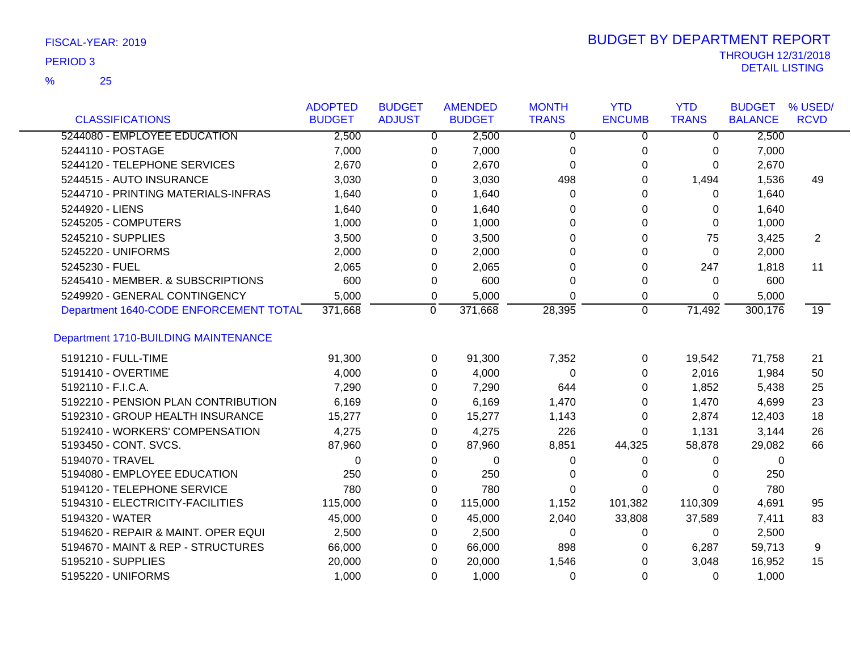## 25 %

|                                        | <b>ADOPTED</b> | <b>BUDGET</b>  | <b>AMENDED</b> | <b>MONTH</b> | <b>YTD</b>     | <b>YTD</b>   | <b>BUDGET</b>  | % USED/     |
|----------------------------------------|----------------|----------------|----------------|--------------|----------------|--------------|----------------|-------------|
| <b>CLASSIFICATIONS</b>                 | <b>BUDGET</b>  | <b>ADJUST</b>  | <b>BUDGET</b>  | <b>TRANS</b> | <b>ENCUMB</b>  | <b>TRANS</b> | <b>BALANCE</b> | <b>RCVD</b> |
| 5244080 - EMPLOYEE EDUCATION           | 2,500          | $\overline{0}$ | 2,500          | 0            | $\overline{0}$ | $\Omega$     | 2,500          |             |
| 5244110 - POSTAGE                      | 7,000          | 0              | 7,000          | $\pmb{0}$    | 0              | 0            | 7,000          |             |
| 5244120 - TELEPHONE SERVICES           | 2,670          | 0              | 2,670          | $\mathbf 0$  | 0              | 0            | 2,670          |             |
| 5244515 - AUTO INSURANCE               | 3,030          | 0              | 3,030          | 498          | 0              | 1,494        | 1,536          | 49          |
| 5244710 - PRINTING MATERIALS-INFRAS    | 1,640          | 0              | 1,640          | 0            | 0              | 0            | 1,640          |             |
| 5244920 - LIENS                        | 1,640          | 0              | 1,640          | 0            | 0              | 0            | 1,640          |             |
| 5245205 - COMPUTERS                    | 1,000          | 0              | 1,000          | 0            | 0              | 0            | 1,000          |             |
| 5245210 - SUPPLIES                     | 3,500          | $\Omega$       | 3,500          | $\Omega$     | $\Omega$       | 75           | 3,425          | 2           |
| 5245220 - UNIFORMS                     | 2,000          | 0              | 2,000          | $\Omega$     | 0              | $\Omega$     | 2,000          |             |
| 5245230 - FUEL                         | 2,065          | 0              | 2,065          | $\Omega$     | 0              | 247          | 1,818          | 11          |
| 5245410 - MEMBER. & SUBSCRIPTIONS      | 600            | 0              | 600            | 0            | $\pmb{0}$      | 0            | 600            |             |
| 5249920 - GENERAL CONTINGENCY          | 5,000          | 0              | 5,000          | $\Omega$     | 0              | 0            | 5,000          |             |
| Department 1640-CODE ENFORCEMENT TOTAL | 371,668        | 0              | 371,668        | 28,395       | $\mathbf 0$    | 71,492       | 300,176        | 19          |
| Department 1710-BUILDING MAINTENANCE   |                |                |                |              |                |              |                |             |
| 5191210 - FULL-TIME                    | 91,300         | 0              | 91,300         | 7,352        | 0              | 19,542       | 71,758         | 21          |
| 5191410 - OVERTIME                     | 4,000          | $\Omega$       | 4,000          | $\Omega$     | $\Omega$       | 2,016        | 1,984          | 50          |
| 5192110 - F.I.C.A.                     | 7,290          | $\Omega$       | 7,290          | 644          | 0              | 1,852        | 5,438          | 25          |
| 5192210 - PENSION PLAN CONTRIBUTION    | 6,169          | 0              | 6,169          | 1,470        | 0              | 1,470        | 4,699          | 23          |
| 5192310 - GROUP HEALTH INSURANCE       | 15,277         | 0              | 15,277         | 1,143        | 0              | 2,874        | 12,403         | 18          |
| 5192410 - WORKERS' COMPENSATION        | 4,275          | $\Omega$       | 4,275          | 226          | 0              | 1,131        | 3,144          | 26          |
| 5193450 - CONT. SVCS.                  | 87,960         | 0              | 87,960         | 8,851        | 44,325         | 58,878       | 29,082         | 66          |
| 5194070 - TRAVEL                       | $\Omega$       | 0              | 0              | 0            | 0              | 0            | 0              |             |
| 5194080 - EMPLOYEE EDUCATION           | 250            | $\Omega$       | 250            | 0            | 0              | 0            | 250            |             |
| 5194120 - TELEPHONE SERVICE            | 780            | 0              | 780            | $\Omega$     | 0              | 0            | 780            |             |
| 5194310 - ELECTRICITY-FACILITIES       | 115,000        | 0              | 115,000        | 1,152        | 101,382        | 110,309      | 4,691          | 95          |
| 5194320 - WATER                        | 45,000         | 0              | 45,000         | 2,040        | 33,808         | 37,589       | 7,411          | 83          |
| 5194620 - REPAIR & MAINT. OPER EQUI    | 2,500          | 0              | 2,500          | 0            | 0              | $\Omega$     | 2,500          |             |
| 5194670 - MAINT & REP - STRUCTURES     | 66,000         | $\Omega$       | 66,000         | 898          | 0              | 6,287        | 59,713         | 9           |
| 5195210 - SUPPLIES                     | 20,000         | 0              | 20,000         | 1,546        | 0              | 3,048        | 16,952         | 15          |
| 5195220 - UNIFORMS                     | 1,000          | $\Omega$       | 1,000          | 0            | 0              | 0            | 1,000          |             |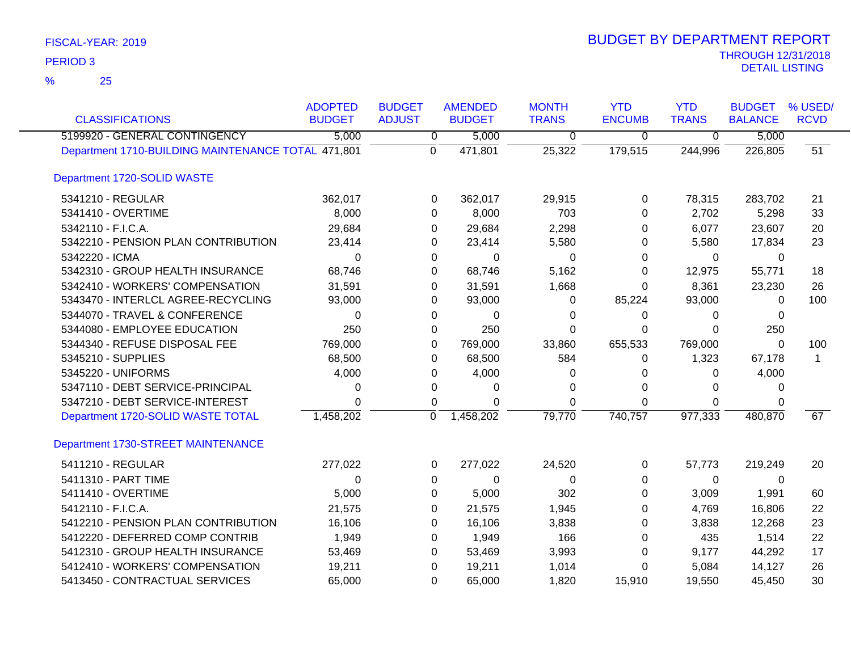| <b>CLASSIFICATIONS</b>                             | <b>ADOPTED</b><br><b>BUDGET</b> | <b>BUDGET</b><br><b>ADJUST</b> | <b>AMENDED</b><br><b>BUDGET</b> | <b>MONTH</b><br><b>TRANS</b> | <b>YTD</b><br><b>ENCUMB</b> | <b>YTD</b><br><b>TRANS</b> | <b>BUDGET</b><br><b>BALANCE</b> | % USED/<br><b>RCVD</b> |
|----------------------------------------------------|---------------------------------|--------------------------------|---------------------------------|------------------------------|-----------------------------|----------------------------|---------------------------------|------------------------|
| 5199920 - GENERAL CONTINGENCY                      | 5,000                           | 0                              | 5,000                           | $\overline{0}$               | $\mathbf 0$                 | $\overline{0}$             | 5,000                           |                        |
| Department 1710-BUILDING MAINTENANCE TOTAL 471,801 |                                 | $\mathbf 0$                    | 471,801                         | 25,322                       | 179,515                     | 244,996                    | 226,805                         | 51                     |
| Department 1720-SOLID WASTE                        |                                 |                                |                                 |                              |                             |                            |                                 |                        |
| 5341210 - REGULAR                                  | 362,017                         | 0                              | 362,017                         | 29,915                       | 0                           | 78,315                     | 283,702                         | 21                     |
| 5341410 - OVERTIME                                 | 8,000                           | 0                              | 8,000                           | 703                          | $\Omega$                    | 2,702                      | 5,298                           | 33                     |
| 5342110 - F.I.C.A.                                 | 29,684                          | 0                              | 29,684                          | 2,298                        | 0                           | 6,077                      | 23,607                          | 20                     |
| 5342210 - PENSION PLAN CONTRIBUTION                | 23,414                          | 0                              | 23,414                          | 5,580                        | 0                           | 5,580                      | 17,834                          | 23                     |
| 5342220 - ICMA                                     | 0                               | 0                              | 0                               | 0                            | 0                           | $\mathbf 0$                | 0                               |                        |
| 5342310 - GROUP HEALTH INSURANCE                   | 68,746                          | 0                              | 68,746                          | 5,162                        | 0                           | 12,975                     | 55,771                          | 18                     |
| 5342410 - WORKERS' COMPENSATION                    | 31,591                          | 0                              | 31,591                          | 1,668                        | $\Omega$                    | 8,361                      | 23,230                          | 26                     |
| 5343470 - INTERLCL AGREE-RECYCLING                 | 93,000                          | 0                              | 93,000                          | 0                            | 85,224                      | 93,000                     | $\Omega$                        | 100                    |
| 5344070 - TRAVEL & CONFERENCE                      | $\Omega$                        | 0                              | $\Omega$                        | 0                            | $\Omega$                    | $\Omega$                   | $\mathbf{0}$                    |                        |
| 5344080 - EMPLOYEE EDUCATION                       | 250                             | 0                              | 250                             | 0                            | 0                           | $\Omega$                   | 250                             |                        |
| 5344340 - REFUSE DISPOSAL FEE                      | 769,000                         | 0                              | 769,000                         | 33,860                       | 655,533                     | 769,000                    | $\Omega$                        | 100                    |
| 5345210 - SUPPLIES                                 | 68,500                          | 0                              | 68,500                          | 584                          | 0                           | 1,323                      | 67,178                          | 1                      |
| 5345220 - UNIFORMS                                 | 4,000                           | 0                              | 4,000                           | 0                            | 0                           | $\Omega$                   | 4,000                           |                        |
| 5347110 - DEBT SERVICE-PRINCIPAL                   | 0                               | 0                              | 0                               | 0                            | $\Omega$                    | $\Omega$                   | $\Omega$                        |                        |
| 5347210 - DEBT SERVICE-INTEREST                    | 0                               | 0                              | $\Omega$                        | 0                            | $\Omega$                    | $\mathbf{0}$               | $\Omega$                        |                        |
| Department 1720-SOLID WASTE TOTAL                  | 1,458,202                       | $\mathbf 0$                    | 1,458,202                       | 79,770                       | 740,757                     | 977,333                    | 480,870                         | 67                     |
| Department 1730-STREET MAINTENANCE                 |                                 |                                |                                 |                              |                             |                            |                                 |                        |
| 5411210 - REGULAR                                  | 277,022                         | 0                              | 277,022                         | 24,520                       | 0                           | 57,773                     | 219,249                         | 20                     |
| 5411310 - PART TIME                                | $\Omega$                        | 0                              | $\Omega$                        | $\Omega$                     | $\Omega$                    | $\mathbf{0}$               | $\Omega$                        |                        |
| 5411410 - OVERTIME                                 | 5,000                           | 0                              | 5,000                           | 302                          | $\Omega$                    | 3,009                      | 1,991                           | 60                     |
| 5412110 - F.I.C.A.                                 | 21,575                          | 0                              | 21,575                          | 1,945                        | $\Omega$                    | 4,769                      | 16,806                          | 22                     |
| 5412210 - PENSION PLAN CONTRIBUTION                | 16,106                          | 0                              | 16,106                          | 3,838                        | 0                           | 3,838                      | 12,268                          | 23                     |
| 5412220 - DEFERRED COMP CONTRIB                    | 1,949                           | 0                              | 1,949                           | 166                          | 0                           | 435                        | 1,514                           | 22                     |
| 5412310 - GROUP HEALTH INSURANCE                   | 53,469                          | 0                              | 53,469                          | 3,993                        | 0                           | 9,177                      | 44,292                          | 17                     |
| 5412410 - WORKERS' COMPENSATION                    | 19,211                          | 0                              | 19,211                          | 1,014                        | 0                           | 5,084                      | 14,127                          | 26                     |
| 5413450 - CONTRACTUAL SERVICES                     | 65,000                          | $\Omega$                       | 65,000                          | 1,820                        | 15,910                      | 19,550                     | 45,450                          | 30                     |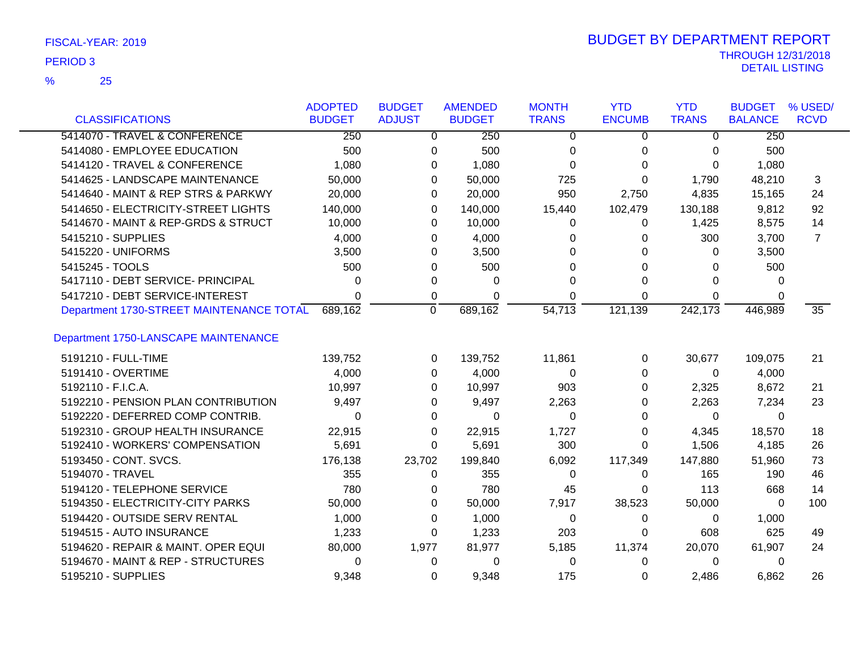| FISCAL-YEAR: 2019 |  |
|-------------------|--|
|                   |  |

25 %

| <b>CLASSIFICATIONS</b>                   | <b>ADOPTED</b><br><b>BUDGET</b> | <b>BUDGET</b><br><b>ADJUST</b> | <b>AMENDED</b><br><b>BUDGET</b> | <b>MONTH</b><br><b>TRANS</b> | <b>YTD</b><br><b>ENCUMB</b> | <b>YTD</b><br><b>TRANS</b> | <b>BUDGET</b><br><b>BALANCE</b> | % USED/<br><b>RCVD</b> |
|------------------------------------------|---------------------------------|--------------------------------|---------------------------------|------------------------------|-----------------------------|----------------------------|---------------------------------|------------------------|
| 5414070 - TRAVEL & CONFERENCE            | 250                             | $\overline{0}$                 | 250                             | $\Omega$                     | $\Omega$                    | $\overline{0}$             | 250                             |                        |
| 5414080 - EMPLOYEE EDUCATION             | 500                             | 0                              | 500                             | 0                            | 0                           | 0                          | 500                             |                        |
| 5414120 - TRAVEL & CONFERENCE            | 1,080                           | 0                              | 1,080                           | 0                            | 0                           | $\Omega$                   | 1,080                           |                        |
| 5414625 - LANDSCAPE MAINTENANCE          | 50,000                          | 0                              | 50,000                          | 725                          | 0                           | 1,790                      | 48,210                          | 3                      |
| 5414640 - MAINT & REP STRS & PARKWY      | 20,000                          | 0                              | 20,000                          | 950                          | 2,750                       | 4,835                      | 15,165                          | 24                     |
| 5414650 - ELECTRICITY-STREET LIGHTS      | 140,000                         | 0                              | 140,000                         | 15,440                       | 102,479                     | 130,188                    | 9,812                           | 92                     |
| 5414670 - MAINT & REP-GRDS & STRUCT      | 10,000                          | 0                              | 10,000                          | 0                            | 0                           | 1,425                      | 8,575                           | 14                     |
| 5415210 - SUPPLIES                       | 4,000                           | 0                              | 4,000                           | 0                            | 0                           | 300                        | 3,700                           | $\overline{7}$         |
| 5415220 - UNIFORMS                       | 3,500                           | 0                              | 3,500                           | 0                            | 0                           | 0                          | 3,500                           |                        |
| 5415245 - TOOLS                          | 500                             | 0                              | 500                             | 0                            | 0                           | 0                          | 500                             |                        |
| 5417110 - DEBT SERVICE- PRINCIPAL        | 0                               | 0                              | 0                               | 0                            | 0                           | 0                          | 0                               |                        |
| 5417210 - DEBT SERVICE-INTEREST          | 0                               | 0                              | 0                               | 0                            | 0                           | 0                          | 0                               |                        |
| Department 1730-STREET MAINTENANCE TOTAL | 689,162                         | $\overline{0}$                 | 689,162                         | $\overline{54,713}$          | 121,139                     | 242,173                    | 446,989                         | $\overline{35}$        |
| Department 1750-LANSCAPE MAINTENANCE     |                                 |                                |                                 |                              |                             |                            |                                 |                        |
| 5191210 - FULL-TIME                      | 139,752                         | 0                              | 139,752                         | 11,861                       | 0                           | 30,677                     | 109,075                         | 21                     |
| 5191410 - OVERTIME                       | 4,000                           | $\Omega$                       | 4,000                           | $\Omega$                     | 0                           | $\Omega$                   | 4,000                           |                        |
| 5192110 - F.I.C.A.                       | 10,997                          | 0                              | 10,997                          | 903                          | 0                           | 2,325                      | 8,672                           | 21                     |
| 5192210 - PENSION PLAN CONTRIBUTION      | 9,497                           | 0                              | 9,497                           | 2,263                        | $\Omega$                    | 2,263                      | 7,234                           | 23                     |
| 5192220 - DEFERRED COMP CONTRIB.         | 0                               | 0                              | $\Omega$                        | $\Omega$                     | 0                           | $\Omega$                   | $\Omega$                        |                        |
| 5192310 - GROUP HEALTH INSURANCE         | 22,915                          | 0                              | 22,915                          | 1,727                        | 0                           | 4,345                      | 18,570                          | 18                     |
| 5192410 - WORKERS' COMPENSATION          | 5,691                           | 0                              | 5,691                           | 300                          | $\Omega$                    | 1,506                      | 4,185                           | 26                     |
| 5193450 - CONT. SVCS.                    | 176,138                         | 23,702                         | 199,840                         | 6,092                        | 117,349                     | 147,880                    | 51,960                          | 73                     |
| 5194070 - TRAVEL                         | 355                             | 0                              | 355                             | 0                            | 0                           | 165                        | 190                             | 46                     |
| 5194120 - TELEPHONE SERVICE              | 780                             | 0                              | 780                             | 45                           | 0                           | 113                        | 668                             | 14                     |
| 5194350 - ELECTRICITY-CITY PARKS         | 50,000                          | 0                              | 50,000                          | 7,917                        | 38,523                      | 50,000                     | $\Omega$                        | 100                    |
| 5194420 - OUTSIDE SERV RENTAL            | 1,000                           | 0                              | 1,000                           | 0                            | 0                           | 0                          | 1,000                           |                        |
| 5194515 - AUTO INSURANCE                 | 1,233                           | 0                              | 1,233                           | 203                          | 0                           | 608                        | 625                             | 49                     |
| 5194620 - REPAIR & MAINT. OPER EQUI      | 80,000                          | 1,977                          | 81,977                          | 5,185                        | 11,374                      | 20,070                     | 61,907                          | 24                     |
| 5194670 - MAINT & REP - STRUCTURES       | 0                               | 0                              | 0                               | 0                            | 0                           | 0                          | 0                               |                        |
| 5195210 - SUPPLIES                       | 9,348                           | 0                              | 9,348                           | 175                          | 0                           | 2,486                      | 6,862                           | 26                     |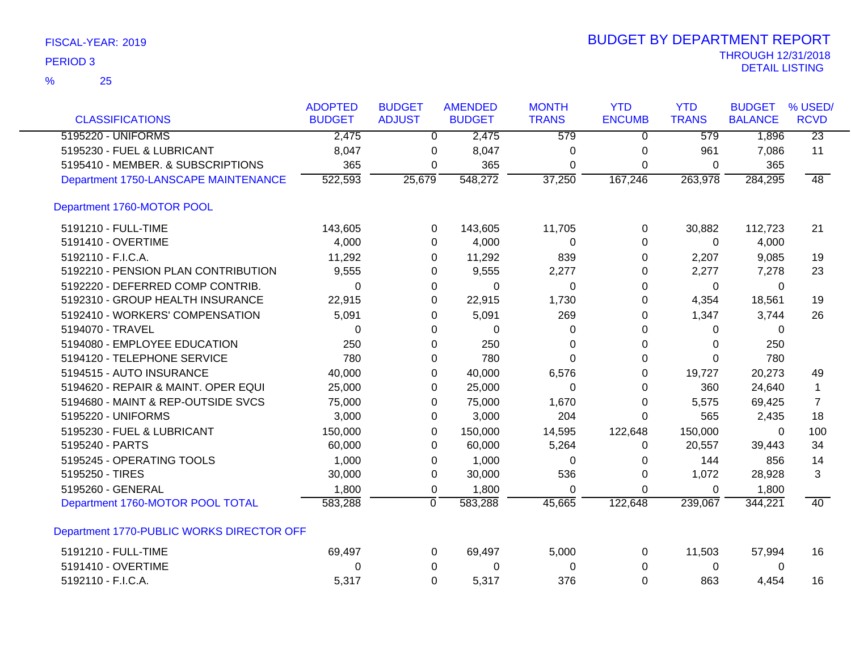| <b>CLASSIFICATIONS</b>                    | <b>ADOPTED</b><br><b>BUDGET</b> | <b>BUDGET</b><br><b>ADJUST</b> | <b>AMENDED</b><br><b>BUDGET</b> | <b>MONTH</b><br><b>TRANS</b> | <b>YTD</b><br><b>ENCUMB</b> | <b>YTD</b><br><b>TRANS</b> | <b>BUDGET</b><br><b>BALANCE</b> | % USED/<br><b>RCVD</b> |
|-------------------------------------------|---------------------------------|--------------------------------|---------------------------------|------------------------------|-----------------------------|----------------------------|---------------------------------|------------------------|
| 5195220 - UNIFORMS                        | 2,475                           | 0                              | 2,475                           | 579                          | 0                           | 579                        | 1,896                           | $\overline{23}$        |
| 5195230 - FUEL & LUBRICANT                | 8,047                           | 0                              | 8,047                           | 0                            | 0                           | 961                        | 7,086                           | 11                     |
| 5195410 - MEMBER. & SUBSCRIPTIONS         | 365                             | 0                              | 365                             | 0                            | 0                           | 0                          | 365                             |                        |
| Department 1750-LANSCAPE MAINTENANCE      | 522,593                         | 25,679                         | 548,272                         | 37,250                       | 167,246                     | 263,978                    | 284,295                         | $\overline{48}$        |
|                                           |                                 |                                |                                 |                              |                             |                            |                                 |                        |
| Department 1760-MOTOR POOL                |                                 |                                |                                 |                              |                             |                            |                                 |                        |
| 5191210 - FULL-TIME                       | 143,605                         | 0                              | 143,605                         | 11,705                       | 0                           | 30,882                     | 112,723                         | 21                     |
| 5191410 - OVERTIME                        | 4,000                           | 0                              | 4,000                           | 0                            | 0                           | 0                          | 4,000                           |                        |
| 5192110 - F.I.C.A.                        | 11,292                          | 0                              | 11,292                          | 839                          | 0                           | 2,207                      | 9,085                           | 19                     |
| 5192210 - PENSION PLAN CONTRIBUTION       | 9,555                           | 0                              | 9,555                           | 2,277                        | 0                           | 2,277                      | 7,278                           | 23                     |
| 5192220 - DEFERRED COMP CONTRIB.          | 0                               | 0                              | 0                               | 0                            | 0                           | 0                          | 0                               |                        |
| 5192310 - GROUP HEALTH INSURANCE          | 22,915                          | 0                              | 22,915                          | 1,730                        | 0                           | 4,354                      | 18,561                          | 19                     |
| 5192410 - WORKERS' COMPENSATION           | 5,091                           | 0                              | 5,091                           | 269                          | 0                           | 1,347                      | 3,744                           | 26                     |
| 5194070 - TRAVEL                          | 0                               | 0                              | 0                               | 0                            | 0                           | 0                          | 0                               |                        |
| 5194080 - EMPLOYEE EDUCATION              | 250                             | 0                              | 250                             | 0                            | 0                           | $\Omega$                   | 250                             |                        |
| 5194120 - TELEPHONE SERVICE               | 780                             | 0                              | 780                             | 0                            | 0                           | $\overline{0}$             | 780                             |                        |
| 5194515 - AUTO INSURANCE                  | 40,000                          | 0                              | 40,000                          | 6,576                        | 0                           | 19,727                     | 20,273                          | 49                     |
| 5194620 - REPAIR & MAINT. OPER EQUI       | 25,000                          | 0                              | 25,000                          | $\Omega$                     | 0                           | 360                        | 24,640                          | $\mathbf 1$            |
| 5194680 - MAINT & REP-OUTSIDE SVCS        | 75,000                          | 0                              | 75,000                          | 1,670                        | 0                           | 5,575                      | 69,425                          | $\overline{7}$         |
| 5195220 - UNIFORMS                        | 3,000                           | 0                              | 3,000                           | 204                          | $\Omega$                    | 565                        | 2,435                           | 18                     |
| 5195230 - FUEL & LUBRICANT                | 150,000                         | 0                              | 150,000                         | 14,595                       | 122,648                     | 150,000                    | 0                               | 100                    |
| 5195240 - PARTS                           | 60,000                          | 0                              | 60,000                          | 5,264                        | 0                           | 20,557                     | 39,443                          | 34                     |
| 5195245 - OPERATING TOOLS                 | 1,000                           | $\Omega$                       | 1,000                           | $\mathbf 0$                  | 0                           | 144                        | 856                             | 14                     |
| 5195250 - TIRES                           | 30,000                          | 0                              | 30,000                          | 536                          | 0                           | 1,072                      | 28,928                          | 3                      |
| 5195260 - GENERAL                         | 1,800                           | 0                              | 1,800                           | 0                            | $\mathbf 0$                 | 0                          | 1,800                           |                        |
| Department 1760-MOTOR POOL TOTAL          | 583,288                         | $\overline{0}$                 | 583,288                         | 45,665                       | 122,648                     | 239,067                    | 344,221                         | 40                     |
| Department 1770-PUBLIC WORKS DIRECTOR OFF |                                 |                                |                                 |                              |                             |                            |                                 |                        |
| 5191210 - FULL-TIME                       | 69,497                          | 0                              | 69,497                          | 5,000                        | 0                           | 11,503                     | 57,994                          | 16                     |
| 5191410 - OVERTIME                        | 0                               | 0                              | 0                               | 0                            | 0                           | 0                          | 0                               |                        |
| 5192110 - F.I.C.A.                        | 5,317                           | 0                              | 5,317                           | 376                          | $\Omega$                    | 863                        | 4,454                           | 16                     |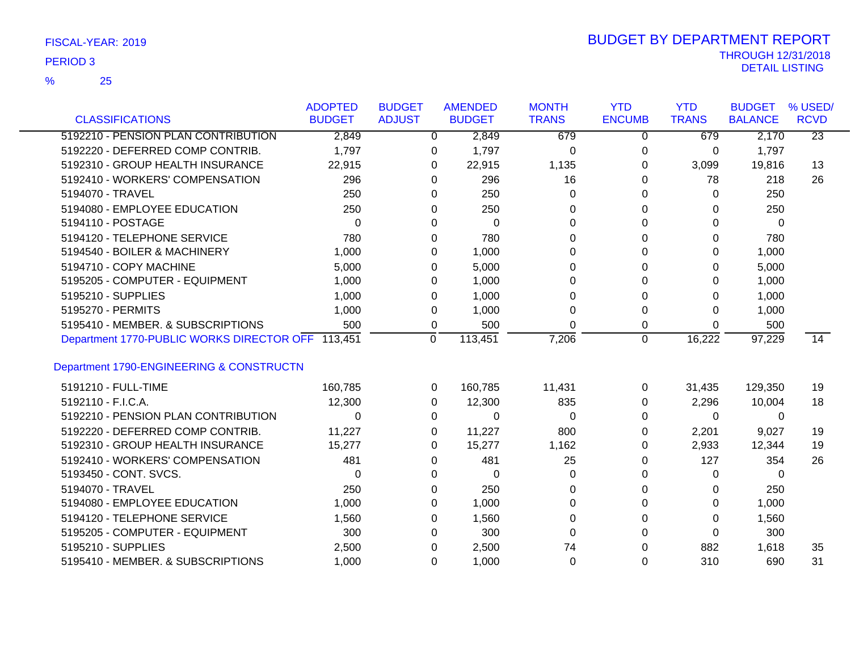25 %

|                                                   | <b>ADOPTED</b> | <b>BUDGET</b> | <b>AMENDED</b> | <b>MONTH</b> | <b>YTD</b>    | <b>YTD</b>   | <b>BUDGET</b>  | % USED/         |
|---------------------------------------------------|----------------|---------------|----------------|--------------|---------------|--------------|----------------|-----------------|
| <b>CLASSIFICATIONS</b>                            | <b>BUDGET</b>  | <b>ADJUST</b> | <b>BUDGET</b>  | <b>TRANS</b> | <b>ENCUMB</b> | <b>TRANS</b> | <b>BALANCE</b> | <b>RCVD</b>     |
| 5192210 - PENSION PLAN CONTRIBUTION               | 2,849          | $\Omega$      | 2,849          | 679          | $\Omega$      | 679          | 2,170          | $\overline{23}$ |
| 5192220 - DEFERRED COMP CONTRIB.                  | 1,797          | 0             | 1,797          | 0            | 0             | 0            | 1,797          |                 |
| 5192310 - GROUP HEALTH INSURANCE                  | 22,915         | 0             | 22,915         | 1,135        | 0             | 3,099        | 19,816         | 13              |
| 5192410 - WORKERS' COMPENSATION                   | 296            | $\Omega$      | 296            | 16           | $\Omega$      | 78           | 218            | 26              |
| 5194070 - TRAVEL                                  | 250            | $\Omega$      | 250            | $\Omega$     | 0             | $\Omega$     | 250            |                 |
| 5194080 - EMPLOYEE EDUCATION                      | 250            | $\Omega$      | 250            | $\Omega$     | 0             | 0            | 250            |                 |
| 5194110 - POSTAGE                                 | $\Omega$       | 0             | 0              | 0            | 0             | 0            | 0              |                 |
| 5194120 - TELEPHONE SERVICE                       | 780            | 0             | 780            | 0            | 0             | 0            | 780            |                 |
| 5194540 - BOILER & MACHINERY                      | 1,000          | 0             | 1,000          | 0            | 0             | 0            | 1,000          |                 |
| 5194710 - COPY MACHINE                            | 5,000          | 0             | 5,000          | 0            | $\Omega$      | 0            | 5,000          |                 |
| 5195205 - COMPUTER - EQUIPMENT                    | 1,000          | 0             | 1,000          | 0            | $\Omega$      | 0            | 1,000          |                 |
| 5195210 - SUPPLIES                                | 1,000          | $\Omega$      | 1,000          | $\Omega$     | 0             | 0            | 1,000          |                 |
| 5195270 - PERMITS                                 | 1,000          | 0             | 1,000          | $\Omega$     | 0             | 0            | 1,000          |                 |
| 5195410 - MEMBER, & SUBSCRIPTIONS                 | 500            | 0             | 500            | $\Omega$     | 0             | 0            | 500            |                 |
| Department 1770-PUBLIC WORKS DIRECTOR OFF 113,451 |                | $\mathbf 0$   | 113,451        | 7,206        | $\mathbf 0$   | 16,222       | 97,229         | 14              |
|                                                   |                |               |                |              |               |              |                |                 |
| Department 1790-ENGINEERING & CONSTRUCTN          |                |               |                |              |               |              |                |                 |
| 5191210 - FULL-TIME                               | 160,785        | 0             | 160,785        | 11,431       | 0             | 31,435       | 129,350        | 19              |
| 5192110 - F.I.C.A.                                | 12,300         | 0             | 12,300         | 835          | 0             | 2,296        | 10,004         | 18              |
| 5192210 - PENSION PLAN CONTRIBUTION               | $\Omega$       | 0             | $\Omega$       | 0            | 0             | 0            | 0              |                 |
| 5192220 - DEFERRED COMP CONTRIB.                  | 11,227         | 0             | 11,227         | 800          | 0             | 2,201        | 9,027          | 19              |
| 5192310 - GROUP HEALTH INSURANCE                  | 15,277         | 0             | 15,277         | 1,162        | 0             | 2,933        | 12,344         | 19              |
| 5192410 - WORKERS' COMPENSATION                   | 481            | $\Omega$      | 481            | 25           | 0             | 127          | 354            | 26              |
| 5193450 - CONT. SVCS.                             | $\Omega$       | 0             | 0              | 0            | 0             | 0            | 0              |                 |
| 5194070 - TRAVEL                                  | 250            | 0             | 250            | 0            | 0             | 0            | 250            |                 |
| 5194080 - EMPLOYEE EDUCATION                      | 1,000          | 0             | 1,000          | $\Omega$     | 0             | 0            | 1,000          |                 |
| 5194120 - TELEPHONE SERVICE                       | 1,560          | 0             | 1,560          | $\Omega$     | $\Omega$      | 0            | 1,560          |                 |
| 5195205 - COMPUTER - EQUIPMENT                    | 300            | 0             | 300            | $\Omega$     | 0             | 0            | 300            |                 |
| 5195210 - SUPPLIES                                | 2,500          | 0             | 2,500          | 74           | 0             | 882          | 1,618          | 35              |
| 5195410 - MEMBER. & SUBSCRIPTIONS                 | 1,000          | $\Omega$      | 1,000          | $\Omega$     | $\Omega$      | 310          | 690            | 31              |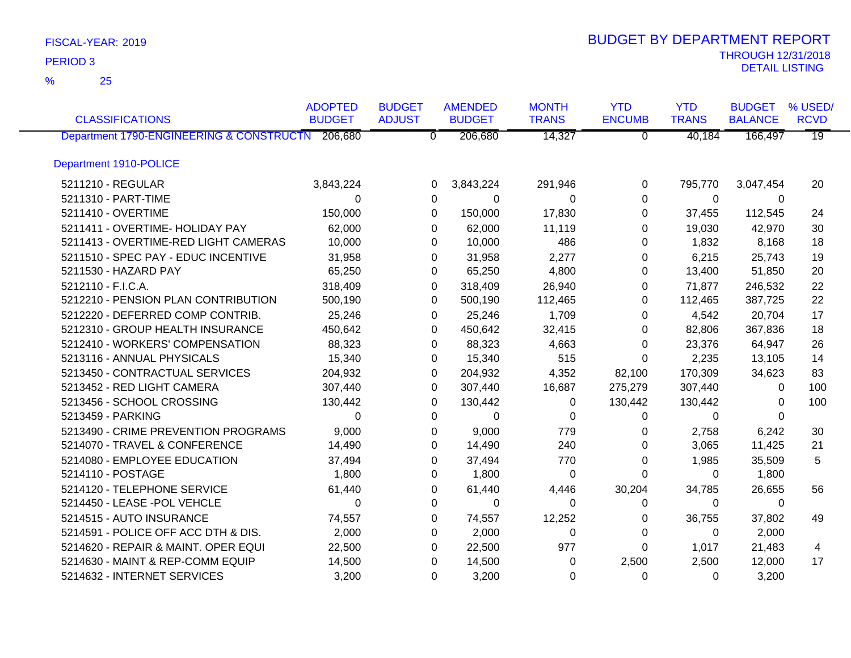25 %

|                                                  | <b>ADOPTED</b> | <b>BUDGET</b>  | <b>AMENDED</b> | <b>MONTH</b> | <b>YTD</b>     | <b>YTD</b>   | <b>BUDGET</b>  | % USED/         |
|--------------------------------------------------|----------------|----------------|----------------|--------------|----------------|--------------|----------------|-----------------|
| <b>CLASSIFICATIONS</b>                           | <b>BUDGET</b>  | <b>ADJUST</b>  | <b>BUDGET</b>  | <b>TRANS</b> | <b>ENCUMB</b>  | <b>TRANS</b> | <b>BALANCE</b> | <b>RCVD</b>     |
| Department 1790-ENGINEERING & CONSTRUCTN 206,680 |                | $\overline{0}$ | 206,680        | 14,327       | $\overline{0}$ | 40,184       | 166,497        | $\overline{19}$ |
| Department 1910-POLICE                           |                |                |                |              |                |              |                |                 |
| 5211210 - REGULAR                                | 3,843,224      | 0              | 3,843,224      | 291,946      | 0              | 795,770      | 3,047,454      | 20              |
| 5211310 - PART-TIME                              | $\Omega$       | 0              | 0              | $\Omega$     | $\Omega$       | $\Omega$     | 0              |                 |
| 5211410 - OVERTIME                               | 150,000        | $\Omega$       | 150,000        | 17,830       | $\Omega$       | 37,455       | 112,545        | 24              |
| 5211411 - OVERTIME- HOLIDAY PAY                  | 62,000         | 0              | 62,000         | 11,119       | $\Omega$       | 19,030       | 42,970         | 30              |
| 5211413 - OVERTIME-RED LIGHT CAMERAS             | 10,000         | 0              | 10,000         | 486          | $\Omega$       | 1,832        | 8,168          | 18              |
| 5211510 - SPEC PAY - EDUC INCENTIVE              | 31,958         | 0              | 31,958         | 2,277        | 0              | 6,215        | 25,743         | 19              |
| 5211530 - HAZARD PAY                             | 65,250         | 0              | 65,250         | 4,800        | 0              | 13,400       | 51,850         | 20              |
| 5212110 - F.I.C.A.                               | 318,409        | 0              | 318,409        | 26,940       | 0              | 71,877       | 246,532        | 22              |
| 5212210 - PENSION PLAN CONTRIBUTION              | 500,190        | 0              | 500,190        | 112,465      | 0              | 112,465      | 387,725        | 22              |
| 5212220 - DEFERRED COMP CONTRIB.                 | 25,246         | 0              | 25,246         | 1,709        | 0              | 4,542        | 20,704         | 17              |
| 5212310 - GROUP HEALTH INSURANCE                 | 450,642        | 0              | 450,642        | 32,415       | 0              | 82,806       | 367,836        | 18              |
| 5212410 - WORKERS' COMPENSATION                  | 88,323         | 0              | 88,323         | 4,663        | 0              | 23,376       | 64,947         | 26              |
| 5213116 - ANNUAL PHYSICALS                       | 15,340         | 0              | 15,340         | 515          | 0              | 2,235        | 13,105         | 14              |
| 5213450 - CONTRACTUAL SERVICES                   | 204,932        | 0              | 204,932        | 4,352        | 82,100         | 170,309      | 34,623         | 83              |
| 5213452 - RED LIGHT CAMERA                       | 307,440        | $\Omega$       | 307,440        | 16,687       | 275,279        | 307,440      | 0              | 100             |
| 5213456 - SCHOOL CROSSING                        | 130,442        | 0              | 130,442        | 0            | 130,442        | 130,442      | 0              | 100             |
| 5213459 - PARKING                                | $\Omega$       | 0              | $\Omega$       | $\Omega$     | 0              | $\Omega$     | $\Omega$       |                 |
| 5213490 - CRIME PREVENTION PROGRAMS              | 9,000          | 0              | 9,000          | 779          | 0              | 2,758        | 6,242          | 30              |
| 5214070 - TRAVEL & CONFERENCE                    | 14,490         | 0              | 14,490         | 240          | 0              | 3,065        | 11,425         | 21              |
| 5214080 - EMPLOYEE EDUCATION                     | 37,494         | 0              | 37,494         | 770          | 0              | 1,985        | 35,509         | 5               |
| 5214110 - POSTAGE                                | 1,800          | 0              | 1,800          | 0            | 0              | 0            | 1,800          |                 |
| 5214120 - TELEPHONE SERVICE                      | 61,440         | 0              | 61,440         | 4,446        | 30,204         | 34,785       | 26,655         | 56              |
| 5214450 - LEASE -POL VEHCLE                      | 0              | 0              | 0              | 0            | 0              | 0            | 0              |                 |
| 5214515 - AUTO INSURANCE                         | 74,557         | 0              | 74,557         | 12,252       | 0              | 36,755       | 37,802         | 49              |
| 5214591 - POLICE OFF ACC DTH & DIS.              | 2,000          | 0              | 2,000          | $\Omega$     | 0              | $\Omega$     | 2,000          |                 |
| 5214620 - REPAIR & MAINT. OPER EQUI              | 22,500         | 0              | 22,500         | 977          | $\Omega$       | 1,017        | 21,483         | 4               |
| 5214630 - MAINT & REP-COMM EQUIP                 | 14,500         | 0              | 14,500         | $\Omega$     | 2,500          | 2,500        | 12,000         | 17              |
| 5214632 - INTERNET SERVICES                      | 3,200          | 0              | 3,200          | $\Omega$     | $\Omega$       | $\Omega$     | 3,200          |                 |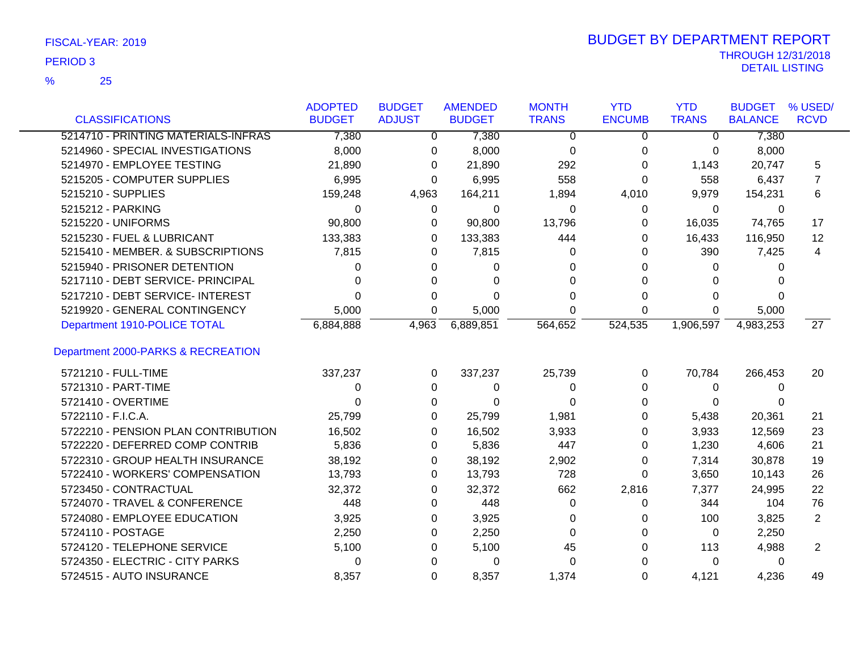25 %

|                                     | <b>ADOPTED</b><br><b>BUDGET</b> | <b>BUDGET</b><br><b>ADJUST</b> | <b>AMENDED</b> | <b>MONTH</b><br><b>TRANS</b> | <b>YTD</b><br><b>ENCUMB</b> | <b>YTD</b><br><b>TRANS</b> | <b>BUDGET</b>  | % USED/<br><b>RCVD</b> |
|-------------------------------------|---------------------------------|--------------------------------|----------------|------------------------------|-----------------------------|----------------------------|----------------|------------------------|
| <b>CLASSIFICATIONS</b>              |                                 |                                | <b>BUDGET</b>  |                              |                             |                            | <b>BALANCE</b> |                        |
| 5214710 - PRINTING MATERIALS-INFRAS | 7,380                           | $\Omega$                       | 7,380          | $\Omega$                     | $\Omega$                    | $\Omega$                   | 7,380          |                        |
| 5214960 - SPECIAL INVESTIGATIONS    | 8,000                           | 0                              | 8,000          | 0                            | 0                           | 0                          | 8,000          |                        |
| 5214970 - EMPLOYEE TESTING          | 21,890                          | 0                              | 21,890         | 292                          | $\Omega$                    | 1,143                      | 20,747         | 5                      |
| 5215205 - COMPUTER SUPPLIES         | 6,995                           | 0                              | 6,995          | 558                          | 0                           | 558                        | 6,437          | 7                      |
| 5215210 - SUPPLIES                  | 159,248                         | 4,963                          | 164,211        | 1,894                        | 4,010                       | 9,979                      | 154,231        | 6                      |
| 5215212 - PARKING                   | 0                               | 0                              | 0              | 0                            | 0                           | 0                          | 0              |                        |
| 5215220 - UNIFORMS                  | 90,800                          | 0                              | 90,800         | 13,796                       | 0                           | 16,035                     | 74,765         | 17                     |
| 5215230 - FUEL & LUBRICANT          | 133,383                         | 0                              | 133,383        | 444                          | 0                           | 16,433                     | 116,950        | 12                     |
| 5215410 - MEMBER. & SUBSCRIPTIONS   | 7,815                           | 0                              | 7,815          | 0                            | 0                           | 390                        | 7,425          | 4                      |
| 5215940 - PRISONER DETENTION        | 0                               | 0                              | 0              | 0                            | 0                           | 0                          | 0              |                        |
| 5217110 - DEBT SERVICE- PRINCIPAL   | 0                               | 0                              | 0              | 0                            | 0                           | 0                          |                |                        |
| 5217210 - DEBT SERVICE- INTEREST    | 0                               | 0                              | 0              | 0                            | 0                           | 0                          | 0              |                        |
| 5219920 - GENERAL CONTINGENCY       | 5,000                           | 0                              | 5,000          | 0                            | 0                           | 0                          | 5,000          |                        |
| Department 1910-POLICE TOTAL        | 6,884,888                       | 4,963                          | 6,889,851      | 564,652                      | 524,535                     | 1,906,597                  | 4,983,253      | 27                     |
| Department 2000-PARKS & RECREATION  |                                 |                                |                |                              |                             |                            |                |                        |
| 5721210 - FULL-TIME                 | 337,237                         | 0                              | 337,237        | 25,739                       | 0                           | 70,784                     | 266,453        | 20                     |
| 5721310 - PART-TIME                 | 0                               | $\Omega$                       | 0              | 0                            | 0                           | 0                          | 0              |                        |
| 5721410 - OVERTIME                  | 0                               | 0                              | $\Omega$       | 0                            | 0                           | 0                          | 0              |                        |
| 5722110 - F.I.C.A.                  | 25,799                          | 0                              | 25,799         | 1,981                        | 0                           | 5,438                      | 20,361         | 21                     |
| 5722210 - PENSION PLAN CONTRIBUTION | 16,502                          | 0                              | 16,502         | 3,933                        | 0                           | 3,933                      | 12,569         | 23                     |
| 5722220 - DEFERRED COMP CONTRIB     | 5,836                           | 0                              | 5,836          | 447                          | 0                           | 1,230                      | 4,606          | 21                     |
| 5722310 - GROUP HEALTH INSURANCE    | 38,192                          | 0                              | 38,192         | 2,902                        | 0                           | 7,314                      | 30,878         | 19                     |
| 5722410 - WORKERS' COMPENSATION     | 13,793                          | 0                              | 13,793         | 728                          | 0                           | 3,650                      | 10,143         | 26                     |
| 5723450 - CONTRACTUAL               | 32,372                          | 0                              | 32,372         | 662                          | 2,816                       | 7,377                      | 24,995         | 22                     |
| 5724070 - TRAVEL & CONFERENCE       | 448                             | 0                              | 448            | 0                            | 0                           | 344                        | 104            | 76                     |
| 5724080 - EMPLOYEE EDUCATION        | 3,925                           | 0                              | 3,925          | 0                            | 0                           | 100                        | 3,825          | 2                      |
| 5724110 - POSTAGE                   | 2,250                           | 0                              | 2,250          | 0                            | 0                           | 0                          | 2,250          |                        |
| 5724120 - TELEPHONE SERVICE         | 5,100                           | 0                              | 5,100          | 45                           | 0                           | 113                        | 4,988          | $\overline{2}$         |
| 5724350 - ELECTRIC - CITY PARKS     | 0                               | 0                              | 0              | 0                            | 0                           | 0                          | 0              |                        |
| 5724515 - AUTO INSURANCE            | 8,357                           | 0                              | 8,357          | 1,374                        | 0                           | 4,121                      | 4,236          | 49                     |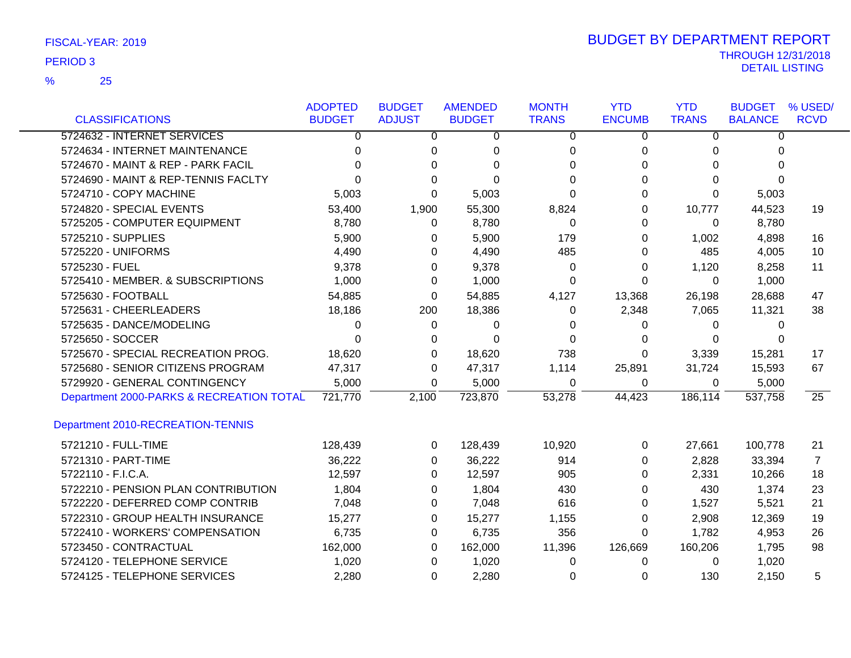|                                          | <b>ADOPTED</b> | <b>BUDGET</b>  | <b>AMENDED</b> | <b>MONTH</b>   | <b>YTD</b>     | <b>YTD</b>     | <b>BUDGET</b>  | % USED/         |
|------------------------------------------|----------------|----------------|----------------|----------------|----------------|----------------|----------------|-----------------|
| <b>CLASSIFICATIONS</b>                   | <b>BUDGET</b>  | <b>ADJUST</b>  | <b>BUDGET</b>  | <b>TRANS</b>   | <b>ENCUMB</b>  | <b>TRANS</b>   | <b>BALANCE</b> | <b>RCVD</b>     |
| 5724632 - INTERNET SERVICES              | 0              | $\overline{0}$ | $\overline{0}$ | $\overline{0}$ | $\overline{0}$ | $\overline{0}$ | $\overline{0}$ |                 |
| 5724634 - INTERNET MAINTENANCE           | 0              | 0              | 0              | 0              | 0              | 0              | 0              |                 |
| 5724670 - MAINT & REP - PARK FACIL       | U              | $\Omega$       | $\Omega$       | $\Omega$       | 0              | 0              | $\Omega$       |                 |
| 5724690 - MAINT & REP-TENNIS FACLTY      |                | 0              | $\Omega$       | 0              | $\Omega$       | 0              | $\Omega$       |                 |
| 5724710 - COPY MACHINE                   | 5,003          | $\Omega$       | 5,003          | 0              | $\Omega$       | $\Omega$       | 5,003          |                 |
| 5724820 - SPECIAL EVENTS                 | 53,400         | 1,900          | 55,300         | 8,824          | 0              | 10,777         | 44,523         | 19              |
| 5725205 - COMPUTER EQUIPMENT             | 8,780          | 0              | 8,780          | $\Omega$       | 0              | $\Omega$       | 8,780          |                 |
| 5725210 - SUPPLIES                       | 5,900          | 0              | 5,900          | 179            | 0              | 1,002          | 4,898          | 16              |
| 5725220 - UNIFORMS                       | 4,490          | $\Omega$       | 4,490          | 485            | 0              | 485            | 4,005          | 10              |
| 5725230 - FUEL                           | 9,378          | 0              | 9,378          | 0              | 0              | 1,120          | 8,258          | 11              |
| 5725410 - MEMBER. & SUBSCRIPTIONS        | 1,000          | $\Omega$       | 1,000          | 0              | $\Omega$       | 0              | 1,000          |                 |
| 5725630 - FOOTBALL                       | 54,885         | 0              | 54,885         | 4,127          | 13,368         | 26,198         | 28,688         | 47              |
| 5725631 - CHEERLEADERS                   | 18,186         | 200            | 18,386         | 0              | 2,348          | 7,065          | 11,321         | 38              |
| 5725635 - DANCE/MODELING                 | 0              | 0              | 0              | 0              | 0              | 0              | 0              |                 |
| 5725650 - SOCCER                         | 0              | 0              | $\Omega$       | $\Omega$       | 0              | 0              | 0              |                 |
| 5725670 - SPECIAL RECREATION PROG.       | 18,620         | $\Omega$       | 18,620         | 738            | 0              | 3,339          | 15,281         | 17              |
| 5725680 - SENIOR CITIZENS PROGRAM        | 47,317         | 0              | 47,317         | 1,114          | 25,891         | 31,724         | 15,593         | 67              |
| 5729920 - GENERAL CONTINGENCY            | 5,000          | 0              | 5,000          | 0              | 0              | 0              | 5,000          |                 |
| Department 2000-PARKS & RECREATION TOTAL | 721,770        | 2,100          | 723,870        | 53,278         | 44,423         | 186,114        | 537,758        | $\overline{25}$ |
| Department 2010-RECREATION-TENNIS        |                |                |                |                |                |                |                |                 |
| 5721210 - FULL-TIME                      | 128,439        | 0              | 128,439        | 10,920         | 0              | 27,661         | 100,778        | 21              |
| 5721310 - PART-TIME                      | 36,222         | 0              | 36,222         | 914            | 0              | 2,828          | 33,394         | $\overline{7}$  |
| 5722110 - F.I.C.A.                       | 12,597         | 0              | 12,597         | 905            | 0              | 2,331          | 10,266         | 18              |
| 5722210 - PENSION PLAN CONTRIBUTION      | 1,804          | $\Omega$       | 1,804          | 430            | 0              | 430            | 1,374          | 23              |
| 5722220 - DEFERRED COMP CONTRIB          | 7,048          | 0              | 7,048          | 616            | 0              | 1,527          | 5,521          | 21              |
| 5722310 - GROUP HEALTH INSURANCE         | 15,277         | 0              | 15,277         | 1,155          | 0              | 2,908          | 12,369         | 19              |
| 5722410 - WORKERS' COMPENSATION          | 6,735          | 0              | 6,735          | 356            | 0              | 1,782          | 4,953          | 26              |
| 5723450 - CONTRACTUAL                    | 162,000        | $\Omega$       | 162,000        | 11,396         | 126,669        | 160,206        | 1,795          | 98              |
| 5724120 - TELEPHONE SERVICE              | 1,020          | 0              | 1,020          | 0              | 0              | 0              | 1,020          |                 |
| 5724125 - TELEPHONE SERVICES             | 2,280          | $\Omega$       | 2,280          | 0              | 0              | 130            | 2,150          | 5               |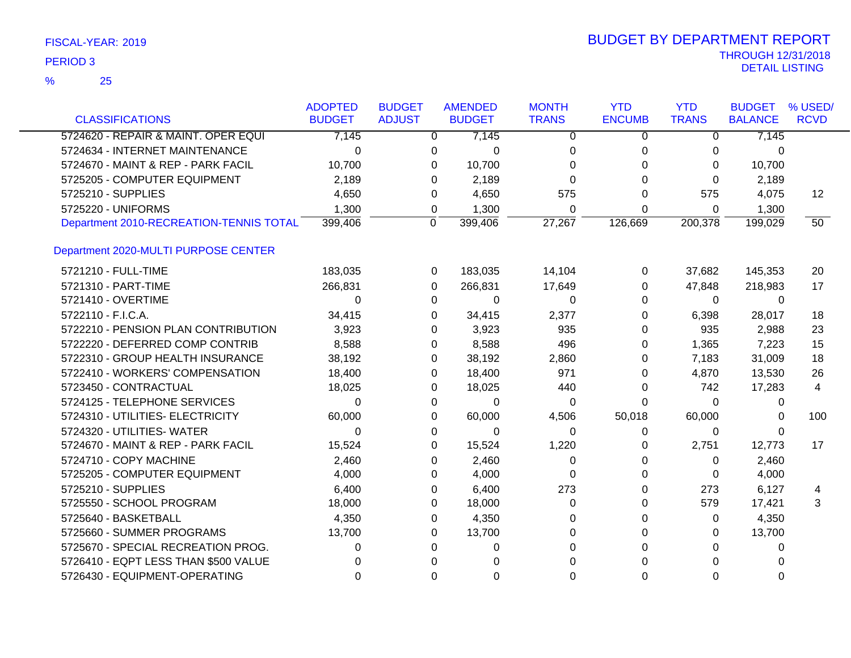|                                         | <b>ADOPTED</b> | <b>BUDGET</b>  | <b>AMENDED</b>       | <b>MONTH</b> | <b>YTD</b>    | <b>YTD</b>   | <b>BUDGET</b>  | % USED/     |
|-----------------------------------------|----------------|----------------|----------------------|--------------|---------------|--------------|----------------|-------------|
| <b>CLASSIFICATIONS</b>                  | <b>BUDGET</b>  | <b>ADJUST</b>  | <b>BUDGET</b>        | <b>TRANS</b> | <b>ENCUMB</b> | <b>TRANS</b> | <b>BALANCE</b> | <b>RCVD</b> |
| 5724620 - REPAIR & MAINT. OPER EQUI     | 7,145          |                | 7,145<br>0           | 0            | 0             | 0            | 7,145          |             |
| 5724634 - INTERNET MAINTENANCE          | $\Omega$       | 0              | 0                    | 0            | 0             | 0            | 0              |             |
| 5724670 - MAINT & REP - PARK FACIL      | 10,700         | $\Omega$       | 10,700               | $\Omega$     | 0             | 0            | 10,700         |             |
| 5725205 - COMPUTER EQUIPMENT            | 2,189          | $\Omega$       | 2,189                | $\Omega$     | $\Omega$      | $\Omega$     | 2,189          |             |
| 5725210 - SUPPLIES                      | 4,650          | 0              | 4,650                | 575          | $\Omega$      | 575          | 4,075          | 12          |
| 5725220 - UNIFORMS                      | 1,300          | 0              | 1,300                | $\Omega$     | $\Omega$      | 0            | 1,300          |             |
| Department 2010-RECREATION-TENNIS TOTAL | 399,406        | $\overline{0}$ | 399,406              | 27,267       | 126,669       | 200,378      | 199,029        | 50          |
| Department 2020-MULTI PURPOSE CENTER    |                |                |                      |              |               |              |                |             |
| 5721210 - FULL-TIME                     | 183,035        |                | 183,035<br>0         | 14,104       | 0             | 37,682       | 145,353        | 20          |
| 5721310 - PART-TIME                     | 266,831        | 0              | 266,831              | 17,649       | 0             | 47,848       | 218,983        | 17          |
| 5721410 - OVERTIME                      | $\Omega$       | $\Omega$       | 0                    | $\Omega$     | 0             | $\Omega$     | 0              |             |
| 5722110 - F.I.C.A.                      | 34,415         |                | 0<br>34,415          | 2,377        | 0             | 6,398        | 28,017         | 18          |
| 5722210 - PENSION PLAN CONTRIBUTION     | 3,923          | $\Omega$       | 3,923                | 935          | 0             | 935          | 2,988          | 23          |
| 5722220 - DEFERRED COMP CONTRIB         | 8,588          | 0              | 8,588                | 496          | 0             | 1,365        | 7,223          | 15          |
| 5722310 - GROUP HEALTH INSURANCE        | 38,192         |                | 38,192<br>0          | 2,860        | 0             | 7,183        | 31,009         | 18          |
| 5722410 - WORKERS' COMPENSATION         | 18,400         |                | 0<br>18,400          | 971          | 0             | 4,870        | 13,530         | 26          |
| 5723450 - CONTRACTUAL                   | 18,025         | 0              | 18,025               | 440          | 0             | 742          | 17,283         | 4           |
| 5724125 - TELEPHONE SERVICES            | $\Omega$       | 0              | 0                    | 0            | 0             | $\Omega$     | 0              |             |
| 5724310 - UTILITIES- ELECTRICITY        | 60,000         | $\Omega$       | 60,000               | 4,506        | 50,018        | 60,000       | 0              | 100         |
| 5724320 - UTILITIES- WATER              | $\Omega$       |                | 0<br>0               | $\Omega$     | 0             | 0            | 0              |             |
| 5724670 - MAINT & REP - PARK FACIL      | 15,524         | $\Omega$       | 15,524               | 1,220        | 0             | 2,751        | 12,773         | 17          |
| 5724710 - COPY MACHINE                  | 2,460          | 0              | 2,460                | $\mathbf 0$  | 0             | 0            | 2,460          |             |
| 5725205 - COMPUTER EQUIPMENT            | 4,000          | $\Omega$       | 4,000                | 0            | 0             | 0            | 4,000          |             |
| 5725210 - SUPPLIES                      | 6,400          | 0              | 6,400                | 273          | 0             | 273          | 6,127          | 4           |
| 5725550 - SCHOOL PROGRAM                | 18,000         | 0              | 18,000               | 0            | 0             | 579          | 17,421         | 3           |
| 5725640 - BASKETBALL                    | 4,350          | 0              | 4,350                | 0            | 0             | 0            | 4,350          |             |
| 5725660 - SUMMER PROGRAMS               | 13,700         | $\Omega$       | 13,700               | $\Omega$     | 0             | 0            | 13,700         |             |
| 5725670 - SPECIAL RECREATION PROG.      | 0              | $\Omega$       | 0                    | $\Omega$     | 0             | 0            | 0              |             |
| 5726410 - EQPT LESS THAN \$500 VALUE    | 0              |                | $\Omega$<br>$\Omega$ | $\Omega$     | $\Omega$      | $\Omega$     | 0              |             |
| 5726430 - EQUIPMENT-OPERATING           | $\Omega$       |                | $\Omega$<br>$\Omega$ | $\Omega$     | $\Omega$      | $\Omega$     | $\Omega$       |             |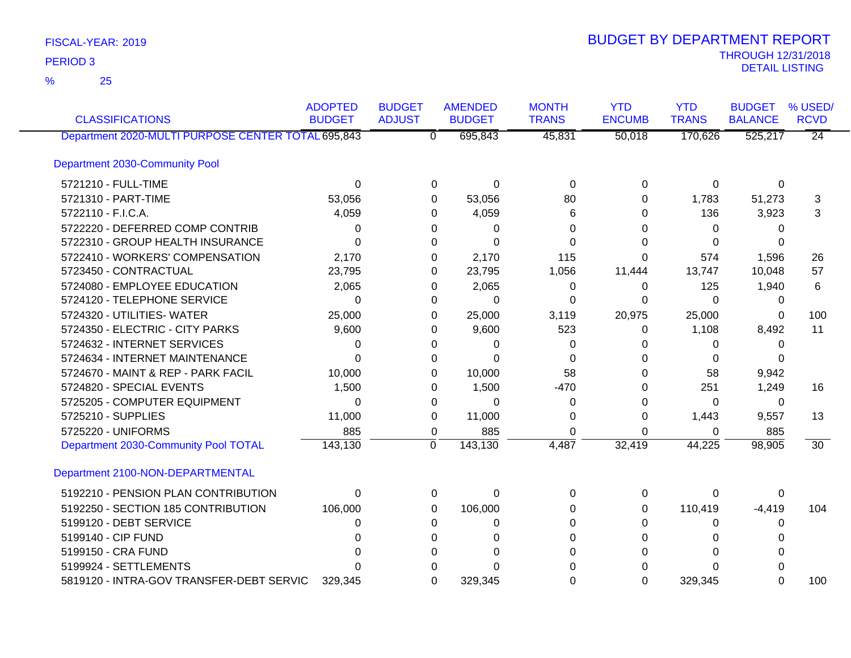25 %

| <b>CLASSIFICATIONS</b>                             | <b>ADOPTED</b><br><b>BUDGET</b> | <b>BUDGET</b><br><b>ADJUST</b> | <b>AMENDED</b><br><b>BUDGET</b> | <b>MONTH</b><br><b>TRANS</b> | <b>YTD</b><br><b>ENCUMB</b> | <b>YTD</b><br><b>TRANS</b> | <b>BUDGET</b><br><b>BALANCE</b> | % USED/<br><b>RCVD</b> |
|----------------------------------------------------|---------------------------------|--------------------------------|---------------------------------|------------------------------|-----------------------------|----------------------------|---------------------------------|------------------------|
| Department 2020-MULTI PURPOSE CENTER TOTAL 695,843 |                                 | $\overline{0}$                 | 695,843                         | 45,831                       | 50,018                      | 170,626                    | 525,217                         | $\overline{24}$        |
| Department 2030-Community Pool                     |                                 |                                |                                 |                              |                             |                            |                                 |                        |
| 5721210 - FULL-TIME                                | 0                               | 0                              | $\mathbf 0$                     | $\mathbf 0$                  | 0                           | $\mathbf 0$                | $\mathbf 0$                     |                        |
| 5721310 - PART-TIME                                | 53,056                          | 0                              | 53,056                          | 80                           | 0                           | 1,783                      | 51,273                          | 3                      |
| 5722110 - F.I.C.A.                                 | 4,059                           | 0                              | 4,059                           | 6                            | 0                           | 136                        | 3,923                           | 3                      |
| 5722220 - DEFERRED COMP CONTRIB                    | 0                               | 0                              | 0                               | 0                            | $\Omega$                    | $\Omega$                   | 0                               |                        |
| 5722310 - GROUP HEALTH INSURANCE                   | 0                               | 0                              | $\Omega$                        | 0                            | 0                           | 0                          | 0                               |                        |
| 5722410 - WORKERS' COMPENSATION                    | 2,170                           | 0                              | 2,170                           | 115                          | $\Omega$                    | 574                        | 1,596                           | 26                     |
| 5723450 - CONTRACTUAL                              | 23,795                          | 0                              | 23,795                          | 1,056                        | 11,444                      | 13,747                     | 10,048                          | 57                     |
| 5724080 - EMPLOYEE EDUCATION                       | 2,065                           | 0                              | 2,065                           | 0                            | 0                           | 125                        | 1,940                           | 6                      |
| 5724120 - TELEPHONE SERVICE                        | 0                               | 0                              | $\Omega$                        | 0                            | $\Omega$                    | $\Omega$                   | 0                               |                        |
| 5724320 - UTILITIES- WATER                         | 25,000                          | 0                              | 25,000                          | 3,119                        | 20,975                      | 25,000                     | 0                               | 100                    |
| 5724350 - ELECTRIC - CITY PARKS                    | 9,600                           | 0                              | 9,600                           | 523                          | 0                           | 1,108                      | 8,492                           | 11                     |
| 5724632 - INTERNET SERVICES                        | 0                               | 0                              | 0                               | 0                            | 0                           | 0                          | 0                               |                        |
| 5724634 - INTERNET MAINTENANCE                     | $\Omega$                        | $\Omega$                       | $\Omega$                        | $\Omega$                     | 0                           | 0                          | O                               |                        |
| 5724670 - MAINT & REP - PARK FACIL                 | 10,000                          | 0                              | 10,000                          | 58                           | 0                           | 58                         | 9,942                           |                        |
| 5724820 - SPECIAL EVENTS                           | 1,500                           | 0                              | 1,500                           | $-470$                       | 0                           | 251                        | 1,249                           | 16                     |
| 5725205 - COMPUTER EQUIPMENT                       | $\Omega$                        | 0                              | 0                               | 0                            | 0                           | 0                          | 0                               |                        |
| 5725210 - SUPPLIES                                 | 11,000                          | 0                              | 11,000                          | $\Omega$                     | 0                           | 1,443                      | 9,557                           | 13                     |
| 5725220 - UNIFORMS                                 | 885                             | $\mathbf 0$                    | 885                             | $\Omega$                     | $\Omega$                    | 0                          | 885                             |                        |
| Department 2030-Community Pool TOTAL               | 143,130                         | $\mathbf 0$                    | 143,130                         | 4,487                        | 32,419                      | 44,225                     | 98,905                          | $\overline{30}$        |
| Department 2100-NON-DEPARTMENTAL                   |                                 |                                |                                 |                              |                             |                            |                                 |                        |
| 5192210 - PENSION PLAN CONTRIBUTION                | 0                               | 0                              | 0                               | $\Omega$                     | 0                           | 0                          | 0                               |                        |
| 5192250 - SECTION 185 CONTRIBUTION                 | 106,000                         | 0                              | 106,000                         | 0                            | 0                           | 110,419                    | $-4,419$                        | 104                    |
| 5199120 - DEBT SERVICE                             | 0                               | $\Omega$                       | 0                               | 0                            | $\Omega$                    | 0                          | 0                               |                        |
| 5199140 - CIP FUND                                 |                                 | 0                              | 0                               | 0                            | 0                           | 0                          | 0                               |                        |
| 5199150 - CRA FUND                                 | n                               | 0                              | $\Omega$                        | 0                            | 0                           | 0                          | 0                               |                        |
| 5199924 - SETTLEMENTS                              | n                               | 0                              | 0                               | 0                            | 0                           | 0                          | 0                               |                        |
| 5819120 - INTRA-GOV TRANSFER-DEBT SERVIC           | 329,345                         | $\Omega$                       | 329,345                         | 0                            | $\Omega$                    | 329,345                    | $\Omega$                        | 100                    |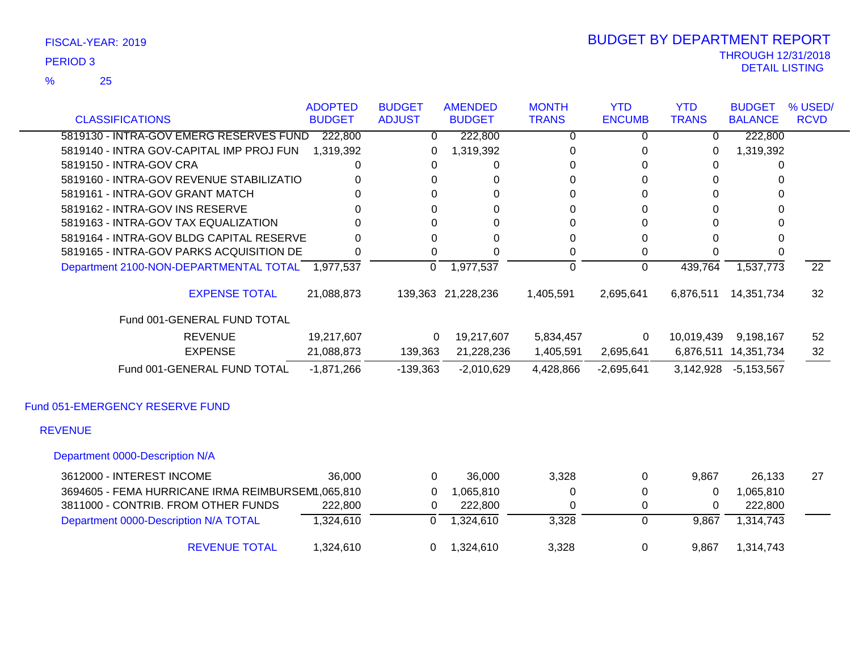25 %

|                                                   | <b>ADOPTED</b> | <b>BUDGET</b>  | <b>AMENDED</b>     | <b>MONTH</b>   | <b>YTD</b>    | <b>YTD</b>   | <b>BUDGET</b>        | % USED/         |
|---------------------------------------------------|----------------|----------------|--------------------|----------------|---------------|--------------|----------------------|-----------------|
| <b>CLASSIFICATIONS</b>                            | <b>BUDGET</b>  | <b>ADJUST</b>  | <b>BUDGET</b>      | <b>TRANS</b>   | <b>ENCUMB</b> | <b>TRANS</b> | <b>BALANCE</b>       | <b>RCVD</b>     |
| 5819130 - INTRA-GOV EMERG RESERVES FUND           | 222,800        | 0              | 222,800            | 0              | 0             | 0            | 222,800              |                 |
| 5819140 - INTRA GOV-CAPITAL IMP PROJ FUN          | 1,319,392      | 0              | 1,319,392          | 0              | 0             | 0            | 1,319,392            |                 |
| 5819150 - INTRA-GOV CRA                           | 0              | 0              | 0                  | 0              | 0             | 0            | 0                    |                 |
| 5819160 - INTRA-GOV REVENUE STABILIZATIO          | 0              | 0              | 0                  | 0              | 0             | 0            | 0                    |                 |
| 5819161 - INTRA-GOV GRANT MATCH                   | 0              | 0              | $\Omega$           | $\Omega$       | $\Omega$      | $\Omega$     | $\Omega$             |                 |
| 5819162 - INTRA-GOV INS RESERVE                   |                | 0              | 0                  | 0              | 0             | $\Omega$     | 0                    |                 |
| 5819163 - INTRA-GOV TAX EQUALIZATION              | $\Omega$       | $\Omega$       | 0                  | 0              | $\Omega$      | $\Omega$     | $\Omega$             |                 |
| 5819164 - INTRA-GOV BLDG CAPITAL RESERVE          | $\Omega$       | 0              | 0                  | 0              | 0             | $\Omega$     | 0                    |                 |
| 5819165 - INTRA-GOV PARKS ACQUISITION DE          | $\Omega$       | $\Omega$       | 0                  | 0              | 0             | 0            | 0                    |                 |
| Department 2100-NON-DEPARTMENTAL TOTAL 1,977,537  |                | $\overline{0}$ | 1,977,537          | $\overline{0}$ | 0             | 439,764      | 1,537,773            | $\overline{22}$ |
| <b>EXPENSE TOTAL</b>                              | 21,088,873     |                | 139,363 21,228,236 | 1,405,591      | 2,695,641     | 6,876,511    | 14,351,734           | 32              |
| Fund 001-GENERAL FUND TOTAL                       |                |                |                    |                |               |              |                      |                 |
| <b>REVENUE</b>                                    | 19,217,607     | 0              | 19,217,607         | 5,834,457      | 0             | 10,019,439   | 9,198,167            | 52              |
| <b>EXPENSE</b>                                    | 21,088,873     | 139,363        | 21,228,236         | 1,405,591      | 2,695,641     |              | 6,876,511 14,351,734 | 32              |
| Fund 001-GENERAL FUND TOTAL                       | $-1,871,266$   | $-139,363$     | $-2,010,629$       | 4,428,866      | $-2,695,641$  | 3,142,928    | $-5,153,567$         |                 |
| Fund 051-EMERGENCY RESERVE FUND                   |                |                |                    |                |               |              |                      |                 |
| <b>REVENUE</b>                                    |                |                |                    |                |               |              |                      |                 |
| Department 0000-Description N/A                   |                |                |                    |                |               |              |                      |                 |
| 3612000 - INTEREST INCOME                         | 36,000         | 0              | 36,000             | 3,328          | 0             | 9,867        | 26,133               | 27              |
| 3694605 - FEMA HURRICANE IRMA REIMBURSEM1,065,810 |                | 0              | 1,065,810          | 0              | 0             | 0            | 1,065,810            |                 |
| 3811000 - CONTRIB. FROM OTHER FUNDS               | 222,800        | 0              | 222,800            | 0              | 0             | 0            | 222,800              |                 |
| Department 0000-Description N/A TOTAL             | 1,324,610      | $\Omega$       | 1,324,610          | 3,328          | $\Omega$      | 9,867        | 1,314,743            |                 |

REVENUE TOTAL 1,324,610 0 1,324,610 3,328 0 9,867 1,314,743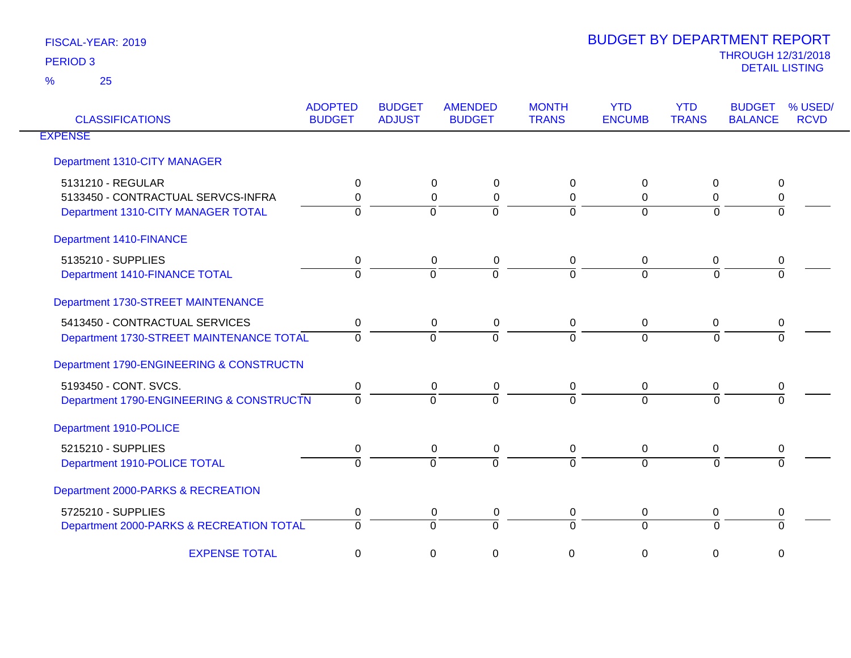| <b>CLASSIFICATIONS</b>                   | <b>ADOPTED</b><br><b>BUDGET</b> | <b>BUDGET</b><br><b>ADJUST</b> | <b>AMENDED</b><br><b>BUDGET</b> | <b>MONTH</b><br><b>TRANS</b> | <b>YTD</b><br><b>ENCUMB</b> | <b>YTD</b><br><b>TRANS</b> | % USED/<br><b>BUDGET</b><br><b>BALANCE</b><br><b>RCVD</b> |
|------------------------------------------|---------------------------------|--------------------------------|---------------------------------|------------------------------|-----------------------------|----------------------------|-----------------------------------------------------------|
| <b>EXPENSE</b>                           |                                 |                                |                                 |                              |                             |                            |                                                           |
| Department 1310-CITY MANAGER             |                                 |                                |                                 |                              |                             |                            |                                                           |
| 5131210 - REGULAR                        | 0                               |                                | 0<br>0                          | 0                            | 0                           | 0                          | 0                                                         |
| 5133450 - CONTRACTUAL SERVCS-INFRA       | $\Omega$                        |                                | $\mathbf 0$<br>$\mathbf 0$      | $\mathbf 0$                  | $\Omega$                    | $\Omega$                   | 0                                                         |
| Department 1310-CITY MANAGER TOTAL       | $\Omega$                        |                                | $\Omega$<br>$\Omega$            | $\Omega$                     | $\Omega$                    | $\Omega$                   | $\Omega$                                                  |
| <b>Department 1410-FINANCE</b>           |                                 |                                |                                 |                              |                             |                            |                                                           |
| 5135210 - SUPPLIES                       | 0                               |                                | 0<br>0                          | 0                            | 0                           | 0                          | 0                                                         |
| Department 1410-FINANCE TOTAL            | $\Omega$                        |                                | $\Omega$<br>$\Omega$            | $\overline{0}$               | $\Omega$                    | $\Omega$                   | $\Omega$                                                  |
| Department 1730-STREET MAINTENANCE       |                                 |                                |                                 |                              |                             |                            |                                                           |
| 5413450 - CONTRACTUAL SERVICES           | $\mathbf 0$                     |                                | 0<br>0                          | 0                            | $\mathbf 0$                 | 0                          | 0                                                         |
| Department 1730-STREET MAINTENANCE TOTAL | $\Omega$                        |                                | $\Omega$<br>$\Omega$            | $\overline{0}$               | $\Omega$                    | $\Omega$                   | $\Omega$                                                  |
| Department 1790-ENGINEERING & CONSTRUCTN |                                 |                                |                                 |                              |                             |                            |                                                           |
| 5193450 - CONT. SVCS.                    | 0                               |                                | $\mathbf 0$<br>$\mathbf 0$      | $\mathbf 0$                  | $\mathbf 0$                 | 0                          | 0                                                         |
| Department 1790-ENGINEERING & CONSTRUCTN | $\Omega$                        |                                | $\Omega$<br>$\Omega$            | $\Omega$                     | $\Omega$                    | $\Omega$                   |                                                           |
| Department 1910-POLICE                   |                                 |                                |                                 |                              |                             |                            |                                                           |
| 5215210 - SUPPLIES                       | 0                               |                                | 0<br>0                          | 0                            | 0                           | 0                          | 0                                                         |
| Department 1910-POLICE TOTAL             | $\Omega$                        |                                | $\Omega$<br>$\Omega$            | $\Omega$                     | $\Omega$                    | $\Omega$                   | $\Omega$                                                  |
| Department 2000-PARKS & RECREATION       |                                 |                                |                                 |                              |                             |                            |                                                           |
| 5725210 - SUPPLIES                       | 0                               |                                | 0<br>0                          | 0                            | 0                           | 0                          | 0                                                         |
| Department 2000-PARKS & RECREATION TOTAL | $\Omega$                        |                                | $\Omega$<br>$\Omega$            | $\mathbf 0$                  | $\Omega$                    | $\Omega$                   | $\Omega$                                                  |
| <b>EXPENSE TOTAL</b>                     | 0                               |                                | 0<br>0                          | 0                            | 0                           | 0                          | $\mathbf 0$                                               |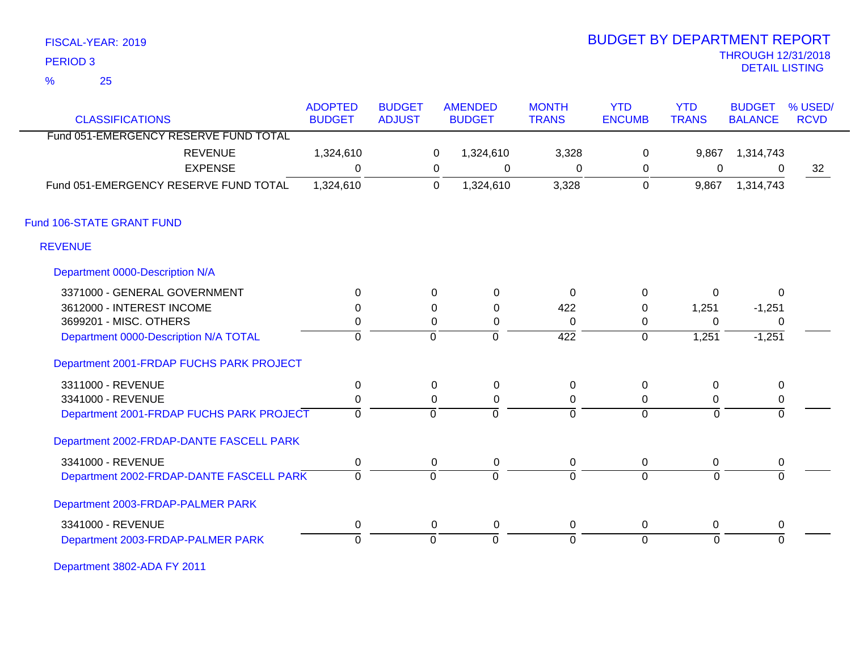| FISCAL-YEAR: 2019 |  |
|-------------------|--|
|                   |  |

25 %

## THROUGH 12/31/2018 DETAIL LISTING PERIOD <sup>3</sup> 2019 BUDGET BY DEPARTMENT REPORT

|                                                                 | <b>ADOPTED</b> | <b>BUDGET</b> |                | <b>AMENDED</b>   | <b>MONTH</b>     | <b>YTD</b>     | <b>YTD</b>     | <b>BUDGET</b>  | % USED/     |
|-----------------------------------------------------------------|----------------|---------------|----------------|------------------|------------------|----------------|----------------|----------------|-------------|
| <b>CLASSIFICATIONS</b><br>Fund 051-EMERGENCY RESERVE FUND TOTAL | <b>BUDGET</b>  | <b>ADJUST</b> |                | <b>BUDGET</b>    | <b>TRANS</b>     | <b>ENCUMB</b>  | <b>TRANS</b>   | <b>BALANCE</b> | <b>RCVD</b> |
|                                                                 |                |               |                |                  |                  |                |                |                |             |
| <b>REVENUE</b>                                                  | 1,324,610      |               | 0              | 1,324,610        | 3,328            | $\mathbf 0$    | 9,867          | 1,314,743      |             |
| <b>EXPENSE</b>                                                  | $\Omega$       |               | 0              | 0                | 0                | 0              | 0              | $\overline{0}$ | 32          |
| Fund 051-EMERGENCY RESERVE FUND TOTAL                           | 1,324,610      |               | $\mathbf 0$    | 1,324,610        | 3,328            | $\pmb{0}$      | 9,867          | 1,314,743      |             |
| Fund 106-STATE GRANT FUND                                       |                |               |                |                  |                  |                |                |                |             |
| <b>REVENUE</b>                                                  |                |               |                |                  |                  |                |                |                |             |
| Department 0000-Description N/A                                 |                |               |                |                  |                  |                |                |                |             |
| 3371000 - GENERAL GOVERNMENT                                    | 0              |               | $\Omega$       | $\mathbf{0}$     | 0                | $\pmb{0}$      | $\Omega$       | $\Omega$       |             |
| 3612000 - INTEREST INCOME                                       | 0              |               | $\Omega$       | $\mathbf{0}$     | 422              | 0              | 1,251          | $-1,251$       |             |
| 3699201 - MISC. OTHERS                                          | 0              |               | 0              | 0                | 0                | 0              | $\Omega$       | 0              |             |
| Department 0000-Description N/A TOTAL                           | ō              |               | $\overline{0}$ | $\mathbf 0$      | $\overline{422}$ | $\mathbf 0$    | 1,251          | $-1,251$       |             |
| Department 2001-FRDAP FUCHS PARK PROJECT                        |                |               |                |                  |                  |                |                |                |             |
| 3311000 - REVENUE                                               | $\pmb{0}$      |               | 0              | $\boldsymbol{0}$ | $\boldsymbol{0}$ | $\mathbf 0$    | $\mathbf 0$    | 0              |             |
| 3341000 - REVENUE                                               | 0              |               | $\Omega$       | 0                | 0                | 0              | $\Omega$       | 0              |             |
| Department 2001-FRDAP FUCHS PARK PROJECT                        | ō              |               | $\overline{0}$ | $\overline{0}$   | $\Omega$         | $\overline{0}$ | $\Omega$       | $\overline{0}$ |             |
| Department 2002-FRDAP-DANTE FASCELL PARK                        |                |               |                |                  |                  |                |                |                |             |
| 3341000 - REVENUE                                               | 0              |               | 0              | 0                | 0                | 0              | 0              | 0              |             |
| Department 2002-FRDAP-DANTE FASCELL PARK                        | $\overline{0}$ |               | $\overline{0}$ | $\overline{0}$   | $\mathbf 0$      | $\overline{0}$ | $\overline{0}$ | $\mathbf 0$    |             |
| Department 2003-FRDAP-PALMER PARK                               |                |               |                |                  |                  |                |                |                |             |
|                                                                 |                |               |                |                  |                  |                |                |                |             |
| Department 2003-FRDAP-PALMER PARK                               | $\Omega$       |               | $\mathbf 0$    | $\overline{0}$   | $\Omega$         | $\overline{0}$ | $\Omega$       | $\Omega$       |             |
| 3341000 - REVENUE                                               | 0              |               | 0              | $\mathbf 0$      | 0                | 0              | 0              | 0              |             |

Department 3802-ADA FY 2011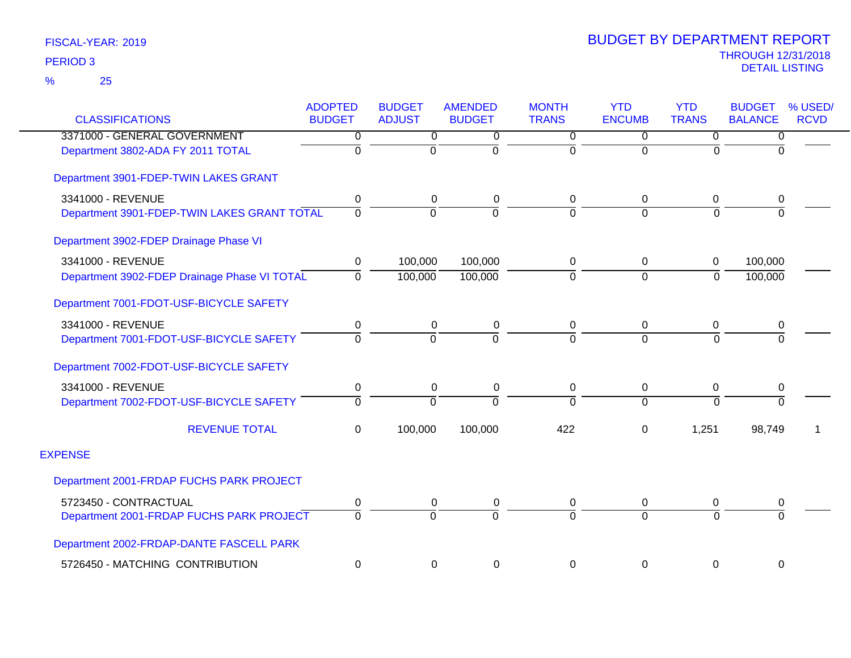| <b>CLASSIFICATIONS</b>                       | <b>ADOPTED</b><br><b>BUDGET</b> | <b>BUDGET</b><br><b>ADJUST</b> | <b>AMENDED</b><br><b>BUDGET</b> | <b>MONTH</b><br><b>TRANS</b> | <b>YTD</b><br><b>ENCUMB</b> | <b>YTD</b><br><b>TRANS</b> | <b>BUDGET</b><br><b>BALANCE</b> | % USED/<br><b>RCVD</b> |
|----------------------------------------------|---------------------------------|--------------------------------|---------------------------------|------------------------------|-----------------------------|----------------------------|---------------------------------|------------------------|
| 3371000 - GENERAL GOVERNMENT                 | 0                               | $\overline{0}$                 | 0                               | $\overline{0}$               | 0                           | $\overline{0}$             | $\overline{0}$                  |                        |
| Department 3802-ADA FY 2011 TOTAL            | $\Omega$                        | $\Omega$                       | $\Omega$                        | $\overline{0}$               | $\Omega$                    | $\Omega$                   | $\overline{0}$                  |                        |
| Department 3901-FDEP-TWIN LAKES GRANT        |                                 |                                |                                 |                              |                             |                            |                                 |                        |
| 3341000 - REVENUE                            | 0                               | 0                              | 0                               | 0                            | $\mathbf 0$                 | 0                          | 0                               |                        |
| Department 3901-FDEP-TWIN LAKES GRANT TOTAL  | $\Omega$                        | $\Omega$                       | $\Omega$                        | $\Omega$                     | $\Omega$                    | $\Omega$                   | $\overline{0}$                  |                        |
| Department 3902-FDEP Drainage Phase VI       |                                 |                                |                                 |                              |                             |                            |                                 |                        |
| 3341000 - REVENUE                            | 0                               | 100,000                        | 100,000                         | 0                            | $\mathbf 0$                 | $\pmb{0}$                  | 100,000                         |                        |
| Department 3902-FDEP Drainage Phase VI TOTAL | $\Omega$                        | 100,000                        | 100,000                         | 0                            | $\mathbf 0$                 | $\mathbf 0$                | 100,000                         |                        |
| Department 7001-FDOT-USF-BICYCLE SAFETY      |                                 |                                |                                 |                              |                             |                            |                                 |                        |
| 3341000 - REVENUE                            | 0                               | 0                              | 0                               | 0                            | 0                           | 0                          | 0                               |                        |
| Department 7001-FDOT-USF-BICYCLE SAFETY      | 0                               | $\Omega$                       | $\Omega$                        | $\overline{0}$               | $\Omega$                    | $\overline{0}$             | $\overline{0}$                  |                        |
| Department 7002-FDOT-USF-BICYCLE SAFETY      |                                 |                                |                                 |                              |                             |                            |                                 |                        |
| 3341000 - REVENUE                            | 0                               | 0                              | $\pmb{0}$                       | $\pmb{0}$                    | $\mathbf 0$                 | $\mathbf 0$                | $\pmb{0}$                       |                        |
| Department 7002-FDOT-USF-BICYCLE SAFETY      | $\overline{0}$                  | $\Omega$                       | $\Omega$                        | $\Omega$                     | $\Omega$                    | $\Omega$                   | $\Omega$                        |                        |
| <b>REVENUE TOTAL</b>                         | $\mathbf{0}$                    | 100,000                        | 100,000                         | 422                          | 0                           | 1,251                      | 98,749                          |                        |
| <b>EXPENSE</b>                               |                                 |                                |                                 |                              |                             |                            |                                 |                        |
| Department 2001-FRDAP FUCHS PARK PROJECT     |                                 |                                |                                 |                              |                             |                            |                                 |                        |
| 5723450 - CONTRACTUAL                        | 0                               | 0                              | 0                               | 0                            | 0                           | 0                          | 0                               |                        |
| Department 2001-FRDAP FUCHS PARK PROJECT     | $\Omega$                        | $\Omega$                       | $\Omega$                        | $\Omega$                     | $\Omega$                    | $\Omega$                   | $\Omega$                        |                        |
| Department 2002-FRDAP-DANTE FASCELL PARK     |                                 |                                |                                 |                              |                             |                            |                                 |                        |
| 5726450 - MATCHING CONTRIBUTION              | 0                               | 0                              | 0                               | 0                            | 0                           | $\pmb{0}$                  | 0                               |                        |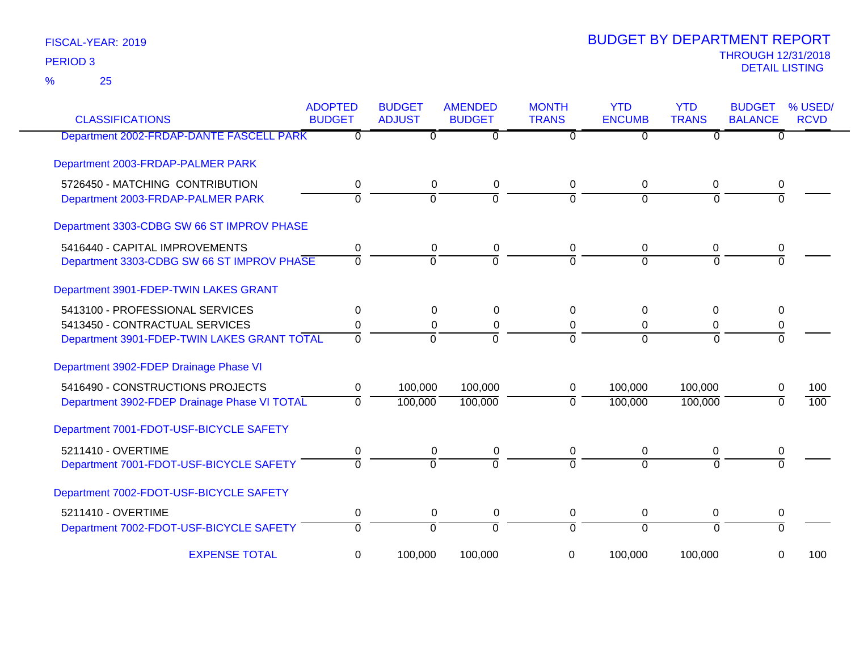25 %

| <b>CLASSIFICATIONS</b>                       | <b>ADOPTED</b><br><b>BUDGET</b> | <b>BUDGET</b><br><b>ADJUST</b> | <b>AMENDED</b><br><b>BUDGET</b> | <b>MONTH</b><br><b>TRANS</b> | <b>YTD</b><br><b>ENCUMB</b> | <b>YTD</b><br><b>TRANS</b> | <b>BUDGET</b><br><b>BALANCE</b> | % USED/<br><b>RCVD</b> |
|----------------------------------------------|---------------------------------|--------------------------------|---------------------------------|------------------------------|-----------------------------|----------------------------|---------------------------------|------------------------|
| Department 2002-FRDAP-DANTE FASCELL PARK     | 0                               | $\Omega$                       | $\overline{0}$                  | $\Omega$                     | 0                           | $\overline{0}$             | $\Omega$                        |                        |
| Department 2003-FRDAP-PALMER PARK            |                                 |                                |                                 |                              |                             |                            |                                 |                        |
| 5726450 - MATCHING CONTRIBUTION              | 0                               | $\pmb{0}$                      | 0                               | $\Omega$                     | 0                           | 0                          | 0                               |                        |
| Department 2003-FRDAP-PALMER PARK            | $\mathbf 0$                     | $\Omega$                       | $\Omega$                        | $\Omega$                     | $\Omega$                    | $\Omega$                   | $\Omega$                        |                        |
| Department 3303-CDBG SW 66 ST IMPROV PHASE   |                                 |                                |                                 |                              |                             |                            |                                 |                        |
| 5416440 - CAPITAL IMPROVEMENTS               | 0                               | 0                              | 0                               | 0                            | 0                           | 0                          | 0                               |                        |
| Department 3303-CDBG SW 66 ST IMPROV PHASE   | $\overline{0}$                  | $\Omega$                       | $\overline{0}$                  | $\Omega$                     | $\Omega$                    | $\Omega$                   | $\Omega$                        |                        |
| Department 3901-FDEP-TWIN LAKES GRANT        |                                 |                                |                                 |                              |                             |                            |                                 |                        |
| 5413100 - PROFESSIONAL SERVICES              | 0                               | 0                              | $\Omega$                        | $\Omega$                     | $\Omega$                    | $\Omega$                   | 0                               |                        |
| 5413450 - CONTRACTUAL SERVICES               | 0                               | 0                              | 0                               | 0                            | 0                           | 0                          | 0                               |                        |
| Department 3901-FDEP-TWIN LAKES GRANT TOTAL  | $\overline{0}$                  | $\Omega$                       | $\Omega$                        | $\Omega$                     | $\Omega$                    | $\Omega$                   | $\Omega$                        |                        |
| Department 3902-FDEP Drainage Phase VI       |                                 |                                |                                 |                              |                             |                            |                                 |                        |
| 5416490 - CONSTRUCTIONS PROJECTS             | 0                               | 100,000                        | 100,000                         | 0                            | 100,000                     | 100,000                    | 0                               | 100                    |
| Department 3902-FDEP Drainage Phase VI TOTAL | $\mathbf{0}$                    | 100,000                        | 100,000                         | $\Omega$                     | 100,000                     | 100,000                    | 0                               | 100                    |
| Department 7001-FDOT-USF-BICYCLE SAFETY      |                                 |                                |                                 |                              |                             |                            |                                 |                        |
| 5211410 - OVERTIME                           | 0                               | 0                              | 0                               | 0                            | 0                           | 0                          | 0                               |                        |
| Department 7001-FDOT-USF-BICYCLE SAFETY      | $\mathbf 0$                     | $\Omega$                       | $\Omega$                        | $\Omega$                     | $\Omega$                    | $\Omega$                   | $\Omega$                        |                        |
| Department 7002-FDOT-USF-BICYCLE SAFETY      |                                 |                                |                                 |                              |                             |                            |                                 |                        |
| 5211410 - OVERTIME                           | 0                               | 0                              | 0                               | 0                            | 0                           | 0                          | 0                               |                        |
| Department 7002-FDOT-USF-BICYCLE SAFETY      | $\overline{0}$                  | $\overline{0}$                 | $\overline{0}$                  | $\Omega$                     | $\Omega$                    | $\Omega$                   | $\Omega$                        |                        |
| <b>EXPENSE TOTAL</b>                         | 0                               | 100,000                        | 100,000                         | 0                            | 100,000                     | 100,000                    | 0                               | 100                    |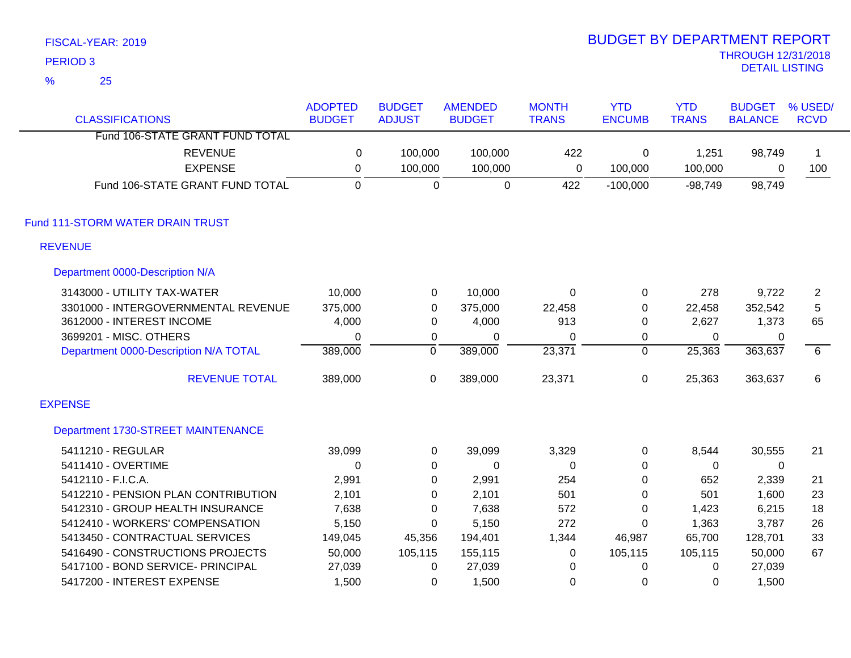|   | <b>PERIOD 3</b>                       |                |                |                |              |                |              | <b>THROUGH 12/31/2018</b><br><b>DETAIL LISTING</b> |                |
|---|---------------------------------------|----------------|----------------|----------------|--------------|----------------|--------------|----------------------------------------------------|----------------|
| % | 25                                    |                |                |                |              |                |              |                                                    |                |
|   |                                       | <b>ADOPTED</b> | <b>BUDGET</b>  | <b>AMENDED</b> | <b>MONTH</b> | <b>YTD</b>     | <b>YTD</b>   | <b>BUDGET</b>                                      | % USED/        |
|   | <b>CLASSIFICATIONS</b>                | <b>BUDGET</b>  | <b>ADJUST</b>  | <b>BUDGET</b>  | <b>TRANS</b> | <b>ENCUMB</b>  | <b>TRANS</b> | <b>BALANCE</b>                                     | <b>RCVD</b>    |
|   | Fund 106-STATE GRANT FUND TOTAL       |                |                |                |              |                |              |                                                    |                |
|   | <b>REVENUE</b>                        | 0              | 100,000        | 100,000        | 422          | 0              | 1,251        | 98,749                                             | $\mathbf 1$    |
|   | <b>EXPENSE</b>                        | 0              | 100,000        | 100,000        | 0            | 100,000        | 100,000      | 0                                                  | 100            |
|   | Fund 106-STATE GRANT FUND TOTAL       | $\mathbf{0}$   | $\overline{0}$ | $\mathbf 0$    | 422          | $-100,000$     | $-98,749$    | 98,749                                             |                |
|   | Fund 111-STORM WATER DRAIN TRUST      |                |                |                |              |                |              |                                                    |                |
|   | <b>REVENUE</b>                        |                |                |                |              |                |              |                                                    |                |
|   | Department 0000-Description N/A       |                |                |                |              |                |              |                                                    |                |
|   | 3143000 - UTILITY TAX-WATER           | 10,000         | $\pmb{0}$      | 10,000         | $\mathbf 0$  | $\mathbf 0$    | 278          | 9,722                                              | $\overline{2}$ |
|   | 3301000 - INTERGOVERNMENTAL REVENUE   | 375,000        | $\mathbf 0$    | 375,000        | 22,458       | 0              | 22,458       | 352,542                                            | 5              |
|   | 3612000 - INTEREST INCOME             | 4,000          | $\mathbf 0$    | 4,000          | 913          | 0              | 2,627        | 1,373                                              | 65             |
|   | 3699201 - MISC. OTHERS                | 0              | 0              | 0              | 0            | 0              | 0            | 0                                                  |                |
|   | Department 0000-Description N/A TOTAL | 389,000        | $\overline{0}$ | 389,000        | 23,371       | $\overline{0}$ | 25,363       | 363,637                                            | $\overline{6}$ |
|   | <b>REVENUE TOTAL</b>                  | 389,000        | 0              | 389,000        | 23,371       | $\mathbf 0$    | 25,363       | 363,637                                            | 6              |
|   | <b>EXPENSE</b>                        |                |                |                |              |                |              |                                                    |                |
|   | Department 1730-STREET MAINTENANCE    |                |                |                |              |                |              |                                                    |                |
|   | 5411210 - REGULAR                     | 39,099         | 0              | 39,099         | 3,329        | 0              | 8,544        | 30,555                                             | 21             |
|   | 5411410 - OVERTIME                    | 0              | 0              | $\mathbf 0$    | 0            | 0              | 0            | 0                                                  |                |
|   | 5412110 - F.I.C.A.                    | 2,991          | $\Omega$       | 2,991          | 254          | $\Omega$       | 652          | 2,339                                              | 21             |
|   | 5412210 - PENSION PLAN CONTRIBUTION   | 2,101          | 0              | 2,101          | 501          | 0              | 501          | 1,600                                              | 23             |
|   | 5412310 - GROUP HEALTH INSURANCE      | 7,638          | 0              | 7,638          | 572          | 0              | 1,423        | 6,215                                              | 18             |
|   | 5412410 - WORKERS' COMPENSATION       | 5,150          | 0              | 5,150          | 272          | $\Omega$       | 1,363        | 3,787                                              | 26             |
|   | 5413450 - CONTRACTUAL SERVICES        | 149,045        | 45,356         | 194,401        | 1,344        | 46,987         | 65,700       | 128,701                                            | 33             |
|   | 5416490 - CONSTRUCTIONS PROJECTS      | 50,000         | 105,115        | 155,115        | 0            | 105,115        | 105,115      | 50,000                                             | 67             |
|   | 5417100 - BOND SERVICE- PRINCIPAL     | 27,039         | $\Omega$       | 27,039         | 0            | $\Omega$       | 0            | 27,039                                             |                |

5417200 - INTEREST EXPENSE 1,500 0 1,500 0 0 0 1,500

# BUDGET BY DEPARTMENT REPORT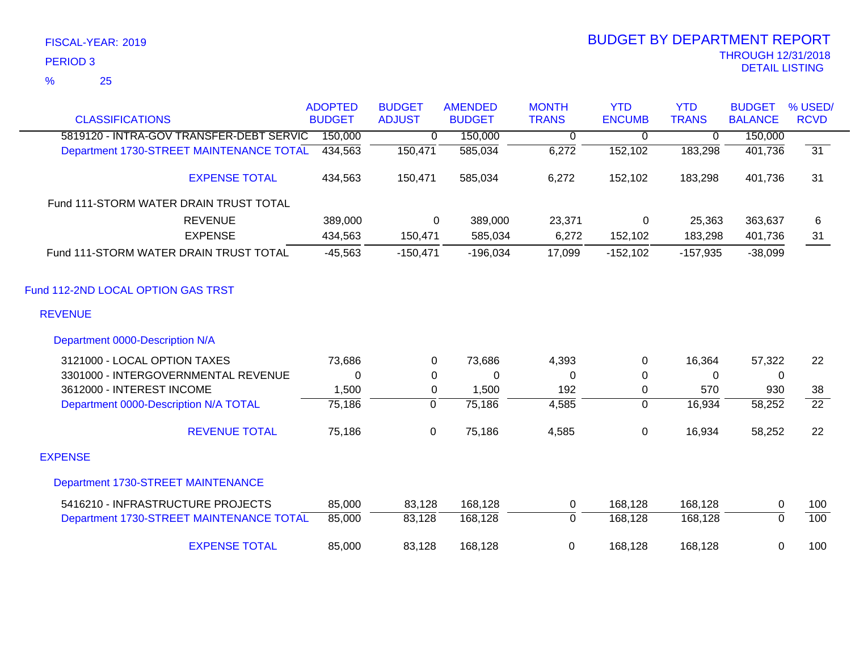## 25 %

|                                          | <b>ADOPTED</b> | <b>BUDGET</b> | <b>AMENDED</b> | <b>MONTH</b>   | <b>YTD</b>     | <b>YTD</b>   | <b>BUDGET</b>  | % USED/         |
|------------------------------------------|----------------|---------------|----------------|----------------|----------------|--------------|----------------|-----------------|
| <b>CLASSIFICATIONS</b>                   | <b>BUDGET</b>  | <b>ADJUST</b> | <b>BUDGET</b>  | <b>TRANS</b>   | <b>ENCUMB</b>  | <b>TRANS</b> | <b>BALANCE</b> | <b>RCVD</b>     |
| 5819120 - INTRA-GOV TRANSFER-DEBT SERVIC | 150,000        | 0             | 150,000        | 0              | $\overline{0}$ | $\mathbf 0$  | 150,000        |                 |
| Department 1730-STREET MAINTENANCE TOTAL | 434,563        | 150,471       | 585,034        | 6,272          | 152,102        | 183,298      | 401,736        | 31              |
| <b>EXPENSE TOTAL</b>                     | 434,563        | 150,471       | 585,034        | 6,272          | 152,102        | 183,298      | 401,736        | 31              |
| Fund 111-STORM WATER DRAIN TRUST TOTAL   |                |               |                |                |                |              |                |                 |
| <b>REVENUE</b>                           | 389,000        | $\mathbf 0$   | 389,000        | 23,371         | $\mathbf 0$    | 25,363       | 363,637        | 6               |
| <b>EXPENSE</b>                           | 434,563        | 150,471       | 585,034        | 6,272          | 152,102        | 183,298      | 401,736        | 31              |
| Fund 111-STORM WATER DRAIN TRUST TOTAL   | $-45,563$      | $-150,471$    | $-196,034$     | 17,099         | $-152,102$     | $-157,935$   | $-38,099$      |                 |
| Fund 112-2ND LOCAL OPTION GAS TRST       |                |               |                |                |                |              |                |                 |
| <b>REVENUE</b>                           |                |               |                |                |                |              |                |                 |
| Department 0000-Description N/A          |                |               |                |                |                |              |                |                 |
| 3121000 - LOCAL OPTION TAXES             | 73,686         | 0             | 73,686         | 4,393          | 0              | 16,364       | 57,322         | 22              |
| 3301000 - INTERGOVERNMENTAL REVENUE      | 0              | 0             | 0              | 0              | 0              | 0            | 0              |                 |
| 3612000 - INTEREST INCOME                | 1,500          | 0             | 1,500          | 192            | 0              | 570          | 930            | 38              |
| Department 0000-Description N/A TOTAL    | 75,186         | $\Omega$      | 75,186         | 4,585          | $\Omega$       | 16,934       | 58,252         | $\overline{22}$ |
| <b>REVENUE TOTAL</b>                     | 75,186         | $\pmb{0}$     | 75,186         | 4,585          | 0              | 16,934       | 58,252         | 22              |
| <b>EXPENSE</b>                           |                |               |                |                |                |              |                |                 |
| Department 1730-STREET MAINTENANCE       |                |               |                |                |                |              |                |                 |
| 5416210 - INFRASTRUCTURE PROJECTS        | 85,000         | 83,128        | 168,128        | 0              | 168,128        | 168,128      | 0              | 100             |
| Department 1730-STREET MAINTENANCE TOTAL | 85,000         | 83,128        | 168,128        | $\overline{0}$ | 168,128        | 168,128      | $\overline{0}$ | 100             |
| <b>EXPENSE TOTAL</b>                     | 85,000         | 83,128        | 168,128        | $\mathbf 0$    | 168,128        | 168,128      | 0              | 100             |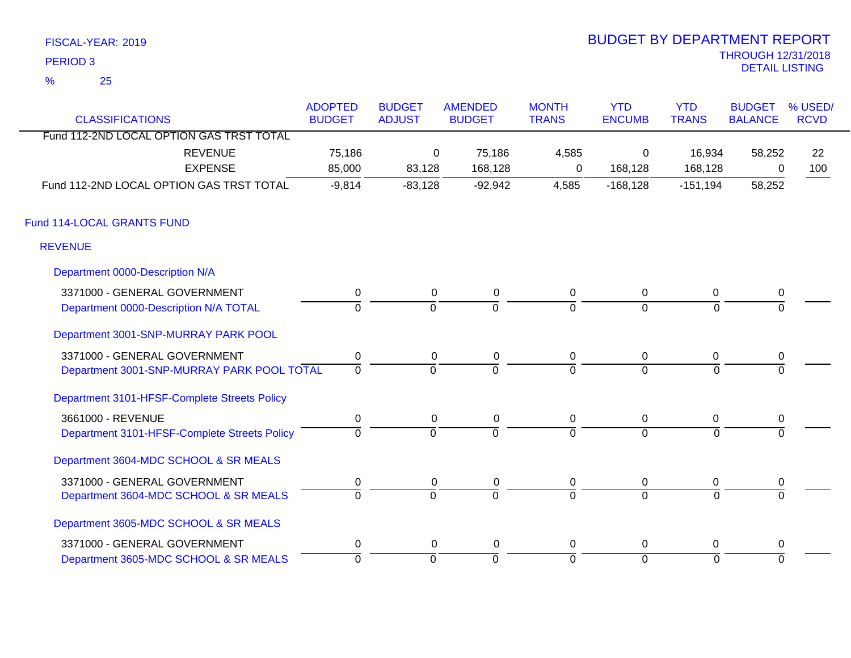| FISCAL-YEAR: 2019 | <b>BUDGET BY DEPARTMENT REPORT</b> |
|-------------------|------------------------------------|
| <b>PERIOD 3</b>   | <b>THROUGH 12/31/201</b>           |
|                   | <b>DETAIL LISTING</b>              |
| $\%$<br>- 25      |                                    |

## THROUGH 12/31/2018 BUDGET BY DEPARTMENT REPORT

| <b>CLASSIFICATIONS</b>                       | <b>ADOPTED</b><br><b>BUDGET</b> | <b>BUDGET</b><br><b>ADJUST</b> | <b>AMENDED</b><br><b>BUDGET</b> | <b>MONTH</b><br><b>TRANS</b> | <b>YTD</b><br><b>ENCUMB</b> | <b>YTD</b><br><b>TRANS</b> | <b>BUDGET</b><br><b>BALANCE</b> | % USED/<br><b>RCVD</b> |
|----------------------------------------------|---------------------------------|--------------------------------|---------------------------------|------------------------------|-----------------------------|----------------------------|---------------------------------|------------------------|
| Fund 112-2ND LOCAL OPTION GAS TRST TOTAL     |                                 |                                |                                 |                              |                             |                            |                                 |                        |
| <b>REVENUE</b>                               | 75,186                          | 0                              | 75,186                          | 4,585                        | 0                           | 16,934                     | 58,252                          | 22                     |
| <b>EXPENSE</b>                               | 85,000                          | 83,128                         | 168,128                         | 0                            | 168,128                     | 168,128                    | 0                               | 100                    |
| Fund 112-2ND LOCAL OPTION GAS TRST TOTAL     | $-9,814$                        | $-83,128$                      | $-92,942$                       | 4,585                        | $-168,128$                  | $-151,194$                 | 58,252                          |                        |
| Fund 114-LOCAL GRANTS FUND                   |                                 |                                |                                 |                              |                             |                            |                                 |                        |
| <b>REVENUE</b>                               |                                 |                                |                                 |                              |                             |                            |                                 |                        |
| Department 0000-Description N/A              |                                 |                                |                                 |                              |                             |                            |                                 |                        |
| 3371000 - GENERAL GOVERNMENT                 | $\pmb{0}$                       | $\mathbf 0$                    | $\pmb{0}$                       | $\mathsf 0$                  | $\overline{0}$              | $\overline{0}$             | $\pmb{0}$                       |                        |
| Department 0000-Description N/A TOTAL        | $\overline{0}$                  | $\Omega$                       | $\Omega$                        | $\overline{0}$               | $\overline{0}$              | $\Omega$                   |                                 |                        |
| Department 3001-SNP-MURRAY PARK POOL         |                                 |                                |                                 |                              |                             |                            |                                 |                        |
| 3371000 - GENERAL GOVERNMENT                 | $\pmb{0}$                       | 0                              | 0                               | 0                            | $\overline{0}$              | $\pmb{0}$                  | 0                               |                        |
| Department 3001-SNP-MURRAY PARK POOL TOTAL   | $\overline{0}$                  | $\overline{0}$                 | $\overline{0}$                  | $\overline{0}$               | $\overline{0}$              | $\Omega$                   |                                 |                        |
| Department 3101-HFSF-Complete Streets Policy |                                 |                                |                                 |                              |                             |                            |                                 |                        |
| 3661000 - REVENUE                            | 0                               | 0                              | 0                               | 0                            | $\mathbf 0$                 | 0                          | 0                               |                        |
| Department 3101-HFSF-Complete Streets Policy | $\overline{0}$                  | ō                              | ō                               | $\overline{0}$               | $\overline{0}$              | $\overline{0}$             | $\Omega$                        |                        |
| Department 3604-MDC SCHOOL & SR MEALS        |                                 |                                |                                 |                              |                             |                            |                                 |                        |
| 3371000 - GENERAL GOVERNMENT                 | 0                               | 0                              | 0                               | 0                            | 0                           | 0                          | 0                               |                        |
| Department 3604-MDC SCHOOL & SR MEALS        | $\overline{0}$                  | $\overline{0}$                 | $\overline{0}$                  | $\overline{0}$               | $\overline{0}$              | $\overline{0}$             |                                 |                        |
| Department 3605-MDC SCHOOL & SR MEALS        |                                 |                                |                                 |                              |                             |                            |                                 |                        |
| 3371000 - GENERAL GOVERNMENT                 | 0                               | 0                              | 0                               | 0                            | 0                           | 0                          | 0                               |                        |
| Department 3605-MDC SCHOOL & SR MEALS        | $\overline{0}$                  | ō                              | ō                               | 0                            | $\overline{0}$              | $\overline{0}$             | $\overline{0}$                  |                        |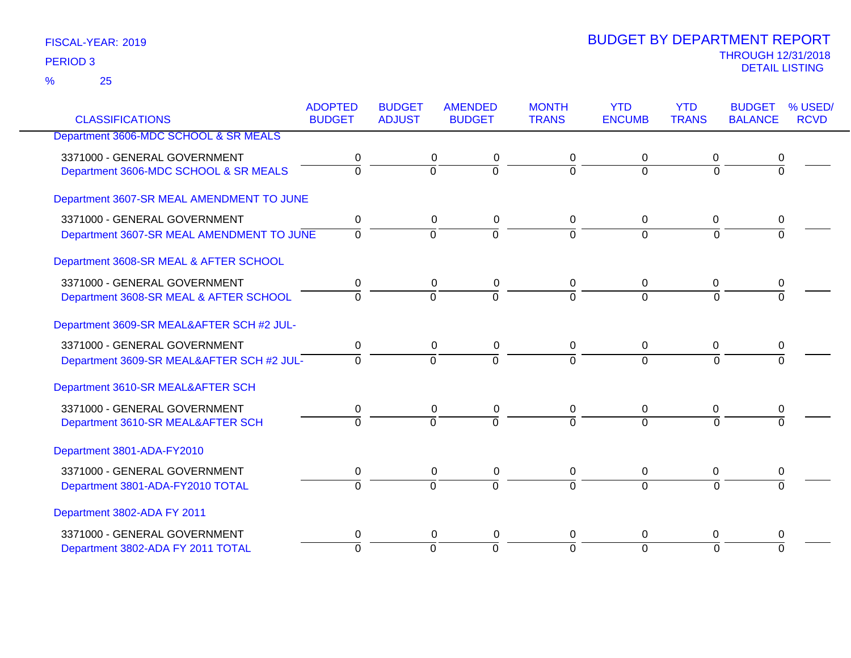|                                           | <b>ADOPTED</b> | <b>BUDGET</b>  | <b>AMENDED</b> | <b>MONTH</b>   | <b>YTD</b>     | <b>YTD</b>     | <b>BUDGET</b>  | % USED/     |
|-------------------------------------------|----------------|----------------|----------------|----------------|----------------|----------------|----------------|-------------|
| <b>CLASSIFICATIONS</b>                    | <b>BUDGET</b>  | <b>ADJUST</b>  | <b>BUDGET</b>  | <b>TRANS</b>   | <b>ENCUMB</b>  | <b>TRANS</b>   | <b>BALANCE</b> | <b>RCVD</b> |
| Department 3606-MDC SCHOOL & SR MEALS     |                |                |                |                |                |                |                |             |
| 3371000 - GENERAL GOVERNMENT              | 0              | 0              | 0              | 0              | 0              | 0              | 0              |             |
| Department 3606-MDC SCHOOL & SR MEALS     | $\overline{0}$ | $\overline{0}$ | $\overline{0}$ | $\overline{0}$ | $\mathbf 0$    | 0              | $\overline{0}$ |             |
| Department 3607-SR MEAL AMENDMENT TO JUNE |                |                |                |                |                |                |                |             |
| 3371000 - GENERAL GOVERNMENT              | $\mathbf 0$    | $\mathbf 0$    | 0              | 0              | 0              | 0              | 0              |             |
| Department 3607-SR MEAL AMENDMENT TO JUNE | $\overline{0}$ | $\overline{0}$ | ō              | $\overline{0}$ | $\overline{0}$ | $\Omega$       | $\Omega$       |             |
| Department 3608-SR MEAL & AFTER SCHOOL    |                |                |                |                |                |                |                |             |
| 3371000 - GENERAL GOVERNMENT              | 0              | 0              | 0              | 0              | $\mathbf 0$    | 0              | 0              |             |
| Department 3608-SR MEAL & AFTER SCHOOL    | $\Omega$       | $\overline{0}$ | $\overline{0}$ | 7              | $\Omega$       | $\overline{0}$ | $\overline{0}$ |             |
| Department 3609-SR MEAL&AFTER SCH #2 JUL- |                |                |                |                |                |                |                |             |
| 3371000 - GENERAL GOVERNMENT              | 0              | 0              | 0              | 0              | 0              | 0              | 0              |             |
| Department 3609-SR MEAL&AFTER SCH #2 JUL- | $\Omega$       | $\Omega$       | $\overline{0}$ | $\Omega$       | $\Omega$       | $\Omega$       | $\Omega$       |             |
| Department 3610-SR MEAL&AFTER SCH         |                |                |                |                |                |                |                |             |
| 3371000 - GENERAL GOVERNMENT              | $\pmb{0}$      | $\mathbf 0$    | $\pmb{0}$      | 0              | $\mathbf 0$    | $\overline{0}$ | 0              |             |
| Department 3610-SR MEAL&AFTER SCH         | $\Omega$       | $\overline{0}$ | $\Omega$       | $\Omega$       | $\Omega$       | $\Omega$       | $\Omega$       |             |
| Department 3801-ADA-FY2010                |                |                |                |                |                |                |                |             |
| 3371000 - GENERAL GOVERNMENT              | 0              | 0              | $\pmb{0}$      | 0              | 0              | 0              | 0              |             |
| Department 3801-ADA-FY2010 TOTAL          | $\overline{0}$ | $\overline{0}$ | $\overline{0}$ | $\overline{0}$ | $\overline{0}$ | $\overline{0}$ | $\overline{0}$ |             |
| Department 3802-ADA FY 2011               |                |                |                |                |                |                |                |             |
| 3371000 - GENERAL GOVERNMENT              | 0              | 0              | 0              | 0              | 0              | 0              | 0              |             |
| Department 3802-ADA FY 2011 TOTAL         | $\Omega$       | $\overline{0}$ | $\overline{0}$ | $\overline{0}$ | $\Omega$       | $\Omega$       | $\Omega$       |             |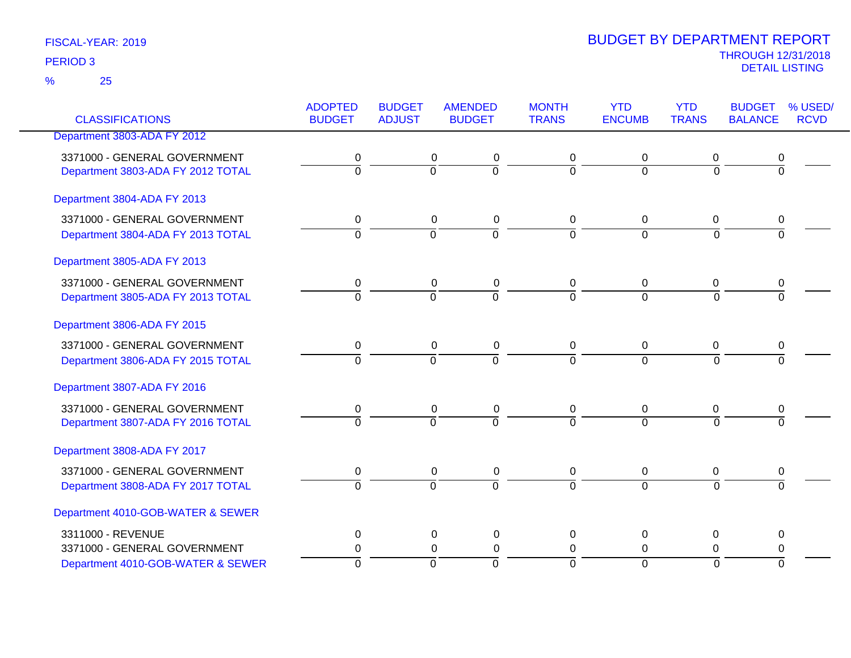25 %

| <b>CLASSIFICATIONS</b>            | <b>ADOPTED</b><br><b>BUDGET</b> | <b>BUDGET</b><br><b>ADJUST</b> | <b>AMENDED</b><br><b>BUDGET</b> | <b>MONTH</b><br><b>TRANS</b> | <b>YTD</b><br><b>ENCUMB</b> | <b>YTD</b><br><b>TRANS</b> | <b>BUDGET</b><br><b>BALANCE</b> | % USED/<br><b>RCVD</b> |
|-----------------------------------|---------------------------------|--------------------------------|---------------------------------|------------------------------|-----------------------------|----------------------------|---------------------------------|------------------------|
|                                   |                                 |                                |                                 |                              |                             |                            |                                 |                        |
| Department 3803-ADA FY 2012       |                                 |                                |                                 |                              |                             |                            |                                 |                        |
| 3371000 - GENERAL GOVERNMENT      | 0                               |                                | 0<br>0                          | 0                            | 0                           | 0                          | 0                               |                        |
| Department 3803-ADA FY 2012 TOTAL | $\overline{0}$                  | $\overline{0}$                 | $\overline{0}$                  | $\overline{0}$               | $\overline{0}$              | $\overline{0}$             | $\overline{0}$                  |                        |
| Department 3804-ADA FY 2013       |                                 |                                |                                 |                              |                             |                            |                                 |                        |
| 3371000 - GENERAL GOVERNMENT      | 0                               |                                | 0<br>$\pmb{0}$                  | 0                            | 0                           | 0                          | 0                               |                        |
| Department 3804-ADA FY 2013 TOTAL | $\overline{0}$                  | $\overline{0}$                 | $\overline{0}$                  | $\overline{0}$               | $\overline{0}$              | $\overline{0}$             | $\overline{0}$                  |                        |
| Department 3805-ADA FY 2013       |                                 |                                |                                 |                              |                             |                            |                                 |                        |
| 3371000 - GENERAL GOVERNMENT      | 0                               |                                | $\pmb{0}$<br>0                  | 0                            | 0                           | 0                          | 0                               |                        |
| Department 3805-ADA FY 2013 TOTAL | $\overline{0}$                  | $\overline{0}$                 | $\overline{0}$                  | $\overline{0}$               | $\overline{0}$              | $\overline{0}$             | $\overline{0}$                  |                        |
| Department 3806-ADA FY 2015       |                                 |                                |                                 |                              |                             |                            |                                 |                        |
| 3371000 - GENERAL GOVERNMENT      | 0                               |                                | $\pmb{0}$<br>0                  | 0                            | 0                           | 0                          | 0                               |                        |
| Department 3806-ADA FY 2015 TOTAL | $\overline{0}$                  | $\overline{0}$                 | $\overline{0}$                  | $\Omega$                     | $\Omega$                    | $\overline{0}$             | $\overline{0}$                  |                        |
| Department 3807-ADA FY 2016       |                                 |                                |                                 |                              |                             |                            |                                 |                        |
| 3371000 - GENERAL GOVERNMENT      | 0                               |                                | $\pmb{0}$<br>0                  | 0                            | 0                           | 0                          | 0                               |                        |
| Department 3807-ADA FY 2016 TOTAL | $\overline{0}$                  | $\Omega$                       | $\overline{0}$                  | $\Omega$                     | $\overline{0}$              | $\Omega$                   | $\overline{0}$                  |                        |
| Department 3808-ADA FY 2017       |                                 |                                |                                 |                              |                             |                            |                                 |                        |
| 3371000 - GENERAL GOVERNMENT      | 0                               |                                | $\pmb{0}$<br>$\pmb{0}$          | 0                            | $\pmb{0}$                   | $\pmb{0}$                  | 0                               |                        |
| Department 3808-ADA FY 2017 TOTAL | $\Omega$                        | $\overline{0}$                 | $\overline{0}$                  | $\Omega$                     | $\Omega$                    | $\Omega$                   | $\overline{0}$                  |                        |
| Department 4010-GOB-WATER & SEWER |                                 |                                |                                 |                              |                             |                            |                                 |                        |
| 3311000 - REVENUE                 | 0                               |                                | $\pmb{0}$<br>$\mathbf 0$        | $\mathbf 0$                  | 0                           | $\mathbf 0$                | 0                               |                        |
| 3371000 - GENERAL GOVERNMENT      | 0                               |                                | $\pmb{0}$<br>0                  | 0                            | $\mathbf 0$                 | 0                          | 0                               |                        |
| Department 4010-GOB-WATER & SEWER | $\Omega$                        | $\overline{0}$                 | $\overline{0}$                  | $\Omega$                     | $\overline{0}$              | $\overline{0}$             | $\overline{0}$                  |                        |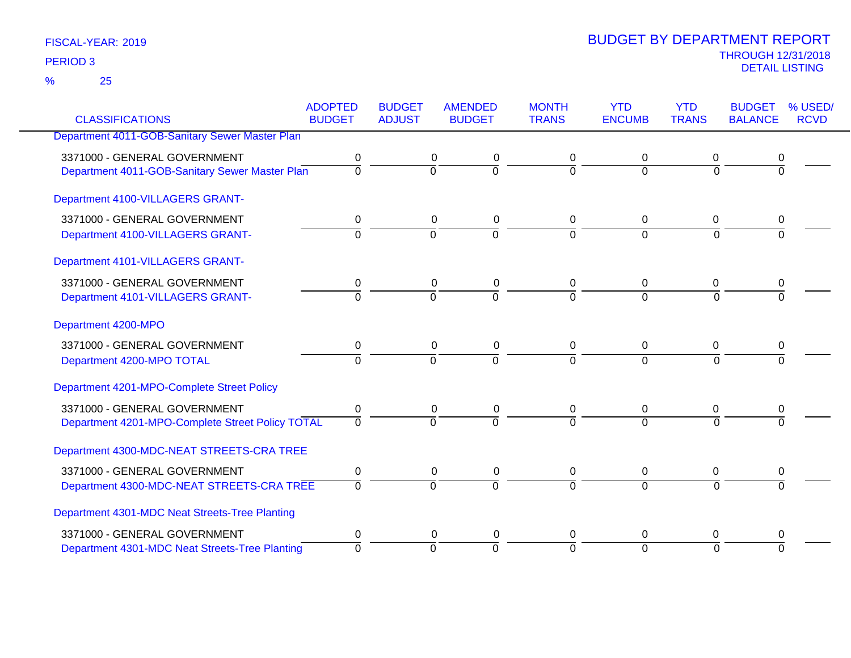25 %

|                                                  | <b>ADOPTED</b> | <b>BUDGET</b>  | <b>AMENDED</b> | <b>MONTH</b>   | <b>YTD</b>     | <b>YTD</b>     | <b>BUDGET</b>  | % USED/     |
|--------------------------------------------------|----------------|----------------|----------------|----------------|----------------|----------------|----------------|-------------|
| <b>CLASSIFICATIONS</b>                           | <b>BUDGET</b>  | <b>ADJUST</b>  | <b>BUDGET</b>  | <b>TRANS</b>   | <b>ENCUMB</b>  | <b>TRANS</b>   | <b>BALANCE</b> | <b>RCVD</b> |
| Department 4011-GOB-Sanitary Sewer Master Plan   |                |                |                |                |                |                |                |             |
| 3371000 - GENERAL GOVERNMENT                     | 0              | 0              | 0              | 0              | 0              | 0              | 0              |             |
| Department 4011-GOB-Sanitary Sewer Master Plan   | $\overline{0}$ | $\overline{0}$ | $\overline{0}$ | $\overline{0}$ | $\mathbf 0$    | $\overline{0}$ | 0              |             |
| Department 4100-VILLAGERS GRANT-                 |                |                |                |                |                |                |                |             |
| 3371000 - GENERAL GOVERNMENT                     | 0              | 0              | $\pmb{0}$      | 0              | $\mathbf 0$    | 0              | 0              |             |
| Department 4100-VILLAGERS GRANT-                 | $\Omega$       | $\mathbf 0$    | $\overline{0}$ | $\Omega$       | $\mathbf 0$    | $\Omega$       | $\Omega$       |             |
| Department 4101-VILLAGERS GRANT-                 |                |                |                |                |                |                |                |             |
| 3371000 - GENERAL GOVERNMENT                     | 0              | 0              | 0              | 0              | 0              | 0              |                |             |
| Department 4101-VILLAGERS GRANT-                 | $\Omega$       | $\Omega$       | $\overline{0}$ | $\Omega$       | $\Omega$       | $\Omega$       | $\Omega$       |             |
| Department 4200-MPO                              |                |                |                |                |                |                |                |             |
| 3371000 - GENERAL GOVERNMENT                     | 0              | 0              | 0              | 0              | 0              | 0              | 0              |             |
| Department 4200-MPO TOTAL                        | $\Omega$       | $\Omega$       | $\overline{0}$ | $\Omega$       | $\Omega$       | $\Omega$       | 0              |             |
| Department 4201-MPO-Complete Street Policy       |                |                |                |                |                |                |                |             |
| 3371000 - GENERAL GOVERNMENT                     | 0              | 0              | 0              | 0              | 0              | 0              | 0              |             |
| Department 4201-MPO-Complete Street Policy TOTAL | $\Omega$       | $\Omega$       | $\Omega$       | $\Omega$       | $\Omega$       | $\Omega$       |                |             |
| Department 4300-MDC-NEAT STREETS-CRA TREE        |                |                |                |                |                |                |                |             |
| 3371000 - GENERAL GOVERNMENT                     | 0              | 0              | $\pmb{0}$      | $\pmb{0}$      | $\mathbf 0$    | $\mathbf 0$    | 0              |             |
| Department 4300-MDC-NEAT STREETS-CRA TREE        | $\mathbf 0$    | $\overline{0}$ | $\Omega$       | $\Omega$       | $\overline{0}$ | $\Omega$       | $\Omega$       |             |
| Department 4301-MDC Neat Streets-Tree Planting   |                |                |                |                |                |                |                |             |
| 3371000 - GENERAL GOVERNMENT                     | 0              | 0              | 0              | 0              | 0              | 0              | 0              |             |
| Department 4301-MDC Neat Streets-Tree Planting   | $\Omega$       | $\mathbf 0$    | $\Omega$       | $\Omega$       | $\overline{0}$ | $\Omega$       | 0              |             |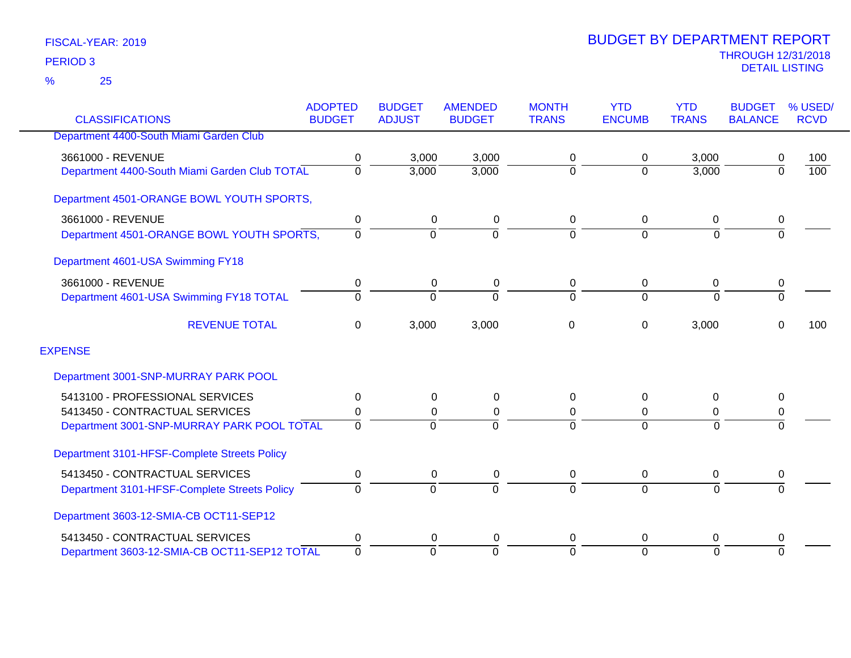|                                               | <b>ADOPTED</b> | <b>BUDGET</b>  | <b>AMENDED</b> | <b>MONTH</b>   | <b>YTD</b>    | <b>YTD</b>     | <b>BUDGET</b>  | % USED/          |
|-----------------------------------------------|----------------|----------------|----------------|----------------|---------------|----------------|----------------|------------------|
| <b>CLASSIFICATIONS</b>                        | <b>BUDGET</b>  | <b>ADJUST</b>  | <b>BUDGET</b>  | <b>TRANS</b>   | <b>ENCUMB</b> | <b>TRANS</b>   | <b>BALANCE</b> | <b>RCVD</b>      |
| Department 4400-South Miami Garden Club       |                |                |                |                |               |                |                |                  |
| 3661000 - REVENUE                             | 0              | 3,000          | 3,000          | 0              | 0             | 3,000          | 0              | 100              |
| Department 4400-South Miami Garden Club TOTAL | 0              | 3,000          | 3,000          | $\mathbf 0$    | $\Omega$      | 3,000          | $\overline{0}$ | $\overline{100}$ |
| Department 4501-ORANGE BOWL YOUTH SPORTS,     |                |                |                |                |               |                |                |                  |
| 3661000 - REVENUE                             | 0              | 0              | 0              | 0              | 0             | 0              | 0              |                  |
| Department 4501-ORANGE BOWL YOUTH SPORTS,     | $\Omega$       | $\overline{0}$ | $\Omega$       | $\overline{0}$ | $\Omega$      | $\overline{0}$ | $\overline{0}$ |                  |
| Department 4601-USA Swimming FY18             |                |                |                |                |               |                |                |                  |
| 3661000 - REVENUE                             | 0              | 0              | 0              | 0              | 0             | 0              | 0              |                  |
| Department 4601-USA Swimming FY18 TOTAL       | $\Omega$       | $\Omega$       | $\Omega$       | $\Omega$       | $\Omega$      | $\Omega$       | $\overline{0}$ |                  |
| <b>REVENUE TOTAL</b>                          | 0              | 3,000          | 3,000          | 0              | 0             | 3,000          | $\Omega$       | 100              |
| <b>EXPENSE</b>                                |                |                |                |                |               |                |                |                  |
| Department 3001-SNP-MURRAY PARK POOL          |                |                |                |                |               |                |                |                  |
| 5413100 - PROFESSIONAL SERVICES               | 0              | 0              | 0              | 0              | $\Omega$      | $\Omega$       | 0              |                  |
| 5413450 - CONTRACTUAL SERVICES                | 0              | 0              | 0              | 0              | 0             | 0              | 0              |                  |
| Department 3001-SNP-MURRAY PARK POOL TOTAL    | $\Omega$       | $\Omega$       |                | $\Omega$       | $\Omega$      | $\Omega$       | $\Omega$       |                  |
| Department 3101-HFSF-Complete Streets Policy  |                |                |                |                |               |                |                |                  |
| 5413450 - CONTRACTUAL SERVICES                | 0              | 0              | 0              | 0              | 0             | 0              | 0              |                  |
| Department 3101-HFSF-Complete Streets Policy  | $\Omega$       | $\overline{0}$ | $\Omega$       | 0              | $\Omega$      | $\overline{0}$ | $\Omega$       |                  |
| Department 3603-12-SMIA-CB OCT11-SEP12        |                |                |                |                |               |                |                |                  |
| 5413450 - CONTRACTUAL SERVICES                | 0              | 0              | 0              | 0              | $\Omega$      | 0              | 0              |                  |
| Department 3603-12-SMIA-CB OCT11-SEP12 TOTAL  | $\overline{0}$ | $\Omega$       | $\Omega$       | $\overline{0}$ | $\Omega$      | $\Omega$       | $\Omega$       |                  |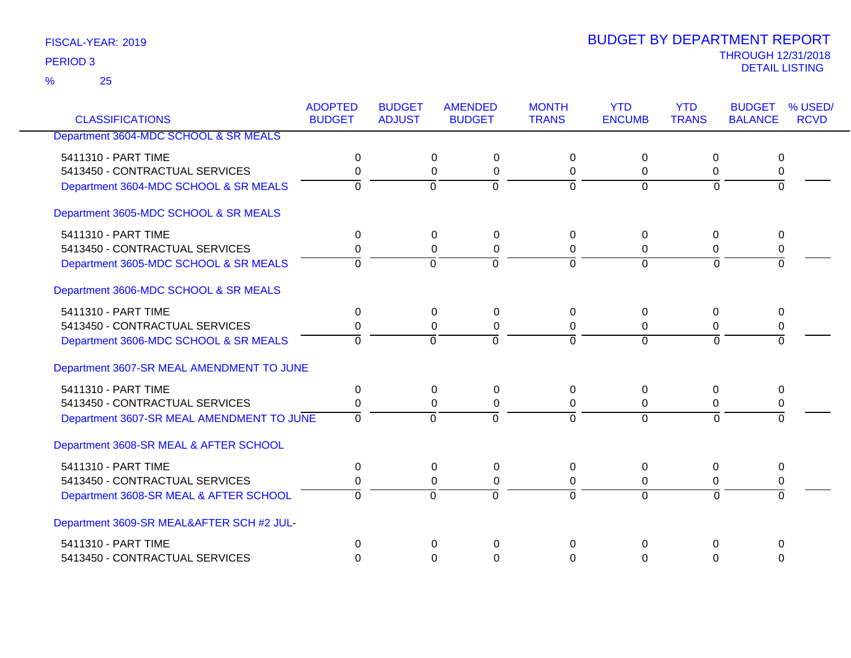25 %

|                                           | <b>ADOPTED</b> | <b>BUDGET</b>  | <b>AMENDED</b>        | <b>MONTH</b>   | <b>YTD</b>     | <b>YTD</b>     | <b>BUDGET</b>  | % USED/     |
|-------------------------------------------|----------------|----------------|-----------------------|----------------|----------------|----------------|----------------|-------------|
| <b>CLASSIFICATIONS</b>                    | <b>BUDGET</b>  | <b>ADJUST</b>  | <b>BUDGET</b>         | <b>TRANS</b>   | <b>ENCUMB</b>  | <b>TRANS</b>   | <b>BALANCE</b> | <b>RCVD</b> |
| Department 3604-MDC SCHOOL & SR MEALS     |                |                |                       |                |                |                |                |             |
| 5411310 - PART TIME                       | $\Omega$       |                | $\Omega$<br>0         | $\Omega$       | $\Omega$       | 0              | $\Omega$       |             |
| 5413450 - CONTRACTUAL SERVICES            | 0              |                | 0<br>0                | 0              | 0              | 0              | 0              |             |
| Department 3604-MDC SCHOOL & SR MEALS     | $\Omega$       | $\overline{0}$ | ō                     | $\overline{0}$ | $\overline{0}$ | $\overline{0}$ | $\overline{0}$ |             |
| Department 3605-MDC SCHOOL & SR MEALS     |                |                |                       |                |                |                |                |             |
| 5411310 - PART TIME                       | 0              |                | $\pmb{0}$<br>0        | 0              | $\Omega$       | 0              | 0              |             |
| 5413450 - CONTRACTUAL SERVICES            | 0              |                | $\boldsymbol{0}$<br>0 | 0              | $\Omega$       | 0              | 0              |             |
| Department 3605-MDC SCHOOL & SR MEALS     | $\Omega$       | $\Omega$       | $\Omega$              | $\Omega$       | $\Omega$       | $\Omega$       | $\Omega$       |             |
| Department 3606-MDC SCHOOL & SR MEALS     |                |                |                       |                |                |                |                |             |
| 5411310 - PART TIME                       | 0              |                | 0<br>0                | 0              | 0              | 0              | 0              |             |
| 5413450 - CONTRACTUAL SERVICES            | 0              |                | $\Omega$<br>0         | 0              | $\Omega$       | 0              | 0              |             |
| Department 3606-MDC SCHOOL & SR MEALS     | $\Omega$       | $\overline{0}$ | $\overline{0}$        | $\Omega$       | $\overline{0}$ | $\overline{0}$ | $\overline{0}$ |             |
| Department 3607-SR MEAL AMENDMENT TO JUNE |                |                |                       |                |                |                |                |             |
| 5411310 - PART TIME                       | $\Omega$       |                | $\Omega$<br>$\Omega$  | $\Omega$       | $\Omega$       | $\Omega$       | $\Omega$       |             |
| 5413450 - CONTRACTUAL SERVICES            | 0              |                | 0<br>0                | $\Omega$       | $\Omega$       | 0              | 0              |             |
| Department 3607-SR MEAL AMENDMENT TO JUNE | $\Omega$       | $\Omega$       | $\Omega$              | $\Omega$       | $\Omega$       | $\Omega$       | $\Omega$       |             |
| Department 3608-SR MEAL & AFTER SCHOOL    |                |                |                       |                |                |                |                |             |
| 5411310 - PART TIME                       | 0              |                | 0<br>0                | 0              | 0              | 0              | 0              |             |
| 5413450 - CONTRACTUAL SERVICES            | 0              |                | 0<br>0                | 0              | 0              | 0              | 0              |             |
| Department 3608-SR MEAL & AFTER SCHOOL    | $\Omega$       | $\overline{0}$ | $\overline{0}$        | $\Omega$       | $\overline{0}$ | $\overline{0}$ | $\Omega$       |             |
| Department 3609-SR MEAL&AFTER SCH #2 JUL- |                |                |                       |                |                |                |                |             |
| 5411310 - PART TIME                       | $\Omega$       |                | $\Omega$<br>$\Omega$  | $\mathbf 0$    | 0              | 0              | 0              |             |
| 5413450 - CONTRACTUAL SERVICES            | $\Omega$       |                | $\Omega$<br>$\Omega$  | $\Omega$       | $\Omega$       | $\Omega$       | $\Omega$       |             |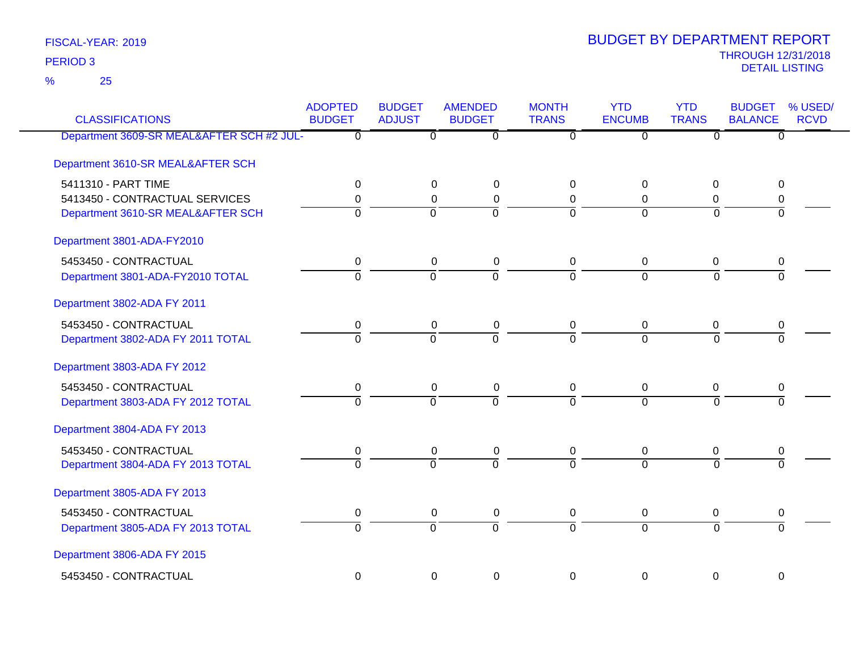25 %

| <b>CLASSIFICATIONS</b>                    | <b>ADOPTED</b><br><b>BUDGET</b> | <b>BUDGET</b><br><b>ADJUST</b> | <b>AMENDED</b><br><b>BUDGET</b> | <b>MONTH</b><br><b>TRANS</b> | <b>YTD</b><br><b>ENCUMB</b> | <b>YTD</b><br><b>TRANS</b> | <b>BUDGET</b><br><b>BALANCE</b> | % USED/<br><b>RCVD</b> |
|-------------------------------------------|---------------------------------|--------------------------------|---------------------------------|------------------------------|-----------------------------|----------------------------|---------------------------------|------------------------|
| Department 3609-SR MEAL&AFTER SCH #2 JUL- | $\overline{\mathfrak{o}}$       | $\overline{\mathfrak{o}}$      | $\overline{\mathfrak{o}}$       | $\overline{0}$               | $\overline{\mathfrak{o}}$   | $\overline{\mathfrak{o}}$  | $\overline{0}$                  |                        |
| Department 3610-SR MEAL&AFTER SCH         |                                 |                                |                                 |                              |                             |                            |                                 |                        |
| 5411310 - PART TIME                       | 0                               | 0                              | 0                               | $\Omega$                     | 0                           | 0                          | 0                               |                        |
| 5413450 - CONTRACTUAL SERVICES            | 0                               | 0                              | $\pmb{0}$                       | 0                            | $\Omega$                    | 0                          | 0                               |                        |
| Department 3610-SR MEAL&AFTER SCH         | $\overline{0}$                  | $\Omega$                       | $\overline{0}$                  | $\overline{0}$               | $\Omega$                    | $\Omega$                   | ō                               |                        |
| Department 3801-ADA-FY2010                |                                 |                                |                                 |                              |                             |                            |                                 |                        |
| 5453450 - CONTRACTUAL                     | $\mathbf 0$                     | $\mathbf 0$                    | $\pmb{0}$                       | $\mathbf 0$                  | $\mathbf 0$                 | $\mathbf 0$                | 0                               |                        |
| Department 3801-ADA-FY2010 TOTAL          | $\Omega$                        | $\overline{0}$                 | $\overline{0}$                  | $\Omega$                     | $\overline{0}$              | $\Omega$                   | $\Omega$                        |                        |
| Department 3802-ADA FY 2011               |                                 |                                |                                 |                              |                             |                            |                                 |                        |
| 5453450 - CONTRACTUAL                     | $\mathbf 0$                     | $\pmb{0}$                      | $\pmb{0}$                       | $\mathbf 0$                  | $\mathbf 0$                 | $\pmb{0}$                  | $\boldsymbol{0}$                |                        |
| Department 3802-ADA FY 2011 TOTAL         | $\overline{0}$                  | $\overline{0}$                 | $\overline{0}$                  | $\overline{0}$               | $\Omega$                    | $\overline{0}$             | $\overline{0}$                  |                        |
| Department 3803-ADA FY 2012               |                                 |                                |                                 |                              |                             |                            |                                 |                        |
| 5453450 - CONTRACTUAL                     | $\mathbf 0$                     | $\mathbf 0$                    | $\pmb{0}$                       | $\mathbf 0$                  | $\mathbf 0$                 | 0                          | 0                               |                        |
| Department 3803-ADA FY 2012 TOTAL         | $\overline{0}$                  | $\overline{0}$                 | $\overline{0}$                  | $\overline{0}$               | $\overline{0}$              | $\overline{0}$             | $\overline{0}$                  |                        |
| Department 3804-ADA FY 2013               |                                 |                                |                                 |                              |                             |                            |                                 |                        |
| 5453450 - CONTRACTUAL                     | 0                               | 0                              | 0                               | 0                            | 0                           | 0                          | 0                               |                        |
| Department 3804-ADA FY 2013 TOTAL         | $\overline{0}$                  | $\overline{0}$                 | $\overline{0}$                  | ᅙ                            | $\overline{0}$              | $\overline{0}$             | $\overline{0}$                  |                        |
| Department 3805-ADA FY 2013               |                                 |                                |                                 |                              |                             |                            |                                 |                        |
| 5453450 - CONTRACTUAL                     | $\pmb{0}$                       | $\pmb{0}$                      | $\pmb{0}$                       | $\mathbf 0$                  | 0                           | 0                          | 0                               |                        |
| Department 3805-ADA FY 2013 TOTAL         | $\overline{0}$                  | $\overline{0}$                 | $\overline{0}$                  | $\overline{0}$               | $\overline{0}$              | $\overline{0}$             | $\overline{0}$                  |                        |
| Department 3806-ADA FY 2015               |                                 |                                |                                 |                              |                             |                            |                                 |                        |
| 5453450 - CONTRACTUAL                     | 0                               | $\mathbf 0$                    | $\mathbf 0$                     | $\mathbf 0$                  | $\mathbf 0$                 | $\mathbf 0$                | $\mathbf 0$                     |                        |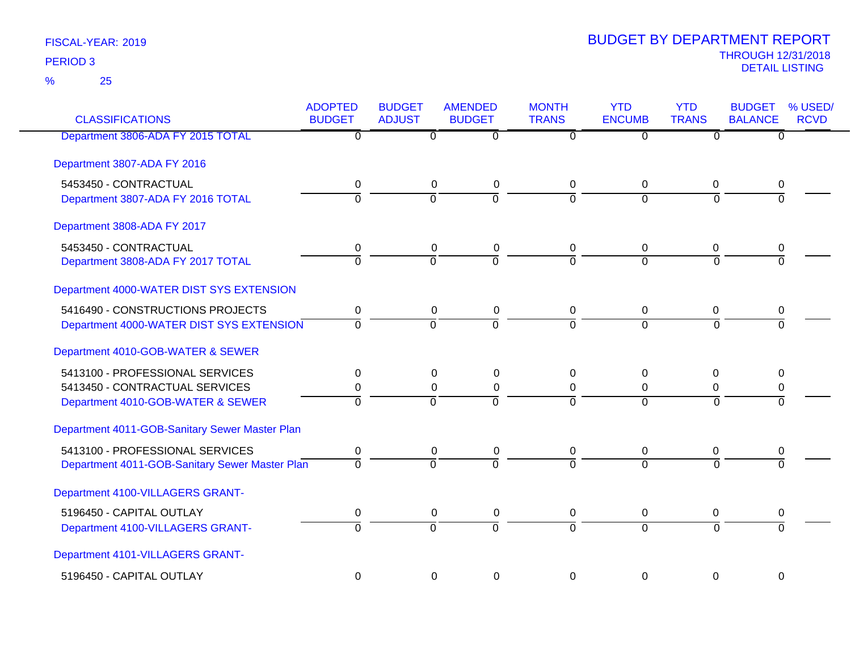| <b>CLASSIFICATIONS</b>                         | <b>ADOPTED</b><br><b>BUDGET</b> | <b>BUDGET</b><br><b>ADJUST</b> | <b>AMENDED</b><br><b>BUDGET</b> | <b>MONTH</b><br><b>TRANS</b> | <b>YTD</b><br><b>ENCUMB</b> | <b>YTD</b><br><b>TRANS</b> | <b>BUDGET</b><br><b>BALANCE</b> | % USED/<br><b>RCVD</b> |
|------------------------------------------------|---------------------------------|--------------------------------|---------------------------------|------------------------------|-----------------------------|----------------------------|---------------------------------|------------------------|
| Department 3806-ADA FY 2015 TOTAL              | $\overline{0}$                  | $\overline{0}$                 | $\overline{\mathfrak{o}}$       | $\overline{0}$               | $\overline{0}$              | $\overline{0}$             | $\overline{0}$                  |                        |
| Department 3807-ADA FY 2016                    |                                 |                                |                                 |                              |                             |                            |                                 |                        |
| 5453450 - CONTRACTUAL                          | 0                               | $\mathbf 0$                    | $\pmb{0}$                       | 0                            | $\mathbf 0$                 | $\mathbf 0$                | 0                               |                        |
| Department 3807-ADA FY 2016 TOTAL              | $\overline{0}$                  | $\overline{0}$                 | $\overline{0}$                  | $\overline{0}$               | $\overline{0}$              | $\overline{0}$             | $\overline{0}$                  |                        |
| Department 3808-ADA FY 2017                    |                                 |                                |                                 |                              |                             |                            |                                 |                        |
| 5453450 - CONTRACTUAL                          | $\pmb{0}$                       | $\mathbf 0$                    | $\pmb{0}$                       | 0                            | $\mathbf 0$                 | $\mathbf 0$                | 0                               |                        |
| Department 3808-ADA FY 2017 TOTAL              | $\overline{0}$                  | $\overline{0}$                 | 7                               | $\overline{0}$               | $\overline{0}$              | $\Omega$                   | $\overline{0}$                  |                        |
| Department 4000-WATER DIST SYS EXTENSION       |                                 |                                |                                 |                              |                             |                            |                                 |                        |
| 5416490 - CONSTRUCTIONS PROJECTS               | 0                               | $\mathbf 0$                    | $\pmb{0}$                       | 0                            | $\mathbf 0$                 | $\mathbf 0$                | 0                               |                        |
| Department 4000-WATER DIST SYS EXTENSION       | $\Omega$                        | $\overline{0}$                 | $\overline{0}$                  | $\Omega$                     | $\Omega$                    | $\Omega$                   | $\Omega$                        |                        |
| Department 4010-GOB-WATER & SEWER              |                                 |                                |                                 |                              |                             |                            |                                 |                        |
| 5413100 - PROFESSIONAL SERVICES                | 0                               | 0                              | 0                               | $\Omega$                     | 0                           | 0                          | 0                               |                        |
| 5413450 - CONTRACTUAL SERVICES                 | 0                               | $\mathbf 0$                    | $\pmb{0}$                       | 0                            | $\overline{0}$              | $\mathbf 0$                | 0                               |                        |
| Department 4010-GOB-WATER & SEWER              | $\Omega$                        | $\Omega$                       | $\Omega$                        | $\Omega$                     | $\Omega$                    | $\Omega$                   | $\overline{0}$                  |                        |
| Department 4011-GOB-Sanitary Sewer Master Plan |                                 |                                |                                 |                              |                             |                            |                                 |                        |
| 5413100 - PROFESSIONAL SERVICES                | $\mathbf 0$                     | $\mathbf 0$                    | $\pmb{0}$                       | 0                            | 0                           | 0                          | 0                               |                        |
| Department 4011-GOB-Sanitary Sewer Master Plan | $\Omega$                        | $\Omega$                       | $\overline{0}$                  | $\Omega$                     | $\Omega$                    | $\Omega$                   | $\Omega$                        |                        |
| Department 4100-VILLAGERS GRANT-               |                                 |                                |                                 |                              |                             |                            |                                 |                        |
| 5196450 - CAPITAL OUTLAY                       | $\pmb{0}$                       | $\mathbf 0$                    | $\pmb{0}$                       | 0                            | $\mathbf 0$                 | 0                          | 0                               |                        |
| Department 4100-VILLAGERS GRANT-               | $\overline{0}$                  | $\overline{0}$                 | $\overline{0}$                  | $\overline{0}$               | $\Omega$                    | $\Omega$                   | $\Omega$                        |                        |
| Department 4101-VILLAGERS GRANT-               |                                 |                                |                                 |                              |                             |                            |                                 |                        |
| 5196450 - CAPITAL OUTLAY                       | 0                               | 0                              | $\mathbf 0$                     | $\mathbf 0$                  | $\mathbf 0$                 | $\mathbf 0$                | $\mathbf 0$                     |                        |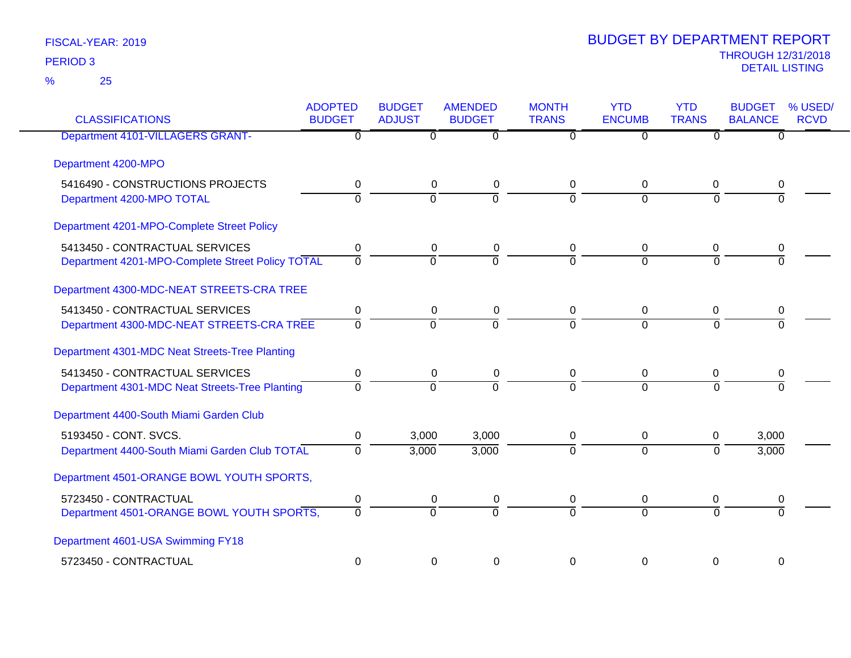| <b>CLASSIFICATIONS</b>                           | <b>ADOPTED</b><br><b>BUDGET</b> | <b>BUDGET</b><br><b>ADJUST</b> | <b>AMENDED</b><br><b>BUDGET</b> | <b>MONTH</b><br><b>TRANS</b> | <b>YTD</b><br><b>ENCUMB</b> | <b>YTD</b><br><b>TRANS</b> | <b>BUDGET</b><br><b>BALANCE</b> | % USED/<br><b>RCVD</b> |
|--------------------------------------------------|---------------------------------|--------------------------------|---------------------------------|------------------------------|-----------------------------|----------------------------|---------------------------------|------------------------|
| Department 4101-VILLAGERS GRANT-                 | $\overline{\mathfrak{o}}$       | $\overline{0}$                 | $\overline{0}$                  | 0                            | $\overline{0}$              | $\overline{0}$             | $\overline{0}$                  |                        |
| Department 4200-MPO                              |                                 |                                |                                 |                              |                             |                            |                                 |                        |
| 5416490 - CONSTRUCTIONS PROJECTS                 | $\pmb{0}$                       | $\mathbf 0$                    | $\pmb{0}$                       | 0                            | $\pmb{0}$                   | $\mathbf 0$                | 0                               |                        |
| Department 4200-MPO TOTAL                        | $\mathbf 0$                     | $\overline{0}$                 | $\overline{0}$                  | $\overline{0}$               | $\overline{0}$              | $\mathbf 0$                | $\Omega$                        |                        |
| Department 4201-MPO-Complete Street Policy       |                                 |                                |                                 |                              |                             |                            |                                 |                        |
| 5413450 - CONTRACTUAL SERVICES                   | $\mathbf 0$                     | $\mathbf 0$                    | $\pmb{0}$                       | 0                            | 0                           | $\mathbf 0$                | 0                               |                        |
| Department 4201-MPO-Complete Street Policy TOTAL | $\overline{0}$                  | $\overline{0}$                 | $\overline{0}$                  | $\overline{0}$               | $\overline{0}$              | $\Omega$                   | $\overline{0}$                  |                        |
| Department 4300-MDC-NEAT STREETS-CRA TREE        |                                 |                                |                                 |                              |                             |                            |                                 |                        |
| 5413450 - CONTRACTUAL SERVICES                   | 0                               | 0                              | 0                               | 0                            | 0                           | 0                          | 0                               |                        |
| Department 4300-MDC-NEAT STREETS-CRA TREE        | $\mathbf 0$                     | $\overline{0}$                 | $\overline{0}$                  | $\Omega$                     | $\overline{0}$              | $\Omega$                   | $\Omega$                        |                        |
| Department 4301-MDC Neat Streets-Tree Planting   |                                 |                                |                                 |                              |                             |                            |                                 |                        |
| 5413450 - CONTRACTUAL SERVICES                   | 0                               | 0                              | 0                               | 0                            | 0                           | 0                          | 0                               |                        |
| Department 4301-MDC Neat Streets-Tree Planting   | $\Omega$                        | $\overline{0}$                 | $\overline{0}$                  | $\Omega$                     | $\Omega$                    | $\Omega$                   | $\Omega$                        |                        |
| Department 4400-South Miami Garden Club          |                                 |                                |                                 |                              |                             |                            |                                 |                        |
| 5193450 - CONT. SVCS.                            | 0                               | 3,000                          | 3,000                           | 0                            | 0                           | 0                          | 3,000                           |                        |
| Department 4400-South Miami Garden Club TOTAL    | $\overline{0}$                  | 3,000                          | 3,000                           | $\overline{0}$               | $\overline{0}$              | $\overline{0}$             | 3,000                           |                        |
| Department 4501-ORANGE BOWL YOUTH SPORTS,        |                                 |                                |                                 |                              |                             |                            |                                 |                        |
| 5723450 - CONTRACTUAL                            | 0                               | 0                              | 0                               | 0                            | $\mathbf 0$                 | 0                          | 0                               |                        |
| Department 4501-ORANGE BOWL YOUTH SPORTS,        | $\overline{0}$                  | $\overline{0}$                 | $\overline{0}$                  | $\overline{0}$               | $\overline{0}$              | $\Omega$                   | $\Omega$                        |                        |
| Department 4601-USA Swimming FY18                |                                 |                                |                                 |                              |                             |                            |                                 |                        |
| 5723450 - CONTRACTUAL                            | $\mathbf 0$                     | 0                              | 0                               | 0                            | 0                           | $\Omega$                   | 0                               |                        |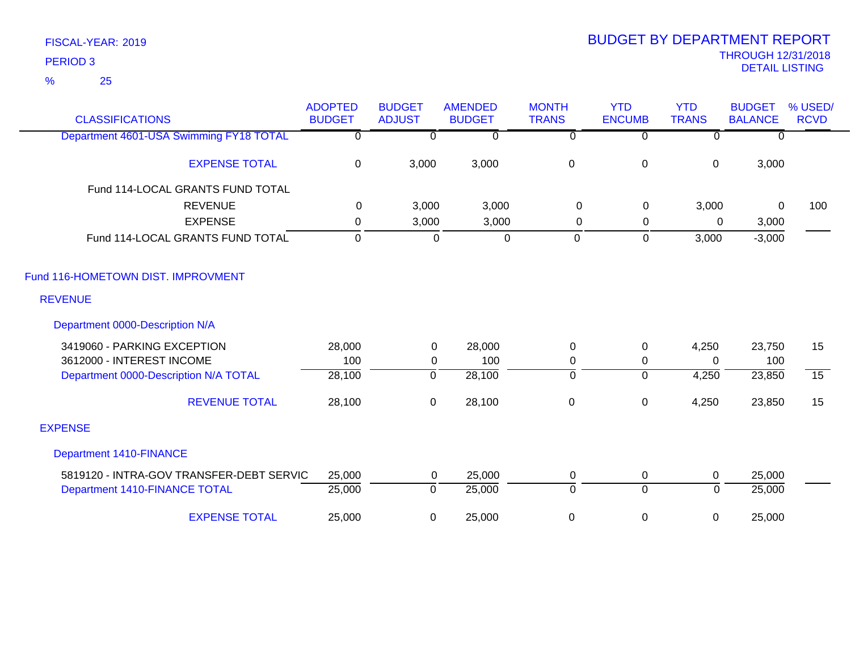| <b>CLASSIFICATIONS</b>                   | <b>ADOPTED</b><br><b>BUDGET</b> | <b>BUDGET</b><br><b>ADJUST</b> | <b>AMENDED</b><br><b>BUDGET</b> | <b>MONTH</b><br><b>TRANS</b> | <b>YTD</b><br><b>ENCUMB</b> | <b>YTD</b><br><b>TRANS</b> | <b>BUDGET</b><br><b>BALANCE</b> | % USED/<br><b>RCVD</b> |
|------------------------------------------|---------------------------------|--------------------------------|---------------------------------|------------------------------|-----------------------------|----------------------------|---------------------------------|------------------------|
| Department 4601-USA Swimming FY18 TOTAL  | 0                               | $\mathbf{0}$                   | $\Omega$                        | $\overline{0}$               | $\Omega$                    | $\Omega$                   | $\Omega$                        |                        |
| <b>EXPENSE TOTAL</b>                     | $\mathbf 0$                     | 3,000                          | 3,000                           | $\,0\,$                      | $\pmb{0}$                   | $\pmb{0}$                  | 3,000                           |                        |
| Fund 114-LOCAL GRANTS FUND TOTAL         |                                 |                                |                                 |                              |                             |                            |                                 |                        |
| <b>REVENUE</b>                           | $\mathbf{0}$                    | 3,000                          | 3,000                           | $\Omega$                     | 0                           | 3,000                      | $\Omega$                        | 100                    |
| <b>EXPENSE</b>                           | 0                               | 3,000                          | 3,000                           | 0                            | 0                           | 0                          | 3,000                           |                        |
| Fund 114-LOCAL GRANTS FUND TOTAL         | $\mathbf 0$                     | $\mathbf 0$                    | $\pmb{0}$                       | $\mathbf 0$                  | $\mathbf 0$                 | 3,000                      | $-3,000$                        |                        |
| Fund 116-HOMETOWN DIST. IMPROVMENT       |                                 |                                |                                 |                              |                             |                            |                                 |                        |
| <b>REVENUE</b>                           |                                 |                                |                                 |                              |                             |                            |                                 |                        |
| Department 0000-Description N/A          |                                 |                                |                                 |                              |                             |                            |                                 |                        |
| 3419060 - PARKING EXCEPTION              | 28,000                          | $\pmb{0}$                      | 28,000                          | $\boldsymbol{0}$             | $\boldsymbol{0}$            | 4,250                      | 23,750                          | 15                     |
| 3612000 - INTEREST INCOME                | 100                             | 0                              | 100                             | 0                            | 0                           | $\Omega$                   | 100                             |                        |
| Department 0000-Description N/A TOTAL    | 28,100                          | 0                              | 28,100                          | $\overline{0}$               | $\overline{0}$              | 4,250                      | 23,850                          | $\overline{15}$        |
| <b>REVENUE TOTAL</b>                     | 28,100                          | $\mathbf 0$                    | 28,100                          | $\,0\,$                      | 0                           | 4,250                      | 23,850                          | 15                     |
| <b>EXPENSE</b>                           |                                 |                                |                                 |                              |                             |                            |                                 |                        |
| <b>Department 1410-FINANCE</b>           |                                 |                                |                                 |                              |                             |                            |                                 |                        |
| 5819120 - INTRA-GOV TRANSFER-DEBT SERVIC | 25,000                          | 0                              | 25,000                          | 0                            | 0                           | 0                          | 25,000                          |                        |
| Department 1410-FINANCE TOTAL            | 25,000                          | $\mathbf 0$                    | 25,000                          | $\mathbf 0$                  | $\overline{0}$              | $\mathbf 0$                | 25,000                          |                        |
| <b>EXPENSE TOTAL</b>                     | 25,000                          | 0                              | 25,000                          | 0                            | 0                           | 0                          | 25,000                          |                        |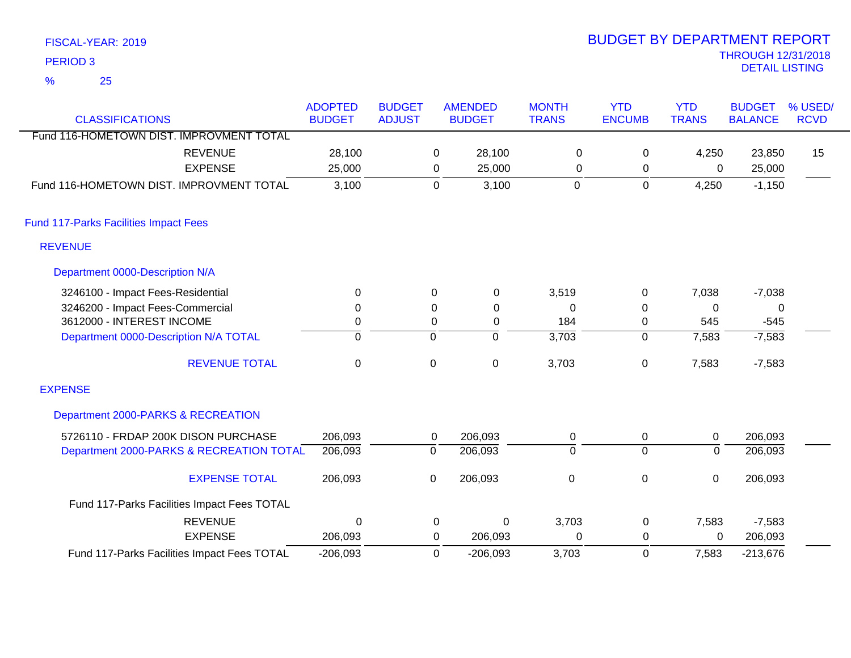| FISCAL-YEAR: 2019                        |                |               |   |                |              | <b>BUDGET BY DEPARTMENT REPORT</b> |              |                                                   |             |
|------------------------------------------|----------------|---------------|---|----------------|--------------|------------------------------------|--------------|---------------------------------------------------|-------------|
| PERIOD <sub>3</sub>                      |                |               |   |                |              |                                    |              | <b>THROUGH 12/31/201</b><br><b>DETAIL LISTING</b> |             |
| %<br>25                                  |                |               |   |                |              |                                    |              |                                                   |             |
|                                          | <b>ADOPTED</b> | <b>BUDGET</b> |   | <b>AMENDED</b> | <b>MONTH</b> | <b>YTD</b>                         | <b>YTD</b>   | <b>BUDGET</b>                                     | % USE       |
| <b>CLASSIFICATIONS</b>                   | <b>BUDGET</b>  | <b>ADJUST</b> |   | <b>BUDGET</b>  | <b>TRANS</b> | <b>ENCUMB</b>                      | <b>TRANS</b> | <b>BALANCE</b>                                    | <b>RCVD</b> |
| Fund 116-HOMETOWN DIST. IMPROVMENT TOTAL |                |               |   |                |              |                                    |              |                                                   |             |
| REVENUE                                  | 28,100         |               | 0 | 28,100         | 0            |                                    | 4.250        | 23,850                                            | 15          |
| <b>EXPENSE</b>                           | 25,000         |               | 0 | 25,000         | 0            |                                    | 0            | 25,000                                            |             |
| Fund 116-HOMETOWN DIST. IMPROVMENT TOTAL | 3,100          |               | 0 | 3,100          | 0            |                                    | 4,250        | $-1,150$                                          |             |
|                                          |                |               |   |                |              |                                    |              |                                                   |             |

Fund 117-Parks Facilities Impact Fees

REVENUE

## Department 0000-Description N/A

EXPENSE

Fund 117-Parks Facilities Impact Fees TOTAL

| 3246100 - Impact Fees-Residential           | 0       | $\Omega$ | $\mathbf 0$ | 3,519       | 0        | 7,038    | $-7,038$ |  |
|---------------------------------------------|---------|----------|-------------|-------------|----------|----------|----------|--|
| 3246200 - Impact Fees-Commercial            | 0       |          | 0           | 0           | 0        | 0        | 0        |  |
| 3612000 - INTEREST INCOME                   |         |          | $\Omega$    | 184         | $\Omega$ | 545      | $-545$   |  |
| Department 0000-Description N/A TOTAL       | 0       | 0        |             | 3,703       | 0        | 7,583    | $-7,583$ |  |
| <b>REVENUE TOTAL</b>                        | 0       | 0        | 0           | 3,703       | 0        | 7,583    | $-7,583$ |  |
| <b>EXPENSE</b>                              |         |          |             |             |          |          |          |  |
| Department 2000-PARKS & RECREATION          |         |          |             |             |          |          |          |  |
| 5726110 - FRDAP 200K DISON PURCHASE         | 206,093 | 0        | 206,093     | 0           | 0        | 0        | 206,093  |  |
| Department 2000-PARKS & RECREATION TOTAL    | 206,093 | 0        | 206,093     | 0           | 0        | 0        | 206,093  |  |
| <b>EXPENSE TOTAL</b>                        | 206,093 | 0        | 206,093     | $\mathbf 0$ | 0        | $\Omega$ | 206,093  |  |
| Fund 117-Parks Facilities Impact Fees TOTAL |         |          |             |             |          |          |          |  |

0 0

206,093

0 0 0 3,703 7,583

-206,093 3,703 0

-206,093 0 3,703 7,583 -213,676

206,093

REVENUE 0 0 0 3,703 0 7,583 -7,583

0 0 0

## THROUGH 12/31/2018 DEPARTMENT REPORT

% USED/ BUDGET

206,093

RCVD

15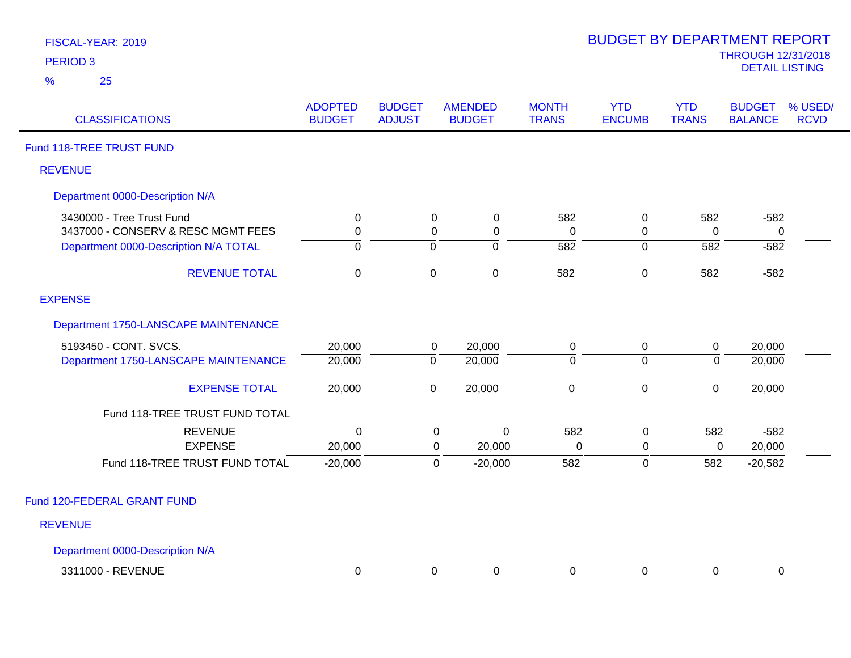| FISCAL-YEAR: 2019 |  |
|-------------------|--|
| <b>PERIOD 3</b>   |  |

| <b>CLASSIFICATIONS</b>                        | <b>ADOPTED</b><br><b>BUDGET</b> | <b>BUDGET</b><br><b>ADJUST</b> |                | <b>AMENDED</b><br><b>BUDGET</b> | <b>MONTH</b><br><b>TRANS</b> | <b>YTD</b><br><b>ENCUMB</b> | <b>YTD</b><br><b>TRANS</b> | <b>BUDGET</b><br><b>BALANCE</b> | % USED/<br><b>RCVD</b> |
|-----------------------------------------------|---------------------------------|--------------------------------|----------------|---------------------------------|------------------------------|-----------------------------|----------------------------|---------------------------------|------------------------|
| Fund 118-TREE TRUST FUND                      |                                 |                                |                |                                 |                              |                             |                            |                                 |                        |
| <b>REVENUE</b>                                |                                 |                                |                |                                 |                              |                             |                            |                                 |                        |
| Department 0000-Description N/A               |                                 |                                |                |                                 |                              |                             |                            |                                 |                        |
| 3430000 - Tree Trust Fund                     | 0                               |                                | 0              | $\mathbf 0$                     | 582                          | 0                           | 582                        | $-582$                          |                        |
| 3437000 - CONSERV & RESC MGMT FEES            | $\pmb{0}$                       |                                | $\pmb{0}$      | $\pmb{0}$                       | $\pmb{0}$                    | 0                           | $\pmb{0}$                  | $\pmb{0}$                       |                        |
| Department 0000-Description N/A TOTAL         | $\overline{0}$                  |                                | $\overline{0}$ | $\overline{0}$                  | $\overline{582}$             | $\overline{0}$              | 582                        | $-582$                          |                        |
| <b>REVENUE TOTAL</b>                          | $\mathbf 0$                     |                                | $\pmb{0}$      | $\mathbf 0$                     | 582                          | $\mathbf 0$                 | 582                        | $-582$                          |                        |
| <b>EXPENSE</b>                                |                                 |                                |                |                                 |                              |                             |                            |                                 |                        |
| Department 1750-LANSCAPE MAINTENANCE          |                                 |                                |                |                                 |                              |                             |                            |                                 |                        |
| 5193450 - CONT. SVCS.                         | 20,000                          |                                | 0              | 20,000                          | 0                            | 0                           | 0                          | 20,000                          |                        |
| Department 1750-LANSCAPE MAINTENANCE          | 20,000                          |                                | $\overline{0}$ | 20,000                          | $\overline{0}$               | $\overline{0}$              | $\overline{0}$             | 20,000                          |                        |
| <b>EXPENSE TOTAL</b>                          | 20,000                          |                                | $\mathsf 0$    | 20,000                          | $\pmb{0}$                    | $\mathbf 0$                 | $\boldsymbol{0}$           | 20,000                          |                        |
| Fund 118-TREE TRUST FUND TOTAL                |                                 |                                |                |                                 |                              |                             |                            |                                 |                        |
| <b>REVENUE</b>                                | $\mathbf 0$                     |                                | $\pmb{0}$      | 0                               | 582                          | 0                           | 582                        | $-582$                          |                        |
| <b>EXPENSE</b>                                | 20,000                          |                                | 0              | 20,000                          | $\Omega$                     | 0                           | 0                          | 20,000                          |                        |
| Fund 118-TREE TRUST FUND TOTAL                | $-20,000$                       |                                | $\mathbf 0$    | $-20,000$                       | 582                          | 0                           | 582                        | $-20,582$                       |                        |
| Fund 120-FEDERAL GRANT FUND<br><b>REVENUE</b> |                                 |                                |                |                                 |                              |                             |                            |                                 |                        |
| Department 0000-Description N/A               |                                 |                                |                |                                 |                              |                             |                            |                                 |                        |

3311000 - REVENUE 0 0 0 0 0 0 0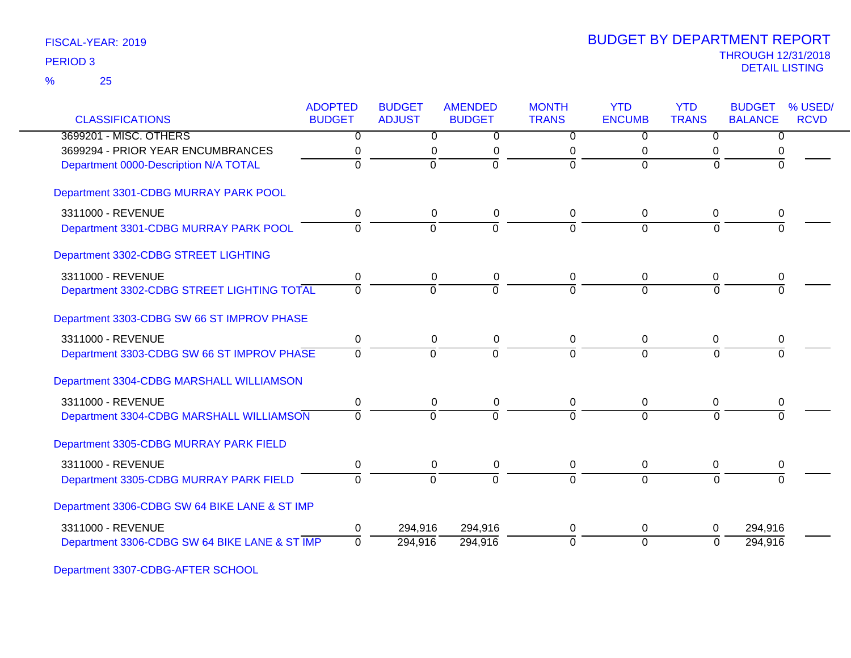25 %

|                                               | <b>ADOPTED</b> | <b>BUDGET</b>  | <b>AMENDED</b> | <b>MONTH</b>   | <b>YTD</b>     | <b>YTD</b>       | <b>BUDGET</b>  | % USED/     |
|-----------------------------------------------|----------------|----------------|----------------|----------------|----------------|------------------|----------------|-------------|
| <b>CLASSIFICATIONS</b>                        | <b>BUDGET</b>  | <b>ADJUST</b>  | <b>BUDGET</b>  | <b>TRANS</b>   | <b>ENCUMB</b>  | <b>TRANS</b>     | <b>BALANCE</b> | <b>RCVD</b> |
| 3699201 - MISC. OTHERS                        | $\overline{0}$ | $\overline{0}$ | $\overline{0}$ | $\overline{0}$ | $\overline{0}$ | $\overline{0}$   | $\overline{0}$ |             |
| 3699294 - PRIOR YEAR ENCUMBRANCES             | 0              | 0              | 0              | 0              | 0              | 0                | 0              |             |
| Department 0000-Description N/A TOTAL         | $\overline{0}$ | $\overline{0}$ | ō              | $\overline{0}$ | $\Omega$       | $\Omega$         | $\Omega$       |             |
| Department 3301-CDBG MURRAY PARK POOL         |                |                |                |                |                |                  |                |             |
| 3311000 - REVENUE                             | 0              | 0              | 0              | 0              | 0              | 0                | 0              |             |
| Department 3301-CDBG MURRAY PARK POOL         | $\Omega$       | $\Omega$       | $\Omega$       | $\Omega$       | $\Omega$       | $\Omega$         | $\Omega$       |             |
| Department 3302-CDBG STREET LIGHTING          |                |                |                |                |                |                  |                |             |
| 3311000 - REVENUE                             | 0              | 0              | 0              | 0              | 0              | 0                | 0              |             |
| Department 3302-CDBG STREET LIGHTING TOTAL    | $\Omega$       | $\Omega$       | $\Omega$       | $\Omega$       | $\Omega$       | $\Omega$         | $\Omega$       |             |
| Department 3303-CDBG SW 66 ST IMPROV PHASE    |                |                |                |                |                |                  |                |             |
| 3311000 - REVENUE                             | 0              | $\mathsf 0$    | $\pmb{0}$      | 0              | $\mathbf 0$    | $\boldsymbol{0}$ | 0              |             |
| Department 3303-CDBG SW 66 ST IMPROV PHASE    | $\Omega$       | $\mathbf 0$    | $\Omega$       | $\Omega$       | $\Omega$       | $\Omega$         | $\Omega$       |             |
| Department 3304-CDBG MARSHALL WILLIAMSON      |                |                |                |                |                |                  |                |             |
| 3311000 - REVENUE                             | 0              | $\mathbf 0$    | $\mathbf 0$    | 0              | 0              | 0                | 0              |             |
| Department 3304-CDBG MARSHALL WILLIAMSON      | $\Omega$       | $\Omega$       | $\Omega$       | $\Omega$       | $\Omega$       | $\Omega$         | $\Omega$       |             |
| Department 3305-CDBG MURRAY PARK FIELD        |                |                |                |                |                |                  |                |             |
| 3311000 - REVENUE                             | 0              | 0              | 0              | 0              | 0              | 0                | 0              |             |
| Department 3305-CDBG MURRAY PARK FIELD        | $\overline{0}$ | $\overline{0}$ | $\overline{0}$ | $\Omega$       | $\Omega$       | $\overline{0}$   | $\Omega$       |             |
| Department 3306-CDBG SW 64 BIKE LANE & ST IMP |                |                |                |                |                |                  |                |             |
| 3311000 - REVENUE                             | 0              | 294,916        | 294,916        | 0              | 0              | 0                | 294,916        |             |
| Department 3306-CDBG SW 64 BIKE LANE & ST IMP | $\Omega$       | 294,916        | 294,916        | 0              | $\overline{0}$ | $\Omega$         | 294,916        |             |
|                                               |                |                |                |                |                |                  |                |             |

Department 3307-CDBG-AFTER SCHOOL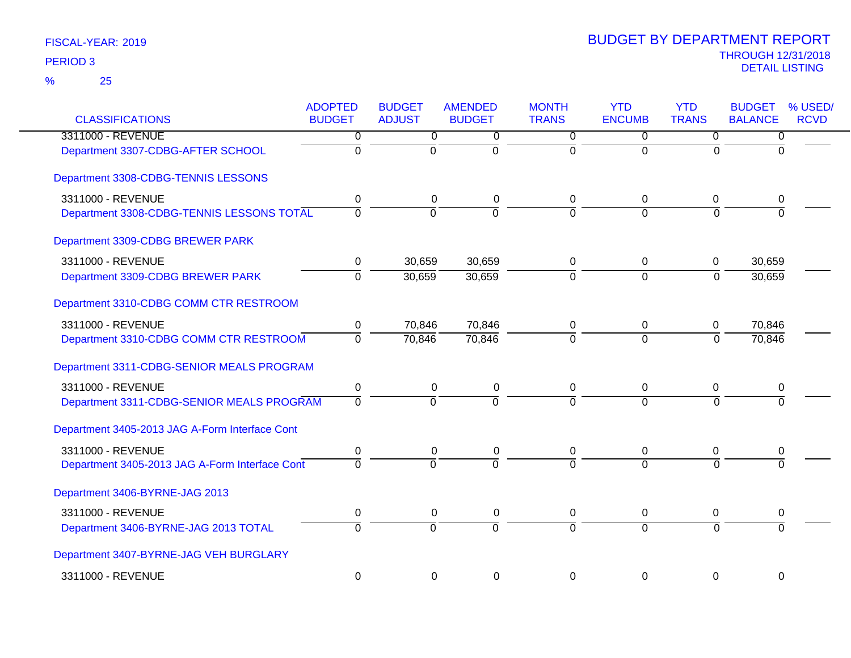| <b>CLASSIFICATIONS</b>                         | <b>ADOPTED</b><br><b>BUDGET</b> | <b>BUDGET</b><br><b>ADJUST</b> | <b>AMENDED</b><br><b>BUDGET</b> | <b>MONTH</b><br><b>TRANS</b> | <b>YTD</b><br><b>ENCUMB</b> | <b>YTD</b><br><b>TRANS</b> | <b>BUDGET</b><br><b>BALANCE</b> | % USED/<br><b>RCVD</b> |
|------------------------------------------------|---------------------------------|--------------------------------|---------------------------------|------------------------------|-----------------------------|----------------------------|---------------------------------|------------------------|
| 3311000 - REVENUE                              | $\overline{0}$                  | $\overline{0}$                 | 0                               | $\overline{0}$               | $\overline{0}$              | $\overline{0}$             | 0                               |                        |
| Department 3307-CDBG-AFTER SCHOOL              | $\overline{0}$                  | $\overline{0}$                 | ō                               | $\overline{0}$               | $\overline{0}$              | $\Omega$                   | $\Omega$                        |                        |
| Department 3308-CDBG-TENNIS LESSONS            |                                 |                                |                                 |                              |                             |                            |                                 |                        |
| 3311000 - REVENUE                              | 0                               | 0                              | $\pmb{0}$                       | 0                            | $\Omega$                    | 0                          | 0                               |                        |
| Department 3308-CDBG-TENNIS LESSONS TOTAL      | $\overline{0}$                  | $\overline{0}$                 | $\Omega$                        | $\Omega$                     | $\Omega$                    | $\Omega$                   | $\Omega$                        |                        |
| Department 3309-CDBG BREWER PARK               |                                 |                                |                                 |                              |                             |                            |                                 |                        |
| 3311000 - REVENUE                              | 0                               | 30,659                         | 30,659                          | 0                            | 0                           | 0                          | 30,659                          |                        |
| Department 3309-CDBG BREWER PARK               | $\overline{0}$                  | 30,659                         | 30,659                          | ō                            | $\overline{0}$              | $\overline{0}$             | 30,659                          |                        |
| Department 3310-CDBG COMM CTR RESTROOM         |                                 |                                |                                 |                              |                             |                            |                                 |                        |
| 3311000 - REVENUE                              | 0                               | 70,846                         | 70,846                          | 0                            | $\mathbf 0$                 | 0                          | 70,846                          |                        |
| Department 3310-CDBG COMM CTR RESTROOM         | $\mathbf 0$                     | 70,846                         | 70,846                          | $\overline{0}$               | $\overline{0}$              | $\mathbf 0$                | 70,846                          |                        |
| Department 3311-CDBG-SENIOR MEALS PROGRAM      |                                 |                                |                                 |                              |                             |                            |                                 |                        |
| 3311000 - REVENUE                              | $\pmb{0}$                       | $\pmb{0}$                      | $\pmb{0}$                       | $\mathbf 0$                  | $\mathbf 0$                 | 0                          | 0                               |                        |
| Department 3311-CDBG-SENIOR MEALS PROGRAM      | $\overline{0}$                  | $\overline{0}$                 | $\overline{0}$                  | $\overline{0}$               | $\overline{0}$              | $\Omega$                   | $\Omega$                        |                        |
| Department 3405-2013 JAG A-Form Interface Cont |                                 |                                |                                 |                              |                             |                            |                                 |                        |
| 3311000 - REVENUE                              | 0                               | 0                              | $\pmb{0}$                       | 0                            | 0                           | 0                          | 0                               |                        |
| Department 3405-2013 JAG A-Form Interface Cont | $\overline{0}$                  | $\overline{0}$                 | $\overline{0}$                  | $\overline{0}$               | $\overline{0}$              | $\Omega$                   |                                 |                        |
| Department 3406-BYRNE-JAG 2013                 |                                 |                                |                                 |                              |                             |                            |                                 |                        |
| 3311000 - REVENUE                              | 0                               | $\mathbf 0$                    | $\mathbf 0$                     | 0                            | $\mathbf 0$                 | 0                          | 0                               |                        |
| Department 3406-BYRNE-JAG 2013 TOTAL           | $\Omega$                        | $\mathbf 0$                    | $\mathbf 0$                     | $\Omega$                     | $\overline{0}$              | $\Omega$                   | $\Omega$                        |                        |
| Department 3407-BYRNE-JAG VEH BURGLARY         |                                 |                                |                                 |                              |                             |                            |                                 |                        |
| 3311000 - REVENUE                              | $\mathbf 0$                     | $\mathbf 0$                    | 0                               | $\Omega$                     | $\mathbf 0$                 | $\mathbf 0$                | 0                               |                        |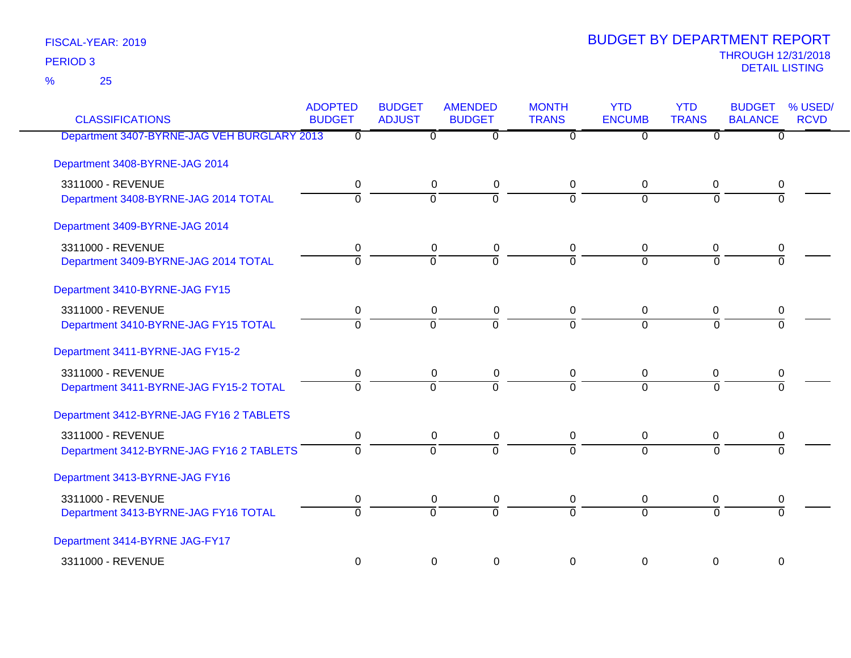25 %

| <b>CLASSIFICATIONS</b>                      | <b>ADOPTED</b><br><b>BUDGET</b> | <b>BUDGET</b><br><b>ADJUST</b> | <b>AMENDED</b><br><b>BUDGET</b> | <b>MONTH</b><br><b>TRANS</b> | <b>YTD</b><br><b>ENCUMB</b> | <b>YTD</b><br><b>TRANS</b> | <b>BUDGET</b><br><b>BALANCE</b> | % USED/<br><b>RCVD</b> |
|---------------------------------------------|---------------------------------|--------------------------------|---------------------------------|------------------------------|-----------------------------|----------------------------|---------------------------------|------------------------|
| Department 3407-BYRNE-JAG VEH BURGLARY 2013 | $\Omega$                        | $\overline{0}$                 | $\overline{0}$                  | $\overline{0}$               | $\overline{0}$              | $\Omega$                   | $\overline{0}$                  |                        |
| Department 3408-BYRNE-JAG 2014              |                                 |                                |                                 |                              |                             |                            |                                 |                        |
| 3311000 - REVENUE                           | 0                               | $\mathbf 0$                    | $\mathbf 0$                     | 0                            | $\pmb{0}$                   | 0                          | 0                               |                        |
| Department 3408-BYRNE-JAG 2014 TOTAL        | 0                               | $\overline{0}$                 | $\overline{0}$                  | $\overline{0}$               | $\overline{0}$              | $\overline{0}$             | $\overline{0}$                  |                        |
| Department 3409-BYRNE-JAG 2014              |                                 |                                |                                 |                              |                             |                            |                                 |                        |
| 3311000 - REVENUE                           | 0                               | 0                              | $\mathbf 0$                     | $\mathbf 0$                  | 0                           | 0                          | 0                               |                        |
| Department 3409-BYRNE-JAG 2014 TOTAL        | $\overline{0}$                  | $\Omega$                       | $\overline{0}$                  | $\overline{0}$               | $\Omega$                    | $\Omega$                   | $\overline{0}$                  |                        |
| Department 3410-BYRNE-JAG FY15              |                                 |                                |                                 |                              |                             |                            |                                 |                        |
| 3311000 - REVENUE                           | 0                               | $\mathbf 0$                    | $\mathbf 0$                     | $\mathbf 0$                  | $\mathbf 0$                 | $\mathbf 0$                | 0                               |                        |
| Department 3410-BYRNE-JAG FY15 TOTAL        | $\overline{0}$                  | $\overline{0}$                 | $\overline{0}$                  | $\overline{0}$               | $\overline{0}$              | $\overline{0}$             | $\overline{0}$                  |                        |
| Department 3411-BYRNE-JAG FY15-2            |                                 |                                |                                 |                              |                             |                            |                                 |                        |
| 3311000 - REVENUE                           | 0                               | $\mathbf 0$                    | $\mathbf 0$                     | $\mathbf 0$                  | 0                           | 0                          | 0                               |                        |
| Department 3411-BYRNE-JAG FY15-2 TOTAL      | $\overline{0}$                  | $\Omega$                       | $\overline{0}$                  | $\Omega$                     | $\overline{0}$              | $\Omega$                   | ō                               |                        |
| Department 3412-BYRNE-JAG FY16 2 TABLETS    |                                 |                                |                                 |                              |                             |                            |                                 |                        |
| 3311000 - REVENUE                           | 0                               | $\mathbf 0$                    | $\pmb{0}$                       | $\mathbf 0$                  | $\mathbf 0$                 | $\mathbf 0$                | 0                               |                        |
| Department 3412-BYRNE-JAG FY16 2 TABLETS    | $\overline{0}$                  | $\overline{0}$                 | $\overline{0}$                  | $\Omega$                     | $\overline{0}$              | $\overline{0}$             | $\overline{0}$                  |                        |
| Department 3413-BYRNE-JAG FY16              |                                 |                                |                                 |                              |                             |                            |                                 |                        |
| 3311000 - REVENUE                           | 0                               | 0                              | $\mathbf 0$                     | 0                            | 0                           | 0                          | 0                               |                        |
| Department 3413-BYRNE-JAG FY16 TOTAL        | $\overline{0}$                  | $\overline{0}$                 | $\overline{0}$                  | $\overline{0}$               | $\overline{0}$              | $\overline{0}$             | $\overline{0}$                  |                        |
| Department 3414-BYRNE JAG-FY17              |                                 |                                |                                 |                              |                             |                            |                                 |                        |
| 3311000 - REVENUE                           | 0                               | 0                              | $\mathbf 0$                     | $\mathbf 0$                  | 0                           | 0                          | $\mathbf 0$                     |                        |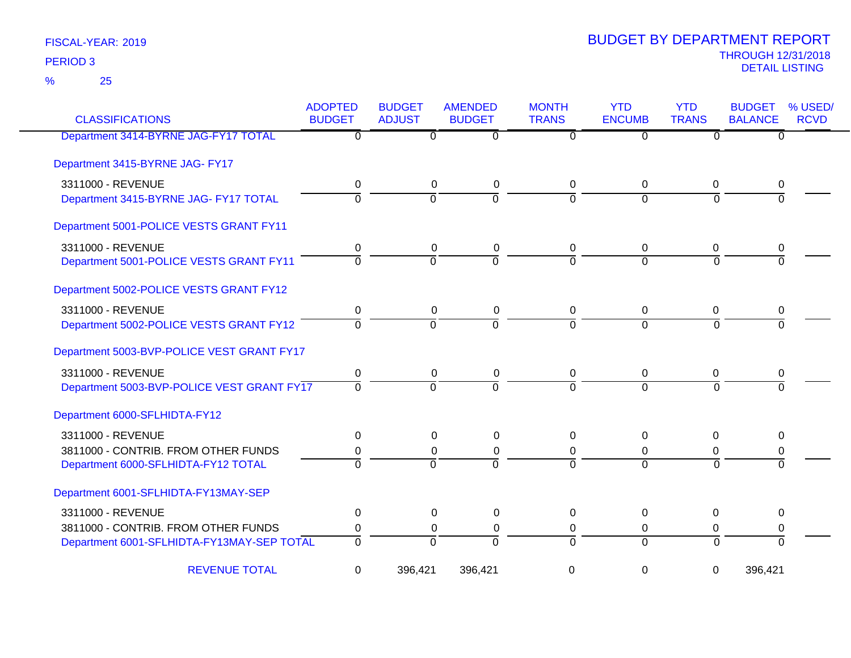| <b>CLASSIFICATIONS</b>                     | <b>ADOPTED</b><br><b>BUDGET</b> | <b>BUDGET</b><br><b>ADJUST</b> | <b>AMENDED</b><br><b>BUDGET</b> | <b>MONTH</b><br><b>TRANS</b> | <b>YTD</b><br><b>ENCUMB</b> | <b>YTD</b><br><b>TRANS</b> | <b>BUDGET</b><br><b>BALANCE</b> | % USED/<br><b>RCVD</b> |
|--------------------------------------------|---------------------------------|--------------------------------|---------------------------------|------------------------------|-----------------------------|----------------------------|---------------------------------|------------------------|
| Department 3414-BYRNE JAG-FY17 TOTAL       | $\Omega$                        | $\overline{0}$                 | $\overline{0}$                  | $\overline{0}$               | $\overline{0}$              | $\overline{0}$             | $\overline{0}$                  |                        |
| Department 3415-BYRNE JAG- FY17            |                                 |                                |                                 |                              |                             |                            |                                 |                        |
| 3311000 - REVENUE                          | 0                               | 0                              | 0                               | 0                            | $\mathbf 0$                 | 0                          | 0                               |                        |
| Department 3415-BYRNE JAG- FY17 TOTAL      | $\overline{0}$                  | $\overline{0}$                 | $\overline{0}$                  | $\overline{0}$               | $\overline{0}$              | $\Omega$                   | $\Omega$                        |                        |
| Department 5001-POLICE VESTS GRANT FY11    |                                 |                                |                                 |                              |                             |                            |                                 |                        |
| 3311000 - REVENUE                          | 0                               | 0                              | 0                               | 0                            | 0                           | 0                          | 0                               |                        |
| Department 5001-POLICE VESTS GRANT FY11    | $\overline{0}$                  | $\overline{0}$                 | $\overline{0}$                  | $\overline{0}$               | $\overline{0}$              | $\Omega$                   | $\Omega$                        |                        |
| Department 5002-POLICE VESTS GRANT FY12    |                                 |                                |                                 |                              |                             |                            |                                 |                        |
| 3311000 - REVENUE                          | 0                               | 0                              | 0                               | 0                            | 0                           | 0                          | 0                               |                        |
| Department 5002-POLICE VESTS GRANT FY12    | $\overline{0}$                  | $\overline{0}$                 | $\overline{0}$                  | $\overline{0}$               | $\overline{0}$              | $\Omega$                   | $\Omega$                        |                        |
| Department 5003-BVP-POLICE VEST GRANT FY17 |                                 |                                |                                 |                              |                             |                            |                                 |                        |
| 3311000 - REVENUE                          | 0                               | 0                              | 0                               | 0                            | 0                           | 0                          | 0                               |                        |
| Department 5003-BVP-POLICE VEST GRANT FY17 | $\mathbf 0$                     | $\overline{0}$                 | $\overline{0}$                  | $\Omega$                     | $\overline{0}$              | $\Omega$                   | $\Omega$                        |                        |
| Department 6000-SFLHIDTA-FY12              |                                 |                                |                                 |                              |                             |                            |                                 |                        |
| 3311000 - REVENUE                          | 0                               | $\pmb{0}$                      | $\boldsymbol{0}$                | $\Omega$                     | $\mathbf 0$                 | 0                          | 0                               |                        |
| 3811000 - CONTRIB. FROM OTHER FUNDS        | 0                               | 0                              | 0                               | 0                            | 0                           | 0                          | 0                               |                        |
| Department 6000-SFLHIDTA-FY12 TOTAL        | $\overline{0}$                  | $\Omega$                       | $\Omega$                        | $\Omega$                     | $\Omega$                    | $\Omega$                   | $\Omega$                        |                        |
| Department 6001-SFLHIDTA-FY13MAY-SEP       |                                 |                                |                                 |                              |                             |                            |                                 |                        |
| 3311000 - REVENUE                          | 0                               | 0                              | 0                               | $\Omega$                     | 0                           | 0                          | 0                               |                        |
| 3811000 - CONTRIB. FROM OTHER FUNDS        | 0                               | 0                              | 0                               | 0                            | 0                           | 0                          | 0                               |                        |
| Department 6001-SFLHIDTA-FY13MAY-SEP TOTAL | $\Omega$                        | $\overline{0}$                 | $\Omega$                        | $\Omega$                     | $\Omega$                    | $\Omega$                   | $\Omega$                        |                        |
| <b>REVENUE TOTAL</b>                       | 0                               | 396,421                        | 396,421                         | 0                            | 0                           | 0                          | 396,421                         |                        |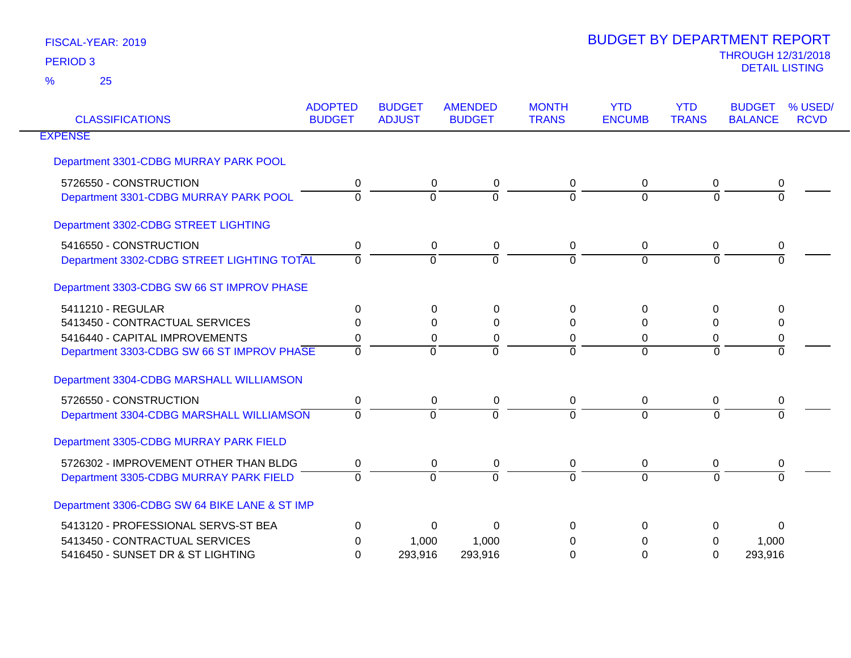| <b>CLASSIFICATIONS</b>                                          | <b>ADOPTED</b><br><b>BUDGET</b> | <b>BUDGET</b><br><b>ADJUST</b> | <b>AMENDED</b><br><b>BUDGET</b> | <b>MONTH</b><br><b>TRANS</b> | <b>YTD</b><br><b>ENCUMB</b> | <b>YTD</b><br><b>TRANS</b> | <b>BUDGET</b><br>% USED/<br><b>BALANCE</b> | <b>RCVD</b> |
|-----------------------------------------------------------------|---------------------------------|--------------------------------|---------------------------------|------------------------------|-----------------------------|----------------------------|--------------------------------------------|-------------|
| <b>EXPENSE</b>                                                  |                                 |                                |                                 |                              |                             |                            |                                            |             |
| Department 3301-CDBG MURRAY PARK POOL                           |                                 |                                |                                 |                              |                             |                            |                                            |             |
| 5726550 - CONSTRUCTION<br>Department 3301-CDBG MURRAY PARK POOL | 0<br>$\Omega$                   | $\Omega$<br>$\Omega$           | 0<br>$\Omega$                   | 0<br>0                       | $\mathbf 0$<br>$\Omega$     | $\mathbf 0$<br>$\Omega$    | 0                                          |             |
|                                                                 |                                 |                                |                                 |                              |                             |                            |                                            |             |
| Department 3302-CDBG STREET LIGHTING                            |                                 |                                |                                 |                              |                             |                            |                                            |             |
| 5416550 - CONSTRUCTION                                          | 0                               | 0                              | 0                               | 0                            | $\mathbf 0$                 | 0                          | 0                                          |             |
| Department 3302-CDBG STREET LIGHTING TOTAL                      | $\Omega$                        | $\Omega$                       | $\Omega$                        | $\Omega$                     | $\Omega$                    | $\Omega$                   | $\Omega$                                   |             |
| Department 3303-CDBG SW 66 ST IMPROV PHASE                      |                                 |                                |                                 |                              |                             |                            |                                            |             |
| 5411210 - REGULAR                                               | 0                               | 0                              | $\Omega$                        | 0                            | 0                           | 0                          | 0                                          |             |
| 5413450 - CONTRACTUAL SERVICES                                  | $\Omega$                        | $\Omega$                       | $\Omega$                        | $\Omega$                     | $\Omega$                    | $\Omega$                   | 0                                          |             |
| 5416440 - CAPITAL IMPROVEMENTS                                  | 0                               | $\Omega$                       | 0                               | 0                            | 0                           | 0                          | 0                                          |             |
| Department 3303-CDBG SW 66 ST IMPROV PHASE                      | $\Omega$                        | $\Omega$                       | $\Omega$                        | 0                            | $\Omega$                    | $\Omega$                   | $\Omega$                                   |             |
| Department 3304-CDBG MARSHALL WILLIAMSON                        |                                 |                                |                                 |                              |                             |                            |                                            |             |
| 5726550 - CONSTRUCTION                                          | 0                               | $\mathbf 0$                    | $\mathbf 0$                     | 0                            | $\mathbf 0$                 | $\boldsymbol{0}$           | 0                                          |             |
| Department 3304-CDBG MARSHALL WILLIAMSON                        | $\Omega$                        | $\Omega$                       | $\Omega$                        | 0                            | $\Omega$                    | $\Omega$                   | $\Omega$                                   |             |
| Department 3305-CDBG MURRAY PARK FIELD                          |                                 |                                |                                 |                              |                             |                            |                                            |             |
| 5726302 - IMPROVEMENT OTHER THAN BLDG                           | 0                               | 0                              | 0                               | 0                            | 0                           | 0                          | 0                                          |             |
| Department 3305-CDBG MURRAY PARK FIELD                          | $\Omega$                        | $\Omega$                       | $\Omega$                        | 0                            | $\Omega$                    | $\Omega$                   | $\Omega$                                   |             |
| Department 3306-CDBG SW 64 BIKE LANE & ST IMP                   |                                 |                                |                                 |                              |                             |                            |                                            |             |
| 5413120 - PROFESSIONAL SERVS-ST BEA                             | $\Omega$                        | $\Omega$                       | $\Omega$                        | 0                            | $\Omega$                    | $\Omega$                   | 0                                          |             |
| 5413450 - CONTRACTUAL SERVICES                                  | 0                               | 1,000                          | 1,000                           | 0                            | 0                           | $\Omega$                   | 1,000                                      |             |
| 5416450 - SUNSET DR & ST LIGHTING                               | $\Omega$                        | 293,916                        | 293,916                         | 0                            | 0                           | $\Omega$                   | 293,916                                    |             |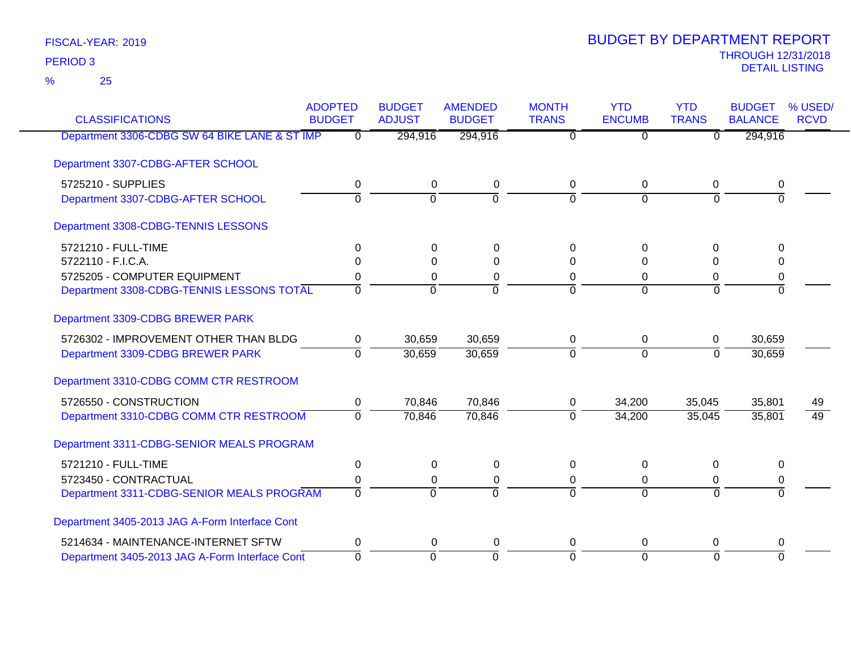| <b>CLASSIFICATIONS</b>                         | <b>ADOPTED</b><br><b>BUDGET</b> | <b>BUDGET</b><br><b>ADJUST</b> | <b>AMENDED</b><br><b>BUDGET</b> | <b>MONTH</b><br><b>TRANS</b> | <b>YTD</b><br><b>ENCUMB</b> | <b>YTD</b><br><b>TRANS</b> | <b>BUDGET</b><br><b>BALANCE</b> | % USED/<br><b>RCVD</b> |
|------------------------------------------------|---------------------------------|--------------------------------|---------------------------------|------------------------------|-----------------------------|----------------------------|---------------------------------|------------------------|
| Department 3306-CDBG SW 64 BIKE LANE & ST IMP  | $\overline{0}$                  | 294,916                        | 294,916                         | $\overline{0}$               | $\overline{0}$              | $\overline{0}$             | 294,916                         |                        |
|                                                |                                 |                                |                                 |                              |                             |                            |                                 |                        |
| Department 3307-CDBG-AFTER SCHOOL              |                                 |                                |                                 |                              |                             |                            |                                 |                        |
| 5725210 - SUPPLIES                             | 0                               | $\mathbf 0$                    | $\mathbf 0$                     | 0                            | 0                           | 0                          | 0                               |                        |
| Department 3307-CDBG-AFTER SCHOOL              | $\overline{0}$                  | $\overline{0}$                 | $\overline{0}$                  | $\Omega$                     | $\overline{0}$              | $\Omega$                   | $\Omega$                        |                        |
| Department 3308-CDBG-TENNIS LESSONS            |                                 |                                |                                 |                              |                             |                            |                                 |                        |
| 5721210 - FULL-TIME                            | 0                               | 0                              | $\Omega$                        | $\Omega$                     | $\Omega$                    | $\Omega$                   | $\Omega$                        |                        |
| 5722110 - F.I.C.A.                             | $\Omega$                        | $\Omega$                       | $\Omega$                        | $\Omega$                     | 0                           | 0                          | $\Omega$                        |                        |
| 5725205 - COMPUTER EQUIPMENT                   | 0                               | 0                              | 0                               | 0                            | 0                           | 0                          | 0                               |                        |
| Department 3308-CDBG-TENNIS LESSONS TOTAL      | $\Omega$                        | $\mathbf 0$                    | $\overline{0}$                  | $\Omega$                     | $\overline{0}$              | $\Omega$                   | $\Omega$                        |                        |
| Department 3309-CDBG BREWER PARK               |                                 |                                |                                 |                              |                             |                            |                                 |                        |
| 5726302 - IMPROVEMENT OTHER THAN BLDG          | 0                               | 30,659                         | 30,659                          | $\mathbf 0$                  | 0                           | 0                          | 30,659                          |                        |
| Department 3309-CDBG BREWER PARK               | $\Omega$                        | 30,659                         | 30,659                          | $\Omega$                     | $\Omega$                    | $\Omega$                   | 30,659                          |                        |
| Department 3310-CDBG COMM CTR RESTROOM         |                                 |                                |                                 |                              |                             |                            |                                 |                        |
| 5726550 - CONSTRUCTION                         | $\mathbf 0$                     | 70,846                         | 70,846                          | 0                            | 34,200                      | 35,045                     | 35,801                          | 49                     |
| Department 3310-CDBG COMM CTR RESTROOM         | $\mathbf 0$                     | 70,846                         | 70,846                          | $\Omega$                     | 34,200                      | 35,045                     | 35,801                          | $\overline{49}$        |
| Department 3311-CDBG-SENIOR MEALS PROGRAM      |                                 |                                |                                 |                              |                             |                            |                                 |                        |
| 5721210 - FULL-TIME                            | $\mathbf 0$                     | $\boldsymbol{0}$               | $\pmb{0}$                       | $\mathbf 0$                  | 0                           | $\mathbf 0$                | 0                               |                        |
| 5723450 - CONTRACTUAL                          | 0                               | 0                              | 0                               | 0                            | $\Omega$                    | 0                          | 0                               |                        |
| Department 3311-CDBG-SENIOR MEALS PROGRAM      | $\Omega$                        | $\overline{0}$                 | $\overline{0}$                  | $\Omega$                     | $\Omega$                    | $\Omega$                   | $\overline{0}$                  |                        |
| Department 3405-2013 JAG A-Form Interface Cont |                                 |                                |                                 |                              |                             |                            |                                 |                        |
| 5214634 - MAINTENANCE-INTERNET SFTW            | 0                               | 0                              | 0                               | $\Omega$                     | $\Omega$                    | 0                          | 0                               |                        |
| Department 3405-2013 JAG A-Form Interface Cont | $\mathbf 0$                     | $\mathbf 0$                    | $\mathbf 0$                     | $\Omega$                     | $\mathbf 0$                 | $\Omega$                   | $\Omega$                        |                        |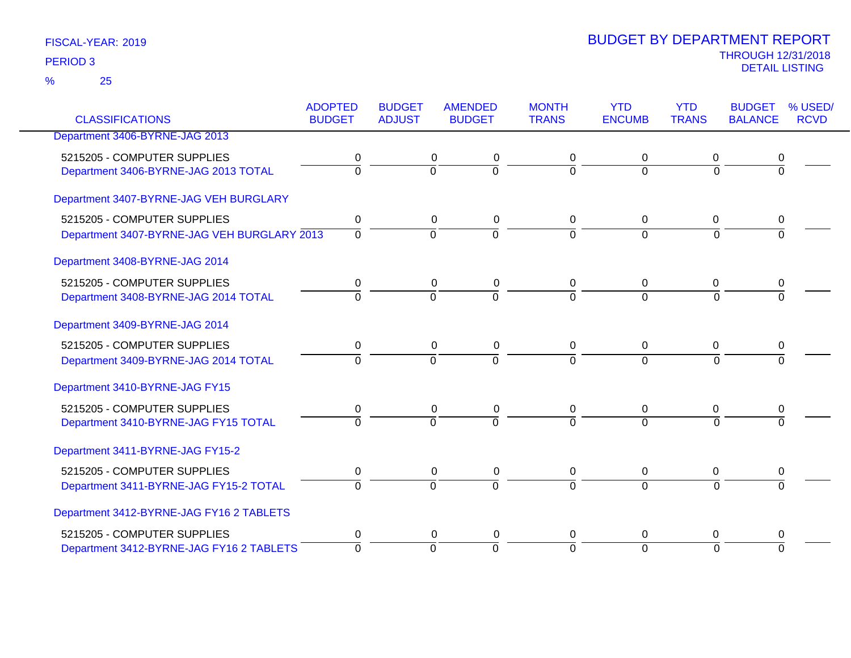| <b>CLASSIFICATIONS</b>                      | <b>ADOPTED</b><br><b>BUDGET</b> | <b>BUDGET</b><br><b>ADJUST</b> | <b>AMENDED</b><br><b>BUDGET</b> | <b>MONTH</b><br><b>TRANS</b> | <b>YTD</b><br><b>ENCUMB</b> | <b>YTD</b><br><b>TRANS</b> | <b>BUDGET</b><br><b>BALANCE</b> | % USED/<br><b>RCVD</b> |
|---------------------------------------------|---------------------------------|--------------------------------|---------------------------------|------------------------------|-----------------------------|----------------------------|---------------------------------|------------------------|
|                                             |                                 |                                |                                 |                              |                             |                            |                                 |                        |
| Department 3406-BYRNE-JAG 2013              |                                 |                                |                                 |                              |                             |                            |                                 |                        |
| 5215205 - COMPUTER SUPPLIES                 | 0                               |                                | 0<br>0                          | 0                            | 0                           | 0                          | 0                               |                        |
| Department 3406-BYRNE-JAG 2013 TOTAL        | $\overline{0}$                  | $\Omega$                       | $\overline{0}$                  | $\overline{0}$               | $\overline{0}$              | $\Omega$                   | $\overline{0}$                  |                        |
| Department 3407-BYRNE-JAG VEH BURGLARY      |                                 |                                |                                 |                              |                             |                            |                                 |                        |
| 5215205 - COMPUTER SUPPLIES                 | 0                               | 0                              | $\pmb{0}$                       | 0                            | $\mathbf 0$                 | 0                          | 0                               |                        |
| Department 3407-BYRNE-JAG VEH BURGLARY 2013 | $\mathbf 0$                     | $\overline{0}$                 | $\overline{0}$                  | $\Omega$                     | $\overline{0}$              | $\Omega$                   | $\Omega$                        |                        |
| Department 3408-BYRNE-JAG 2014              |                                 |                                |                                 |                              |                             |                            |                                 |                        |
| 5215205 - COMPUTER SUPPLIES                 | 0                               |                                | 0<br>0                          | 0                            | 0                           | 0                          |                                 |                        |
| Department 3408-BYRNE-JAG 2014 TOTAL        | $\Omega$                        | $\overline{0}$                 | 0                               | $\Omega$                     | $\overline{0}$              | $\Omega$                   | $\Omega$                        |                        |
| Department 3409-BYRNE-JAG 2014              |                                 |                                |                                 |                              |                             |                            |                                 |                        |
| 5215205 - COMPUTER SUPPLIES                 | 0                               |                                | 0<br>0                          | 0                            | 0                           | 0                          | 0                               |                        |
| Department 3409-BYRNE-JAG 2014 TOTAL        | $\overline{0}$                  | $\Omega$                       | $\overline{0}$                  | $\Omega$                     | $\Omega$                    | $\Omega$                   | $\overline{0}$                  |                        |
| Department 3410-BYRNE-JAG FY15              |                                 |                                |                                 |                              |                             |                            |                                 |                        |
| 5215205 - COMPUTER SUPPLIES                 | 0                               | 0                              | 0                               | 0                            | 0                           | 0                          | 0                               |                        |
| Department 3410-BYRNE-JAG FY15 TOTAL        | $\Omega$                        | $\Omega$                       | $\overline{0}$                  | $\Omega$                     | $\Omega$                    | $\Omega$                   | $\Omega$                        |                        |
| Department 3411-BYRNE-JAG FY15-2            |                                 |                                |                                 |                              |                             |                            |                                 |                        |
| 5215205 - COMPUTER SUPPLIES                 | $\pmb{0}$                       |                                | $\pmb{0}$<br>$\pmb{0}$          | $\mathbf 0$                  | $\pmb{0}$                   | $\overline{0}$             | 0                               |                        |
| Department 3411-BYRNE-JAG FY15-2 TOTAL      | $\Omega$                        | $\overline{0}$                 | $\Omega$                        | $\Omega$                     | $\Omega$                    | $\Omega$                   | $\Omega$                        |                        |
| Department 3412-BYRNE-JAG FY16 2 TABLETS    |                                 |                                |                                 |                              |                             |                            |                                 |                        |
| 5215205 - COMPUTER SUPPLIES                 | 0                               |                                | $\pmb{0}$<br>$\pmb{0}$          | 0                            | 0                           | 0                          | 0                               |                        |
| Department 3412-BYRNE-JAG FY16 2 TABLETS    | $\overline{0}$                  | $\overline{0}$                 | $\Omega$                        | $\Omega$                     | $\overline{0}$              | $\Omega$                   | $\Omega$                        |                        |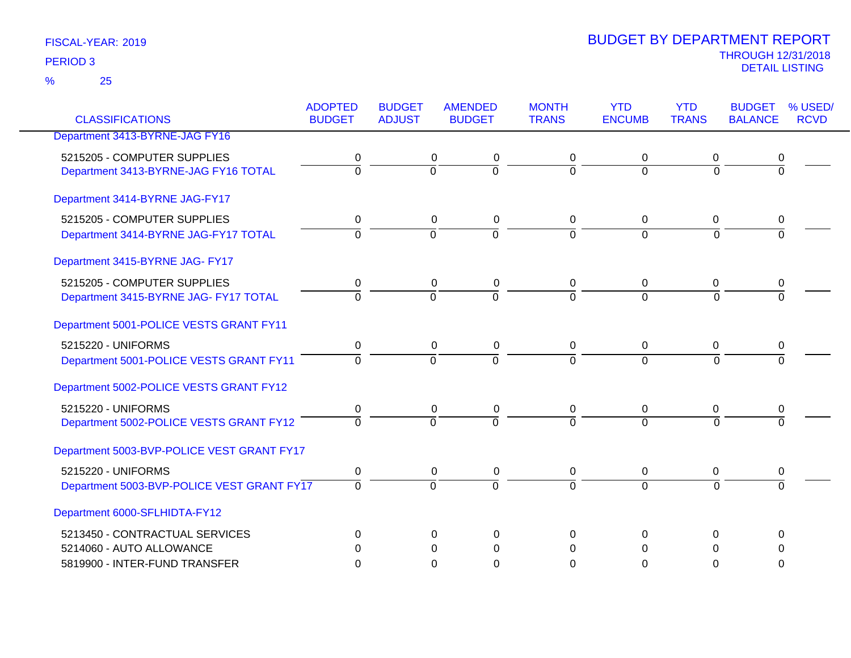| <b>CLASSIFICATIONS</b>                     | <b>ADOPTED</b> | <b>BUDGET</b>  | <b>AMENDED</b> | <b>MONTH</b>   | <b>YTD</b>     | <b>YTD</b>     | <b>BUDGET</b>  | % USED/     |
|--------------------------------------------|----------------|----------------|----------------|----------------|----------------|----------------|----------------|-------------|
|                                            | <b>BUDGET</b>  | <b>ADJUST</b>  | <b>BUDGET</b>  | <b>TRANS</b>   | <b>ENCUMB</b>  | <b>TRANS</b>   | <b>BALANCE</b> | <b>RCVD</b> |
| Department 3413-BYRNE-JAG FY16             |                |                |                |                |                |                |                |             |
| 5215205 - COMPUTER SUPPLIES                | 0              | 0              | 0              | 0              | 0              | 0              | 0              |             |
| Department 3413-BYRNE-JAG FY16 TOTAL       | ō              | $\overline{0}$ | $\overline{0}$ | $\overline{0}$ | $\overline{0}$ | $\overline{0}$ | $\overline{0}$ |             |
| Department 3414-BYRNE JAG-FY17             |                |                |                |                |                |                |                |             |
| 5215205 - COMPUTER SUPPLIES                | 0              | 0              | 0              | 0              | 0              | $\mathbf{0}$   | 0              |             |
| Department 3414-BYRNE JAG-FY17 TOTAL       | $\overline{0}$ | $\overline{0}$ | $\overline{0}$ | $\overline{0}$ | $\Omega$       | $\Omega$       | $\overline{0}$ |             |
| Department 3415-BYRNE JAG- FY17            |                |                |                |                |                |                |                |             |
| 5215205 - COMPUTER SUPPLIES                | 0              | $\mathbf 0$    | $\pmb{0}$      | 0              | 0              | $\mathbf 0$    | 0              |             |
| Department 3415-BYRNE JAG- FY17 TOTAL      | $\Omega$       | $\Omega$       | $\overline{0}$ | $\Omega$       | $\Omega$       | $\Omega$       | $\Omega$       |             |
| Department 5001-POLICE VESTS GRANT FY11    |                |                |                |                |                |                |                |             |
| 5215220 - UNIFORMS                         | 0              | $\mathbf 0$    | $\pmb{0}$      | 0              | $\mathbf 0$    | $\mathbf 0$    | 0              |             |
| Department 5001-POLICE VESTS GRANT FY11    | $\overline{0}$ | $\overline{0}$ | $\overline{0}$ | $\overline{0}$ | $\Omega$       | $\overline{0}$ | $\Omega$       |             |
| Department 5002-POLICE VESTS GRANT FY12    |                |                |                |                |                |                |                |             |
| 5215220 - UNIFORMS                         | 0              | 0              | $\pmb{0}$      | 0              | $\pmb{0}$      | 0              | 0              |             |
| Department 5002-POLICE VESTS GRANT FY12    | $\overline{0}$ | $\overline{0}$ | $\overline{0}$ | $\Omega$       | $\overline{0}$ | $\Omega$       | $\Omega$       |             |
| Department 5003-BVP-POLICE VEST GRANT FY17 |                |                |                |                |                |                |                |             |
| 5215220 - UNIFORMS                         | $\mathbf 0$    | $\mathbf 0$    | $\pmb{0}$      | 0              | $\mathbf 0$    | $\mathbf 0$    | 0              |             |
| Department 5003-BVP-POLICE VEST GRANT FY17 | $\overline{0}$ | $\overline{0}$ | $\overline{0}$ | $\overline{0}$ | $\overline{0}$ | $\Omega$       | $\overline{0}$ |             |
| Department 6000-SFLHIDTA-FY12              |                |                |                |                |                |                |                |             |
| 5213450 - CONTRACTUAL SERVICES             | 0              | $\Omega$       | 0              | 0              | $\Omega$       | 0              | 0              |             |
| 5214060 - AUTO ALLOWANCE                   | 0              | $\Omega$       | $\Omega$       | $\Omega$       | $\Omega$       | $\Omega$       | $\Omega$       |             |
| 5819900 - INTER-FUND TRANSFER              | $\Omega$       | 0              | 0              | $\Omega$       | 0              | $\Omega$       | 0              |             |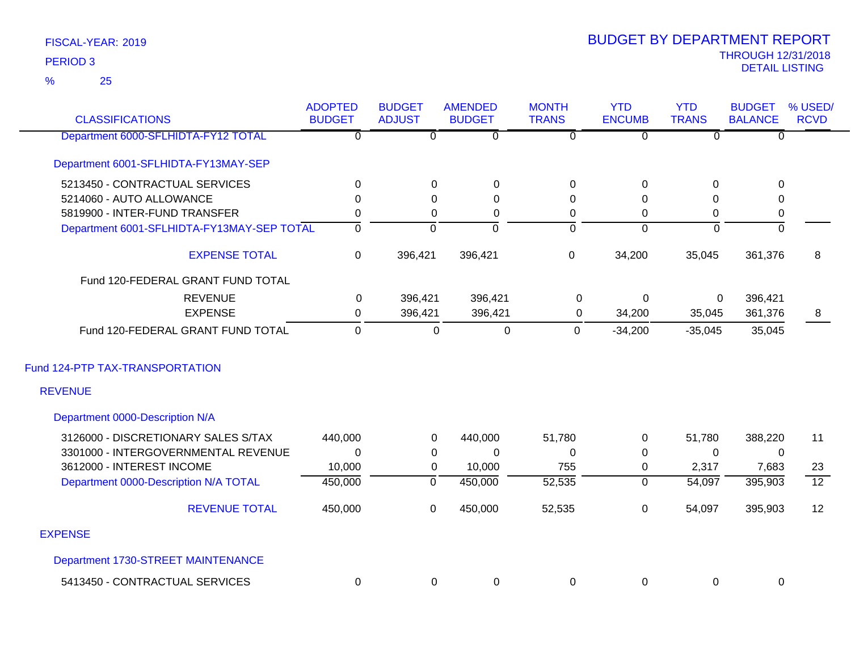| <b>CLASSIFICATIONS</b>                            | <b>ADOPTED</b><br><b>BUDGET</b> | <b>BUDGET</b><br><b>ADJUST</b> | <b>AMENDED</b><br><b>BUDGET</b> | <b>MONTH</b><br><b>TRANS</b> | <b>YTD</b><br><b>ENCUMB</b> | <b>YTD</b><br><b>TRANS</b> | <b>BUDGET</b><br><b>BALANCE</b> | % USED/<br><b>RCVD</b> |
|---------------------------------------------------|---------------------------------|--------------------------------|---------------------------------|------------------------------|-----------------------------|----------------------------|---------------------------------|------------------------|
| Department 6000-SFLHIDTA-FY12 TOTAL               | $\overline{0}$                  | $\overline{0}$                 | $\overline{0}$                  | $\overline{0}$               | $\overline{0}$              | $\overline{0}$             | $\Omega$                        |                        |
| Department 6001-SFLHIDTA-FY13MAY-SEP              |                                 |                                |                                 |                              |                             |                            |                                 |                        |
| 5213450 - CONTRACTUAL SERVICES                    | 0                               | $\Omega$                       | $\mathbf 0$                     | $\mathbf 0$                  | $\pmb{0}$                   | $\Omega$                   | $\mathbf 0$                     |                        |
| 5214060 - AUTO ALLOWANCE                          | 0                               | $\Omega$                       | $\Omega$                        | 0                            | $\Omega$                    | 0                          | 0                               |                        |
| 5819900 - INTER-FUND TRANSFER                     | 0                               | 0                              | 0                               | $\pmb{0}$                    | $\pmb{0}$                   | 0                          | $\mathbf 0$                     |                        |
| Department 6001-SFLHIDTA-FY13MAY-SEP TOTAL        | $\overline{0}$                  | $\overline{0}$                 | $\Omega$                        | $\overline{0}$               | $\overline{0}$              | $\overline{0}$             | $\mathbf 0$                     |                        |
| <b>EXPENSE TOTAL</b>                              | 0                               | 396,421                        | 396,421                         | $\pmb{0}$                    | 34,200                      | 35,045                     | 361,376                         | 8                      |
| Fund 120-FEDERAL GRANT FUND TOTAL                 |                                 |                                |                                 |                              |                             |                            |                                 |                        |
| <b>REVENUE</b>                                    | 0                               | 396,421                        | 396,421                         | 0                            | $\mathbf 0$                 | 0                          | 396,421                         |                        |
| <b>EXPENSE</b>                                    | 0                               | 396,421                        | 396,421                         | $\mathbf 0$                  | 34,200                      | 35,045                     | 361,376                         | 8                      |
| Fund 120-FEDERAL GRANT FUND TOTAL                 | $\mathbf 0$                     | $\mathbf 0$                    | $\mathbf 0$                     | $\mathbf 0$                  | $-34,200$                   | $-35,045$                  | 35,045                          |                        |
| Fund 124-PTP TAX-TRANSPORTATION<br><b>REVENUE</b> |                                 |                                |                                 |                              |                             |                            |                                 |                        |
| Department 0000-Description N/A                   |                                 |                                |                                 |                              |                             |                            |                                 |                        |
| 3126000 - DISCRETIONARY SALES S/TAX               | 440,000                         | $\mathbf 0$                    | 440,000                         | 51,780                       | $\boldsymbol{0}$            | 51,780                     | 388,220                         | 11                     |
| 3301000 - INTERGOVERNMENTAL REVENUE               | $\Omega$                        | 0                              | $\mathbf{0}$                    | $\mathbf 0$                  | 0                           | $\mathbf 0$                | 0                               |                        |
| 3612000 - INTEREST INCOME                         | 10,000                          | 0                              | 10,000                          | 755                          | 0                           | 2,317                      | 7,683                           | 23                     |
| Department 0000-Description N/A TOTAL             | 450,000                         | $\overline{0}$                 | 450,000                         | 52,535                       | $\overline{0}$              | 54,097                     | 395,903                         | $\overline{12}$        |
| <b>REVENUE TOTAL</b>                              | 450,000                         | 0                              | 450,000                         | 52,535                       | 0                           | 54,097                     | 395,903                         | 12                     |
| <b>EXPENSE</b>                                    |                                 |                                |                                 |                              |                             |                            |                                 |                        |
| Department 1730-STREET MAINTENANCE                |                                 |                                |                                 |                              |                             |                            |                                 |                        |
| 5413450 - CONTRACTUAL SERVICES                    | $\mathbf 0$                     | $\Omega$                       | $\mathbf 0$                     | 0                            | $\mathbf 0$                 | $\Omega$                   | 0                               |                        |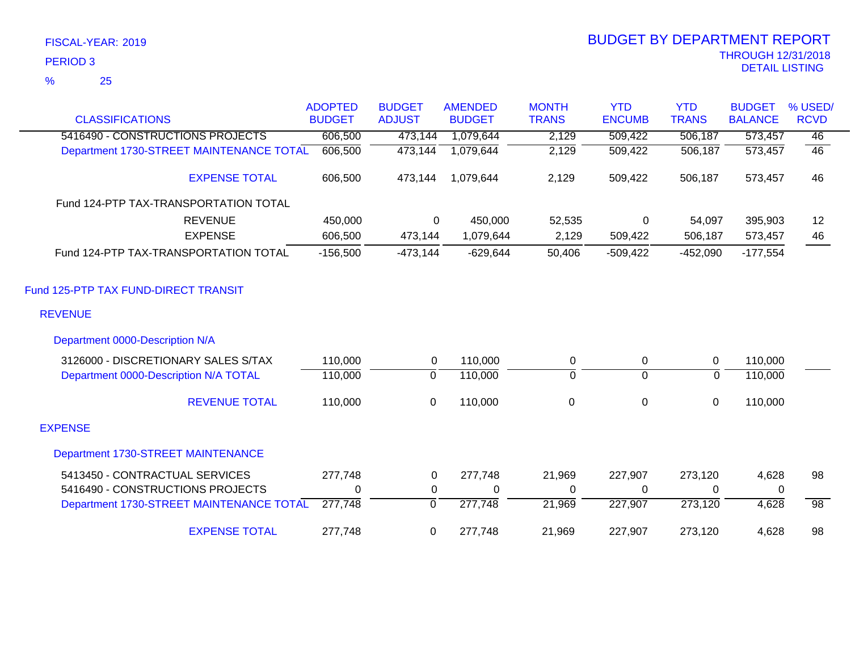|                                          | <b>ADOPTED</b> | <b>BUDGET</b> | <b>AMENDED</b> | <b>MONTH</b> | <b>YTD</b>       | <b>YTD</b>     | <b>BUDGET</b>  | % USED/         |
|------------------------------------------|----------------|---------------|----------------|--------------|------------------|----------------|----------------|-----------------|
| <b>CLASSIFICATIONS</b>                   | <b>BUDGET</b>  | <b>ADJUST</b> | <b>BUDGET</b>  | <b>TRANS</b> | <b>ENCUMB</b>    | <b>TRANS</b>   | <b>BALANCE</b> | <b>RCVD</b>     |
| 5416490 - CONSTRUCTIONS PROJECTS         | 606,500        | 473,144       | 1,079,644      | 2,129        | 509,422          | 506,187        | 573,457        | 46              |
| Department 1730-STREET MAINTENANCE TOTAL | 606,500        | 473,144       | 1,079,644      | 2,129        | 509,422          | 506,187        | 573,457        | 46              |
| <b>EXPENSE TOTAL</b>                     | 606,500        | 473,144       | 1,079,644      | 2,129        | 509,422          | 506,187        | 573,457        | 46              |
| Fund 124-PTP TAX-TRANSPORTATION TOTAL    |                |               |                |              |                  |                |                |                 |
| <b>REVENUE</b>                           | 450,000        | 0             | 450,000        | 52,535       | 0                | 54,097         | 395,903        | 12              |
| <b>EXPENSE</b>                           | 606,500        | 473,144       | 1,079,644      | 2,129        | 509,422          | 506,187        | 573,457        | 46              |
| Fund 124-PTP TAX-TRANSPORTATION TOTAL    | $-156,500$     | $-473,144$    | $-629,644$     | 50,406       | $-509,422$       | $-452,090$     | $-177,554$     |                 |
| Fund 125-PTP TAX FUND-DIRECT TRANSIT     |                |               |                |              |                  |                |                |                 |
| <b>REVENUE</b>                           |                |               |                |              |                  |                |                |                 |
| Department 0000-Description N/A          |                |               |                |              |                  |                |                |                 |
| 3126000 - DISCRETIONARY SALES S/TAX      | 110,000        | 0             | 110,000        | 0            | 0                | 0              | 110,000        |                 |
| Department 0000-Description N/A TOTAL    | 110,000        | $\mathbf 0$   | 110,000        | 0            | $\overline{0}$   | $\overline{0}$ | 110,000        |                 |
| <b>REVENUE TOTAL</b>                     | 110,000        | $\mathbf 0$   | 110,000        | $\mathbf 0$  | $\boldsymbol{0}$ | $\pmb{0}$      | 110,000        |                 |
| <b>EXPENSE</b>                           |                |               |                |              |                  |                |                |                 |
| Department 1730-STREET MAINTENANCE       |                |               |                |              |                  |                |                |                 |
| 5413450 - CONTRACTUAL SERVICES           | 277,748        | 0             | 277,748        | 21,969       | 227,907          | 273,120        | 4,628          | 98              |
| 5416490 - CONSTRUCTIONS PROJECTS         | $\mathbf 0$    | 0             | $\mathbf 0$    | 0            | 0                | 0              | 0              |                 |
| Department 1730-STREET MAINTENANCE TOTAL | 277,748        | 0             | 277,748        | 21,969       | 227,907          | 273,120        | 4,628          | $\overline{98}$ |
| <b>EXPENSE TOTAL</b>                     | 277,748        | 0             | 277,748        | 21,969       | 227,907          | 273,120        | 4,628          | 98              |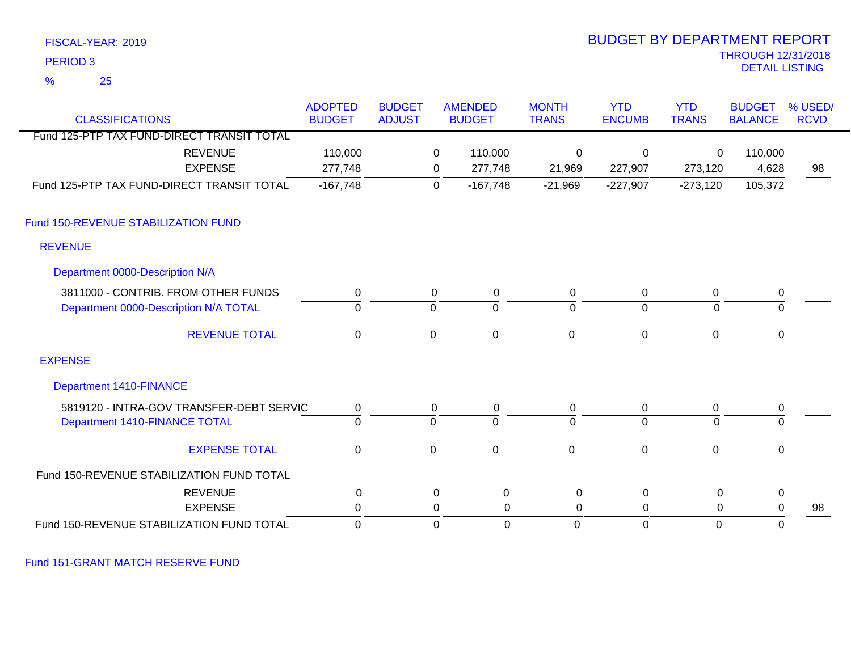| FISCAL-YEAR: 2019                          | <b>BUDGET BY DEPARTMENT REPORT</b><br><b>THROUGH 12/31/2018</b> |                |             |                |                |                |                |                       |             |
|--------------------------------------------|-----------------------------------------------------------------|----------------|-------------|----------------|----------------|----------------|----------------|-----------------------|-------------|
| <b>PERIOD 3</b>                            |                                                                 |                |             |                |                |                |                | <b>DETAIL LISTING</b> |             |
| $\frac{9}{6}$<br>25                        |                                                                 |                |             |                |                |                |                |                       |             |
|                                            | <b>ADOPTED</b>                                                  | <b>BUDGET</b>  |             | <b>AMENDED</b> | <b>MONTH</b>   | <b>YTD</b>     | <b>YTD</b>     | <b>BUDGET</b>         | % USED/     |
| <b>CLASSIFICATIONS</b>                     | <b>BUDGET</b>                                                   | <b>ADJUST</b>  |             | <b>BUDGET</b>  | <b>TRANS</b>   | <b>ENCUMB</b>  | <b>TRANS</b>   | <b>BALANCE</b>        | <b>RCVD</b> |
| Fund 125-PTP TAX FUND-DIRECT TRANSIT TOTAL |                                                                 |                |             |                |                |                |                |                       |             |
| <b>REVENUE</b>                             | 110,000                                                         |                | 0           | 110,000        | 0              | $\mathbf 0$    | 0              | 110,000               |             |
| <b>EXPENSE</b>                             | 277,748                                                         |                | 0           | 277,748        | 21,969         | 227,907        | 273,120        | 4,628                 | 98          |
| Fund 125-PTP TAX FUND-DIRECT TRANSIT TOTAL | $-167,748$                                                      |                | $\mathbf 0$ | $-167,748$     | $-21,969$      | $-227,907$     | $-273,120$     | 105,372               |             |
| Fund 150-REVENUE STABILIZATION FUND        |                                                                 |                |             |                |                |                |                |                       |             |
| <b>REVENUE</b>                             |                                                                 |                |             |                |                |                |                |                       |             |
| Department 0000-Description N/A            |                                                                 |                |             |                |                |                |                |                       |             |
| 3811000 - CONTRIB. FROM OTHER FUNDS        | $\mathbf 0$                                                     |                | $\mathbf 0$ | $\pmb{0}$      | $\mathsf 0$    | 0              | $\pmb{0}$      | $\pmb{0}$             |             |
| Department 0000-Description N/A TOTAL      | $\overline{0}$                                                  | ō              |             | $\Omega$       | $\mathbf 0$    | $\overline{0}$ | $\Omega$       | $\overline{0}$        |             |
| <b>REVENUE TOTAL</b>                       | $\mathbf 0$                                                     | $\mathbf 0$    |             | $\mathbf 0$    | $\mathbf 0$    | $\Omega$       | $\overline{0}$ | $\mathbf 0$           |             |
| <b>EXPENSE</b>                             |                                                                 |                |             |                |                |                |                |                       |             |
| <b>Department 1410-FINANCE</b>             |                                                                 |                |             |                |                |                |                |                       |             |
| 5819120 - INTRA-GOV TRANSFER-DEBT SERVIC   | $\pmb{0}$                                                       |                | $\pmb{0}$   | $\pmb{0}$      | 0              | 0              | $\pmb{0}$      | 0                     |             |
| Department 1410-FINANCE TOTAL              | $\overline{0}$                                                  | $\overline{0}$ |             | $\overline{0}$ | $\overline{0}$ | $\overline{0}$ | $\overline{0}$ | $\overline{0}$        |             |
| <b>EXPENSE TOTAL</b>                       | $\mathbf 0$                                                     | $\mathbf 0$    |             | $\mathbf 0$    | $\mathbf 0$    | $\mathbf{0}$   | $\mathbf 0$    | $\mathbf 0$           |             |
| Fund 150-REVENUE STABILIZATION FUND TOTAL  |                                                                 |                |             |                |                |                |                |                       |             |
| <b>REVENUE</b>                             | $\pmb{0}$                                                       |                | $\pmb{0}$   | $\pmb{0}$      | 0              | $\pmb{0}$      | $\mathbf 0$    | $\pmb{0}$             |             |
| <b>EXPENSE</b>                             | $\pmb{0}$                                                       |                | $\mathbf 0$ | $\mathbf 0$    | $\mathbf 0$    | $\mathbf 0$    | $\mathbf 0$    | $\boldsymbol{0}$      | 98          |
| Fund 150-REVENUE STABILIZATION FUND TOTAL  | $\mathbf 0$                                                     |                | $\mathbf 0$ | $\mathbf 0$    | $\mathbf 0$    | $\mathbf 0$    | $\mathbf 0$    | $\mathbf 0$           |             |

Fund 151-GRANT MATCH RESERVE FUND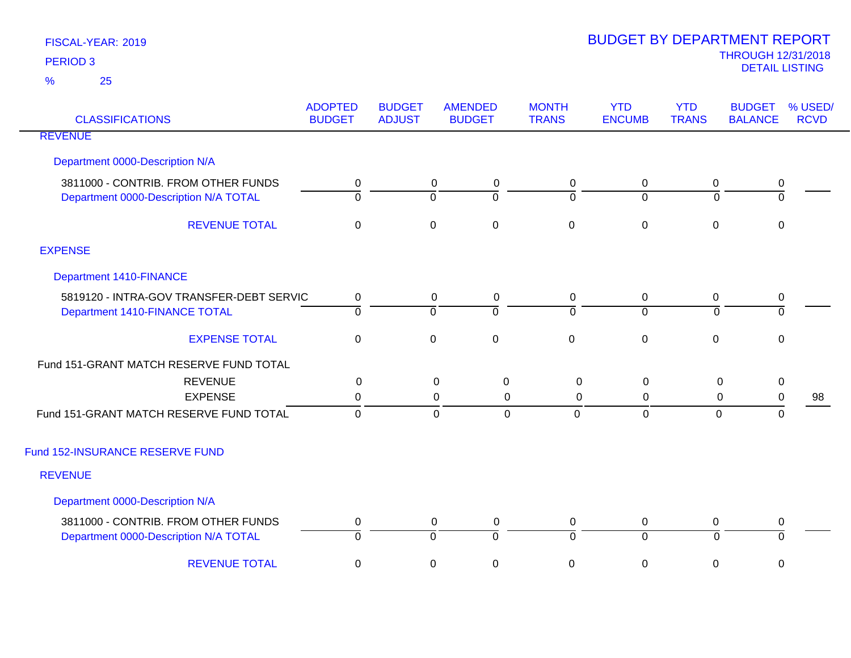| <b>CLASSIFICATIONS</b>                                                       | <b>ADOPTED</b><br><b>BUDGET</b> | <b>BUDGET</b><br><b>ADJUST</b> | <b>AMENDED</b><br><b>BUDGET</b>            | <b>MONTH</b><br><b>TRANS</b> | <b>YTD</b><br><b>ENCUMB</b> | <b>YTD</b><br><b>TRANS</b> | <b>BUDGET</b><br><b>BALANCE</b> | % USED/<br><b>RCVD</b> |
|------------------------------------------------------------------------------|---------------------------------|--------------------------------|--------------------------------------------|------------------------------|-----------------------------|----------------------------|---------------------------------|------------------------|
| <b>REVENUE</b>                                                               |                                 |                                |                                            |                              |                             |                            |                                 |                        |
| Department 0000-Description N/A                                              |                                 |                                |                                            |                              |                             |                            |                                 |                        |
| 3811000 - CONTRIB. FROM OTHER FUNDS<br>Department 0000-Description N/A TOTAL | 0<br>$\overline{0}$             | $\overline{0}$                 | 0<br>0<br>$\overline{0}$                   | 0<br>ō                       | 0<br>$\overline{0}$         | 0<br>$\Omega$              | 0<br>$\overline{\mathfrak{o}}$  |                        |
| <b>REVENUE TOTAL</b>                                                         | 0                               | $\mathbf 0$                    | $\mathbf 0$                                | $\mathbf 0$                  | $\boldsymbol{0}$            | $\mathbf 0$                | 0                               |                        |
| <b>EXPENSE</b>                                                               |                                 |                                |                                            |                              |                             |                            |                                 |                        |
| <b>Department 1410-FINANCE</b>                                               |                                 |                                |                                            |                              |                             |                            |                                 |                        |
| 5819120 - INTRA-GOV TRANSFER-DEBT SERVIC<br>Department 1410-FINANCE TOTAL    | 0<br>$\overline{0}$             | $\overline{0}$                 | 0<br>$\mathbf 0$<br>$\overline{0}$         | $\mathbf 0$<br>ō             | 0<br>$\overline{0}$         | $\mathbf 0$<br>$\mathbf 0$ | $\mathbf 0$<br>$\overline{0}$   |                        |
| <b>EXPENSE TOTAL</b>                                                         | $\boldsymbol{0}$                | $\mathbf 0$                    | $\mathsf 0$                                | $\pmb{0}$                    | $\pmb{0}$                   | $\mathbf 0$                | $\mathbf 0$                     |                        |
| Fund 151-GRANT MATCH RESERVE FUND TOTAL                                      |                                 |                                |                                            |                              |                             |                            |                                 |                        |
| <b>REVENUE</b><br><b>EXPENSE</b>                                             | 0<br>0                          |                                | 0<br>0<br>0<br>$\mathbf 0$                 | $\mathsf 0$<br>$\mathsf 0$   | $\mathbf 0$<br>0            | 0<br>0                     | $\mathbf 0$<br>$\mathbf 0$      | 98                     |
| Fund 151-GRANT MATCH RESERVE FUND TOTAL                                      | $\overline{0}$                  |                                | $\mathbf 0$<br>$\mathbf 0$                 | $\mathbf{0}$                 | $\overline{0}$              | 0                          | $\mathbf 0$                     |                        |
| Fund 152-INSURANCE RESERVE FUND                                              |                                 |                                |                                            |                              |                             |                            |                                 |                        |
| <b>REVENUE</b>                                                               |                                 |                                |                                            |                              |                             |                            |                                 |                        |
| Department 0000-Description N/A                                              |                                 |                                |                                            |                              |                             |                            |                                 |                        |
| 3811000 - CONTRIB. FROM OTHER FUNDS<br>Department 0000-Description N/A TOTAL | $\mathbf 0$<br>0                | $\overline{0}$                 | $\mathbf 0$<br>$\pmb{0}$<br>$\overline{0}$ | 0<br>$\overline{0}$          | 0<br>$\overline{0}$         | $\mathbf 0$<br>$\Omega$    | 0<br>0                          |                        |
| <b>REVENUE TOTAL</b>                                                         | 0                               | $\mathbf 0$                    | $\pmb{0}$                                  | $\,0\,$                      | $\pmb{0}$                   | 0                          | 0                               |                        |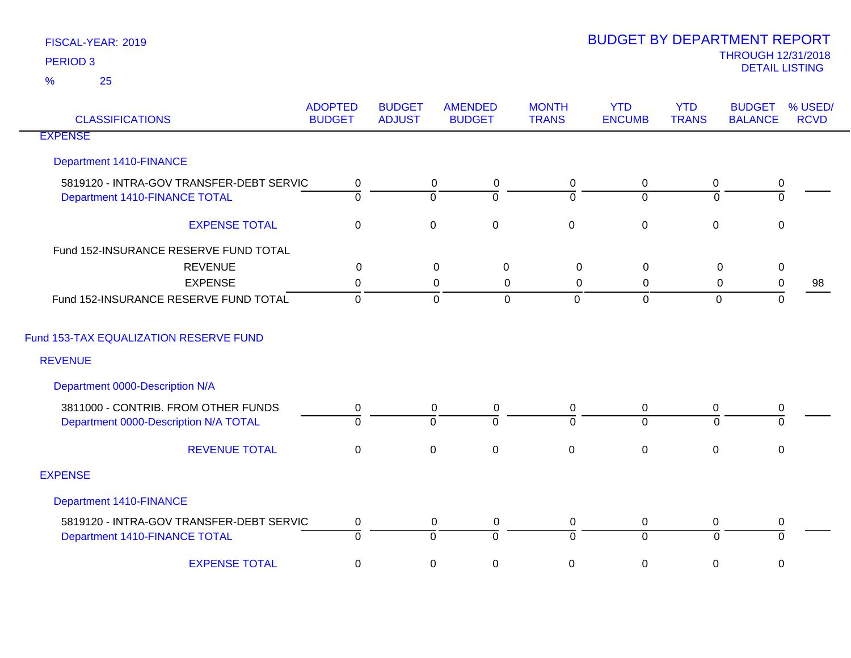| <b>CLASSIFICATIONS</b>                   | <b>ADOPTED</b><br><b>BUDGET</b> | <b>BUDGET</b><br><b>ADJUST</b> | <b>AMENDED</b><br><b>BUDGET</b> | <b>MONTH</b><br><b>TRANS</b> | <b>YTD</b><br><b>ENCUMB</b> | <b>YTD</b><br><b>TRANS</b> | <b>BUDGET</b><br><b>BALANCE</b> | % USED/<br><b>RCVD</b> |
|------------------------------------------|---------------------------------|--------------------------------|---------------------------------|------------------------------|-----------------------------|----------------------------|---------------------------------|------------------------|
| <b>EXPENSE</b>                           |                                 |                                |                                 |                              |                             |                            |                                 |                        |
| <b>Department 1410-FINANCE</b>           |                                 |                                |                                 |                              |                             |                            |                                 |                        |
| 5819120 - INTRA-GOV TRANSFER-DEBT SERVIC | $\mathbf 0$                     |                                | $\overline{0}$<br>$\mathbf 0$   | $\mathbf 0$                  | $\overline{0}$              | $\boldsymbol{0}$           | $\pmb{0}$                       |                        |
| Department 1410-FINANCE TOTAL            | $\Omega$                        | $\Omega$                       | $\Omega$                        | $\Omega$                     | $\Omega$                    | $\Omega$                   | $\mathbf 0$                     |                        |
| <b>EXPENSE TOTAL</b>                     | $\mathbf 0$                     | $\mathbf 0$                    | $\mathbf 0$                     | $\mathbf 0$                  | $\mathbf 0$                 | $\mathbf 0$                | $\mathbf{0}$                    |                        |
| Fund 152-INSURANCE RESERVE FUND TOTAL    |                                 |                                |                                 |                              |                             |                            |                                 |                        |
| <b>REVENUE</b>                           | $\mathbf 0$                     |                                | $\mathbf 0$<br>$\pmb{0}$        | $\mathbf 0$                  | $\pmb{0}$                   | $\mathsf 0$                | $\pmb{0}$                       |                        |
| <b>EXPENSE</b>                           | 0                               |                                | 0<br>0                          | 0                            | 0                           | $\mathbf 0$                | $\pmb{0}$                       | 98                     |
| Fund 152-INSURANCE RESERVE FUND TOTAL    | $\mathbf 0$                     |                                | $\mathbf 0$<br>$\mathbf 0$      | $\overline{0}$               | $\mathbf 0$                 | $\mathbf 0$                | $\mathbf 0$                     |                        |
| Fund 153-TAX EQUALIZATION RESERVE FUND   |                                 |                                |                                 |                              |                             |                            |                                 |                        |
| <b>REVENUE</b>                           |                                 |                                |                                 |                              |                             |                            |                                 |                        |
| Department 0000-Description N/A          |                                 |                                |                                 |                              |                             |                            |                                 |                        |
| 3811000 - CONTRIB. FROM OTHER FUNDS      | 0                               |                                | 0<br>0                          | 0                            | $\mathbf 0$                 | 0                          | $\pmb{0}$                       |                        |
| Department 0000-Description N/A TOTAL    | $\Omega$                        | $\Omega$                       | $\overline{0}$                  | $\Omega$                     | $\overline{0}$              | $\Omega$                   | $\Omega$                        |                        |
| <b>REVENUE TOTAL</b>                     | $\pmb{0}$                       | $\pmb{0}$                      | $\pmb{0}$                       | $\pmb{0}$                    | $\pmb{0}$                   | $\pmb{0}$                  | $\pmb{0}$                       |                        |
| <b>EXPENSE</b>                           |                                 |                                |                                 |                              |                             |                            |                                 |                        |
| <b>Department 1410-FINANCE</b>           |                                 |                                |                                 |                              |                             |                            |                                 |                        |
| 5819120 - INTRA-GOV TRANSFER-DEBT SERVIC | $\mathbf 0$                     |                                | $\mathbf 0$<br>0                | $\mathbf 0$                  | $\mathbf 0$                 | 0                          | 0                               |                        |
| Department 1410-FINANCE TOTAL            | 0                               | $\overline{0}$                 | $\overline{0}$                  | $\overline{0}$               | $\overline{0}$              | $\Omega$                   | $\overline{0}$                  |                        |
| <b>EXPENSE TOTAL</b>                     | $\mathbf 0$                     | $\pmb{0}$                      | $\mathsf 0$                     | 0                            | $\pmb{0}$                   | 0                          | $\mathbf 0$                     |                        |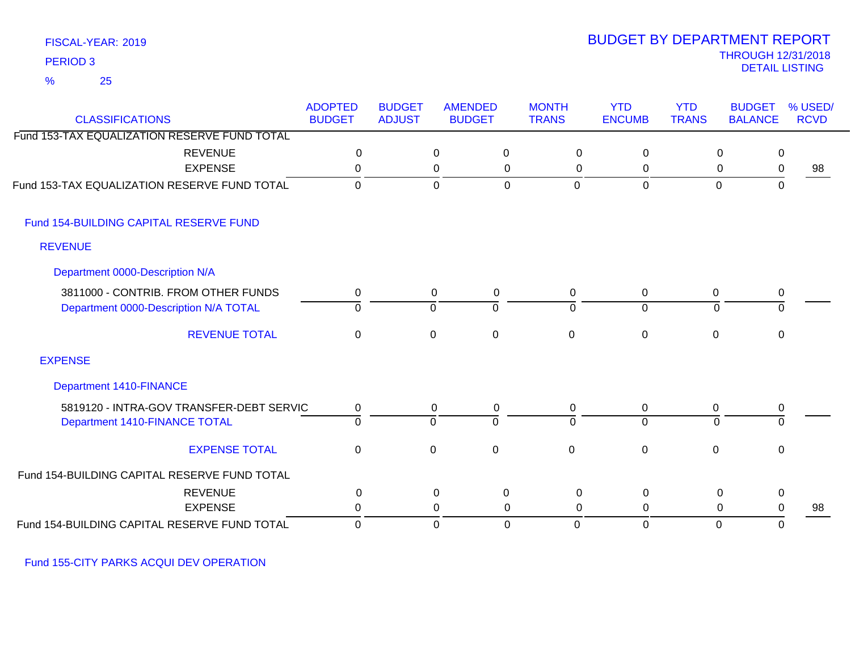## FISCAL-YEAR: 2019 25 %

## THROUGH 12/31/2018 DETAIL LISTING PERIOD <sup>3</sup> BUDGET BY DEPARTMENT REPORT

| <b>CLASSIFICATIONS</b>                       | <b>ADOPTED</b><br><b>BUDGET</b> | <b>BUDGET</b><br><b>ADJUST</b> | <b>AMENDED</b><br><b>BUDGET</b> | <b>MONTH</b><br><b>TRANS</b> | <b>YTD</b><br><b>ENCUMB</b> | <b>YTD</b><br><b>TRANS</b> | <b>BUDGET</b><br><b>BALANCE</b> | % USED/<br><b>RCVD</b> |
|----------------------------------------------|---------------------------------|--------------------------------|---------------------------------|------------------------------|-----------------------------|----------------------------|---------------------------------|------------------------|
| Fund 153-TAX EQUALIZATION RESERVE FUND TOTAL |                                 |                                |                                 |                              |                             |                            |                                 |                        |
| <b>REVENUE</b>                               | 0                               |                                | $\overline{0}$<br>$\mathbf 0$   | 0                            | $\mathbf 0$                 |                            | 0<br>$\mathbf 0$                |                        |
| <b>EXPENSE</b>                               | 0                               |                                | $\mathbf 0$<br>0                | 0                            | 0                           |                            | 0<br>$\mathbf 0$                | 98                     |
| Fund 153-TAX EQUALIZATION RESERVE FUND TOTAL | $\mathbf 0$                     |                                | $\mathbf 0$<br>$\mathbf 0$      | $\mathbf 0$                  | $\mathbf 0$                 | $\mathbf 0$                | $\Omega$                        |                        |
| Fund 154-BUILDING CAPITAL RESERVE FUND       |                                 |                                |                                 |                              |                             |                            |                                 |                        |
| <b>REVENUE</b>                               |                                 |                                |                                 |                              |                             |                            |                                 |                        |
| Department 0000-Description N/A              |                                 |                                |                                 |                              |                             |                            |                                 |                        |
| 3811000 - CONTRIB. FROM OTHER FUNDS          | 0                               |                                | 0<br>$\mathbf 0$                | 0                            | 0                           | 0                          | 0                               |                        |
| Department 0000-Description N/A TOTAL        | $\mathbf 0$                     |                                | $\overline{0}$<br>$\Omega$      | $\Omega$                     | $\overline{0}$              | $\Omega$                   | $\Omega$                        |                        |
| <b>REVENUE TOTAL</b>                         | $\mathbf 0$                     |                                | $\mathsf 0$<br>0                | $\mathbf 0$                  | $\mathbf 0$                 | 0                          | 0                               |                        |
| <b>EXPENSE</b>                               |                                 |                                |                                 |                              |                             |                            |                                 |                        |
| <b>Department 1410-FINANCE</b>               |                                 |                                |                                 |                              |                             |                            |                                 |                        |
| 5819120 - INTRA-GOV TRANSFER-DEBT SERVIC     | 0                               |                                | $\mathbf 0$<br>0                | 0                            | $\mathbf 0$                 | $\mathbf 0$                | 0                               |                        |
| Department 1410-FINANCE TOTAL                | $\overline{0}$                  |                                | $\overline{0}$<br>$\mathbf 0$   | $\Omega$                     | $\overline{0}$              | 0                          | $\overline{0}$                  |                        |
| <b>EXPENSE TOTAL</b>                         | $\mathbf 0$                     |                                | $\pmb{0}$<br>$\mathbf 0$        | $\mathbf{0}$                 | $\mathbf 0$                 | $\mathbf 0$                | $\mathbf 0$                     |                        |
| Fund 154-BUILDING CAPITAL RESERVE FUND TOTAL |                                 |                                |                                 |                              |                             |                            |                                 |                        |
| <b>REVENUE</b>                               | 0                               |                                | 0<br>$\mathbf 0$                | $\mathbf 0$                  | $\mathbf 0$                 |                            | $\mathbf 0$<br>0                |                        |
| <b>EXPENSE</b>                               | 0                               |                                | 0<br>0                          | $\Omega$                     | 0                           |                            | 0<br>0                          | 98                     |
| Fund 154-BUILDING CAPITAL RESERVE FUND TOTAL | 0                               |                                | 0<br>0                          | 0                            | 0                           | 0                          | 0                               |                        |

Fund 155-CITY PARKS ACQUI DEV OPERATION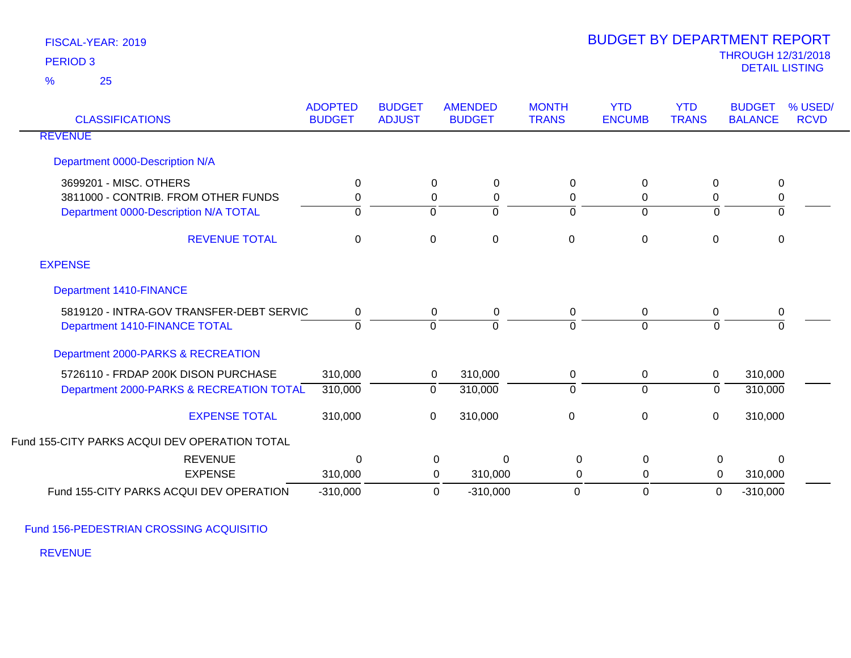25 %

| <b>CLASSIFICATIONS</b>                                                                                 | <b>ADOPTED</b><br><b>BUDGET</b> | <b>BUDGET</b><br><b>ADJUST</b> | <b>AMENDED</b><br><b>BUDGET</b>                  | <b>MONTH</b><br><b>TRANS</b> | <b>YTD</b><br><b>ENCUMB</b>   | <b>YTD</b><br><b>TRANS</b> | <b>BUDGET</b><br><b>BALANCE</b> | % USED/<br><b>RCVD</b> |
|--------------------------------------------------------------------------------------------------------|---------------------------------|--------------------------------|--------------------------------------------------|------------------------------|-------------------------------|----------------------------|---------------------------------|------------------------|
| <b>REVENUE</b>                                                                                         |                                 |                                |                                                  |                              |                               |                            |                                 |                        |
| Department 0000-Description N/A                                                                        |                                 |                                |                                                  |                              |                               |                            |                                 |                        |
| 3699201 - MISC. OTHERS<br>3811000 - CONTRIB. FROM OTHER FUNDS<br>Department 0000-Description N/A TOTAL | 0<br>0<br>0                     | 0                              | $\mathbf 0$<br>$\mathbf 0$<br>0<br>0<br>$\Omega$ | 0<br>0<br>$\Omega$           | $\pmb{0}$<br>0<br>$\mathbf 0$ | 0<br>0<br>$\Omega$         | $\mathbf 0$<br>0<br>0           |                        |
| <b>REVENUE TOTAL</b>                                                                                   | $\Omega$                        | $\pmb{0}$                      | $\mathbf 0$                                      | $\mathbf 0$                  | $\mathbf 0$                   | 0                          | 0                               |                        |
| <b>EXPENSE</b>                                                                                         |                                 |                                |                                                  |                              |                               |                            |                                 |                        |
| <b>Department 1410-FINANCE</b>                                                                         |                                 |                                |                                                  |                              |                               |                            |                                 |                        |
| 5819120 - INTRA-GOV TRANSFER-DEBT SERVIC<br>Department 1410-FINANCE TOTAL                              | 0<br>$\Omega$                   | $\Omega$                       | 0<br>0<br>$\Omega$                               | 0<br>$\Omega$                | $\pmb{0}$<br>$\Omega$         | 0<br>$\Omega$              | 0<br>$\Omega$                   |                        |
| Department 2000-PARKS & RECREATION                                                                     |                                 |                                |                                                  |                              |                               |                            |                                 |                        |
| 5726110 - FRDAP 200K DISON PURCHASE<br>Department 2000-PARKS & RECREATION TOTAL                        | 310,000<br>310,000              | 0                              | 310,000<br>0<br>310,000                          | 0<br>$\Omega$                | 0<br>$\mathbf 0$              | $\mathbf 0$<br>0           | 310,000<br>310,000              |                        |
| <b>EXPENSE TOTAL</b>                                                                                   | 310,000                         | 0                              | 310,000                                          | 0                            | $\pmb{0}$                     | 0                          | 310,000                         |                        |
| Fund 155-CITY PARKS ACQUI DEV OPERATION TOTAL                                                          |                                 |                                |                                                  |                              |                               |                            |                                 |                        |
| <b>REVENUE</b>                                                                                         | $\Omega$                        |                                | $\mathbf 0$<br>$\Omega$                          | $\mathbf 0$                  | $\mathbf 0$                   | $\mathbf 0$                | $\Omega$                        |                        |
| <b>EXPENSE</b>                                                                                         | 310,000                         |                                | 310,000<br>0                                     | 0                            | $\mathbf 0$                   | $\mathbf 0$                | 310,000                         |                        |
| Fund 155-CITY PARKS ACQUI DEV OPERATION                                                                | $-310,000$                      |                                | $\mathbf 0$<br>$-310,000$                        | $\mathbf 0$                  | $\mathbf 0$                   | $\boldsymbol{0}$           | $-310,000$                      |                        |

Fund 156-PEDESTRIAN CROSSING ACQUISITIO

REVENUE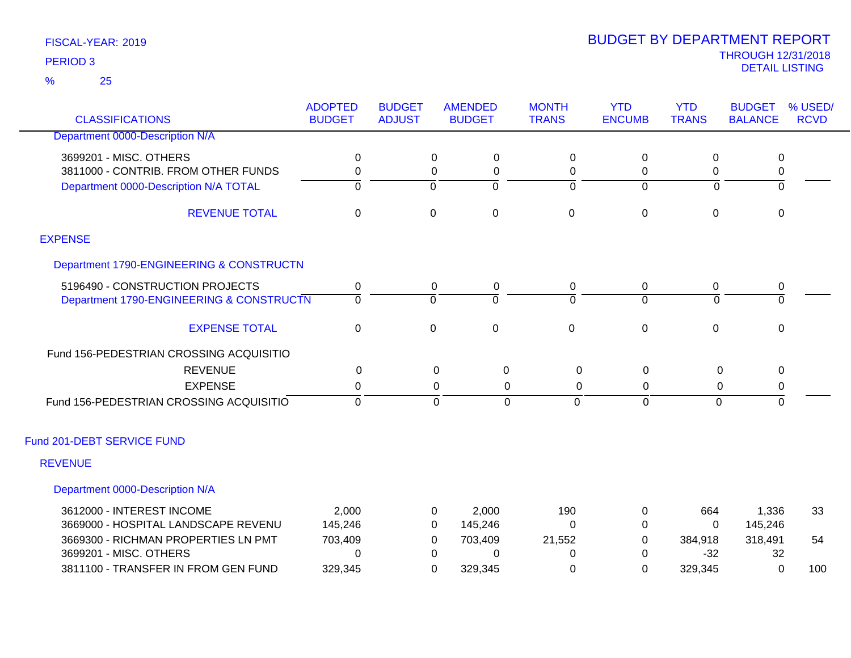25 %

| <b>CLASSIFICATIONS</b>                   | <b>ADOPTED</b><br><b>BUDGET</b> | <b>BUDGET</b><br><b>ADJUST</b> | <b>AMENDED</b><br><b>BUDGET</b> | <b>MONTH</b><br><b>TRANS</b> | <b>YTD</b><br><b>ENCUMB</b> | <b>YTD</b><br><b>TRANS</b> | <b>BUDGET</b><br><b>BALANCE</b> | % USED/<br><b>RCVD</b> |
|------------------------------------------|---------------------------------|--------------------------------|---------------------------------|------------------------------|-----------------------------|----------------------------|---------------------------------|------------------------|
| Department 0000-Description N/A          |                                 |                                |                                 |                              |                             |                            |                                 |                        |
| 3699201 - MISC. OTHERS                   | 0                               | $\Omega$                       | 0                               | 0                            | 0                           | $\Omega$                   | 0                               |                        |
| 3811000 - CONTRIB. FROM OTHER FUNDS      | 0                               | 0                              | 0                               | 0                            | 0                           | 0                          | $\pmb{0}$                       |                        |
| Department 0000-Description N/A TOTAL    | $\overline{0}$                  | $\Omega$                       | $\overline{0}$                  | $\overline{0}$               | $\Omega$                    | $\Omega$                   | $\overline{0}$                  |                        |
| <b>REVENUE TOTAL</b>                     | $\mathbf 0$                     | $\boldsymbol{0}$               | $\pmb{0}$                       | $\mathbf 0$                  | 0                           | $\mathbf 0$                | $\pmb{0}$                       |                        |
| <b>EXPENSE</b>                           |                                 |                                |                                 |                              |                             |                            |                                 |                        |
| Department 1790-ENGINEERING & CONSTRUCTN |                                 |                                |                                 |                              |                             |                            |                                 |                        |
| 5196490 - CONSTRUCTION PROJECTS          | 0                               | 0                              | 0                               | 0                            | 0                           | 0                          | 0                               |                        |
| Department 1790-ENGINEERING & CONSTRUCTN | $\overline{0}$                  | $\Omega$                       | $\Omega$                        | $\Omega$                     | $\Omega$                    | $\Omega$                   | $\overline{0}$                  |                        |
| <b>EXPENSE TOTAL</b>                     | $\mathbf 0$                     | $\mathbf 0$                    | $\pmb{0}$                       | $\mathsf 0$                  | $\mathbf 0$                 | $\mathbf 0$                | $\mathbf 0$                     |                        |
| Fund 156-PEDESTRIAN CROSSING ACQUISITIO  |                                 |                                |                                 |                              |                             |                            |                                 |                        |
| <b>REVENUE</b>                           | 0                               |                                | $\pmb{0}$<br>0                  | 0                            | $\pmb{0}$                   | 0                          | 0                               |                        |
| <b>EXPENSE</b>                           | 0                               |                                | 0<br>0                          | 0                            | 0                           | 0                          | 0                               |                        |
| Fund 156-PEDESTRIAN CROSSING ACQUISITIO  | $\mathbf 0$                     |                                | $\mathbf{0}$<br>$\mathbf 0$     | $\Omega$                     | $\mathbf{0}$                | $\mathbf 0$                | $\mathbf 0$                     |                        |
| Fund 201-DEBT SERVICE FUND               |                                 |                                |                                 |                              |                             |                            |                                 |                        |
| <b>REVENUE</b>                           |                                 |                                |                                 |                              |                             |                            |                                 |                        |
| Department 0000-Description N/A          |                                 |                                |                                 |                              |                             |                            |                                 |                        |
| 3612000 - INTEREST INCOME                | 2,000                           | 0                              | 2,000                           | 190                          | 0                           | 664                        | 1,336                           | 33                     |
| 3669000 - HOSPITAL LANDSCAPE REVENU      | 145,246                         | 0                              | 145,246                         | 0                            | 0                           | $\Omega$                   | 145,246                         |                        |
| 3669300 - RICHMAN PROPERTIES LN PMT      | 703,409                         | 0                              | 703,409                         | 21,552                       | 0                           | 384,918                    | 318,491                         | 54                     |
| 3699201 - MISC. OTHERS                   | $\Omega$                        | 0                              | 0                               | 0                            | $\Omega$                    | $-32$                      | 32                              |                        |
| 3811100 - TRANSFER IN FROM GEN FUND      | 329,345                         | 0                              | 329,345                         | 0                            | 0                           | 329,345                    | 0                               | 100                    |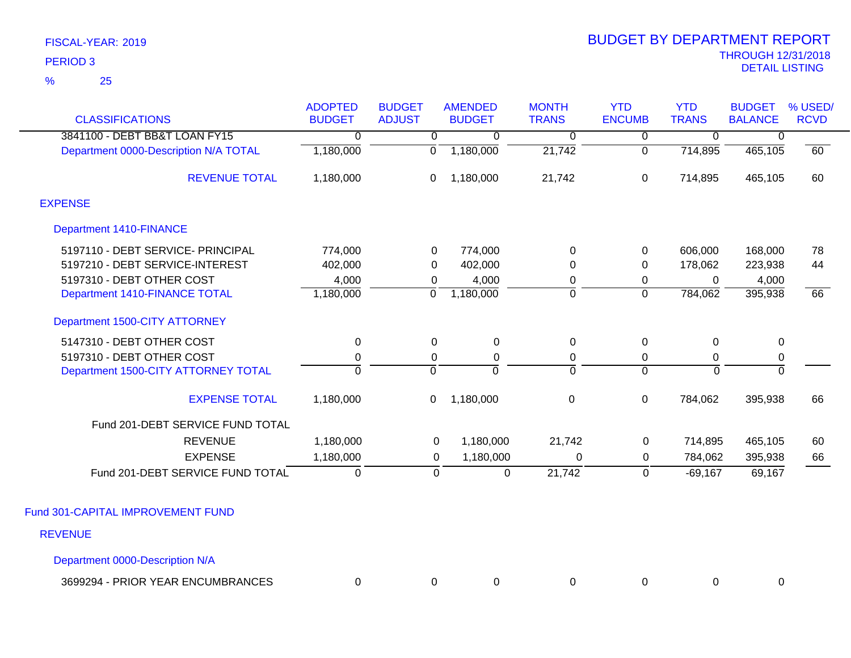| <b>CLASSIFICATIONS</b>                | <b>ADOPTED</b><br><b>BUDGET</b> | <b>BUDGET</b><br><b>ADJUST</b> | <b>AMENDED</b><br><b>BUDGET</b> | <b>MONTH</b><br><b>TRANS</b> | <b>YTD</b><br><b>ENCUMB</b> | <b>YTD</b><br><b>TRANS</b> | <b>BUDGET</b><br><b>BALANCE</b> | % USED/<br><b>RCVD</b> |
|---------------------------------------|---------------------------------|--------------------------------|---------------------------------|------------------------------|-----------------------------|----------------------------|---------------------------------|------------------------|
| 3841100 - DEBT BB&T LOAN FY15         | $\Omega$                        | 0                              | 0                               | 0                            | 0                           | $\mathbf 0$                | 0                               |                        |
| Department 0000-Description N/A TOTAL | 1,180,000                       | 0                              | 1,180,000                       | 21,742                       | 0                           | 714,895                    | 465,105                         | 60                     |
| <b>REVENUE TOTAL</b>                  | 1,180,000                       | 0                              | 1,180,000                       | 21,742                       | $\mathbf 0$                 | 714,895                    | 465,105                         | 60                     |
| <b>EXPENSE</b>                        |                                 |                                |                                 |                              |                             |                            |                                 |                        |
| <b>Department 1410-FINANCE</b>        |                                 |                                |                                 |                              |                             |                            |                                 |                        |
| 5197110 - DEBT SERVICE- PRINCIPAL     | 774,000                         | 0                              | 774,000                         | 0                            | 0                           | 606,000                    | 168,000                         | 78                     |
| 5197210 - DEBT SERVICE-INTEREST       | 402,000                         | 0                              | 402,000                         | 0                            | 0                           | 178,062                    | 223,938                         | 44                     |
| 5197310 - DEBT OTHER COST             | 4,000                           | 0                              | 4,000                           | 0                            | 0                           | 0                          | 4,000                           |                        |
| Department 1410-FINANCE TOTAL         | 1,180,000                       | $\mathbf 0$                    | 1,180,000                       | $\overline{0}$               | $\overline{0}$              | 784,062                    | 395,938                         | 66                     |
| Department 1500-CITY ATTORNEY         |                                 |                                |                                 |                              |                             |                            |                                 |                        |
| 5147310 - DEBT OTHER COST             | 0                               | 0                              | $\mathbf 0$                     | $\mathbf 0$                  | 0                           | 0                          | $\mathbf 0$                     |                        |
| 5197310 - DEBT OTHER COST             | $\mathbf 0$                     | 0                              | $\pmb{0}$                       | $\mathbf 0$                  | 0                           | $\mathbf 0$                | $\pmb{0}$                       |                        |
| Department 1500-CITY ATTORNEY TOTAL   | $\overline{0}$                  | $\overline{0}$                 | $\overline{0}$                  | $\overline{0}$               | $\overline{0}$              | $\overline{0}$             | 0                               |                        |
| <b>EXPENSE TOTAL</b>                  | 1,180,000                       | 0                              | 1,180,000                       | $\mathbf 0$                  | $\mathbf 0$                 | 784,062                    | 395,938                         | 66                     |
| Fund 201-DEBT SERVICE FUND TOTAL      |                                 |                                |                                 |                              |                             |                            |                                 |                        |
| <b>REVENUE</b>                        | 1,180,000                       | 0                              | 1,180,000                       | 21,742                       | $\mathbf 0$                 | 714,895                    | 465,105                         | 60                     |
| <b>EXPENSE</b>                        | 1,180,000                       | 0                              | 1,180,000                       | $\Omega$                     | 0                           | 784,062                    | 395,938                         | 66                     |
| Fund 201-DEBT SERVICE FUND TOTAL      | $\mathbf 0$                     | $\mathbf 0$                    | $\pmb{0}$                       | 21,742                       | $\mathbf 0$                 | $-69,167$                  | 69,167                          |                        |
| Fund 301-CAPITAL IMPROVEMENT FUND     |                                 |                                |                                 |                              |                             |                            |                                 |                        |
|                                       |                                 |                                |                                 |                              |                             |                            |                                 |                        |
| <b>REVENUE</b>                        |                                 |                                |                                 |                              |                             |                            |                                 |                        |
| Department 0000-Description N/A       |                                 |                                |                                 |                              |                             |                            |                                 |                        |

| <b>PRIOR YEAR ENCUMBRANCES</b><br>3699294 |  |  |  |  |  |  |  |
|-------------------------------------------|--|--|--|--|--|--|--|
|-------------------------------------------|--|--|--|--|--|--|--|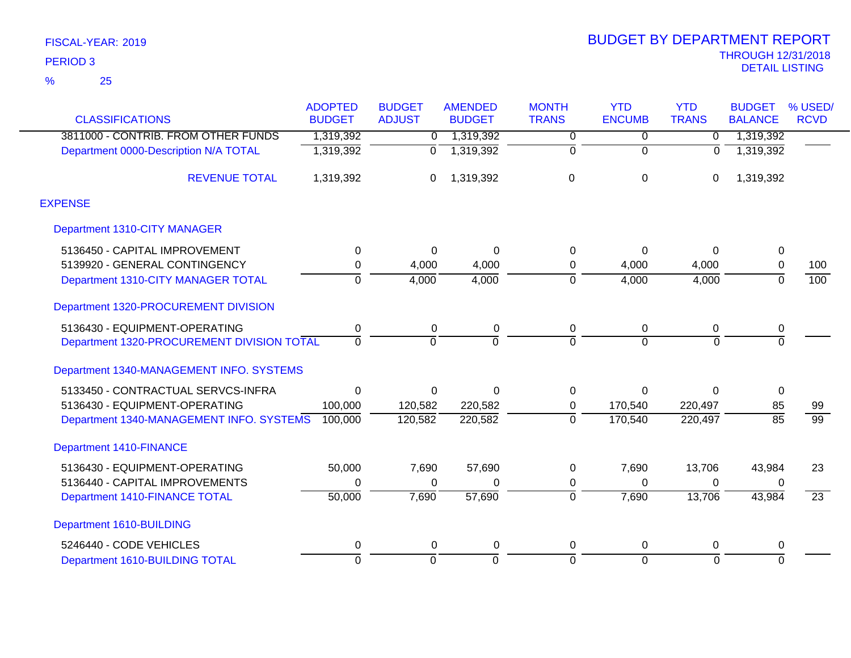|                                            | <b>ADOPTED</b> | <b>BUDGET</b>  | <b>AMENDED</b> | <b>MONTH</b>   | <b>YTD</b>    | <b>YTD</b>     | <b>BUDGET</b>   | % USED/         |
|--------------------------------------------|----------------|----------------|----------------|----------------|---------------|----------------|-----------------|-----------------|
| <b>CLASSIFICATIONS</b>                     | <b>BUDGET</b>  | <b>ADJUST</b>  | <b>BUDGET</b>  | <b>TRANS</b>   | <b>ENCUMB</b> | <b>TRANS</b>   | <b>BALANCE</b>  | <b>RCVD</b>     |
| 3811000 - CONTRIB. FROM OTHER FUNDS        | 1,319,392      | 0              | 1,319,392      | 0              | 0             | $\mathbf 0$    | 1,319,392       |                 |
| Department 0000-Description N/A TOTAL      | 1,319,392      | $\Omega$       | 1,319,392      | $\overline{0}$ | $\mathbf 0$   | $\Omega$       | 1,319,392       |                 |
| <b>REVENUE TOTAL</b>                       | 1,319,392      | 0              | 1,319,392      | 0              | 0             | $\mathbf 0$    | 1,319,392       |                 |
| <b>EXPENSE</b>                             |                |                |                |                |               |                |                 |                 |
| Department 1310-CITY MANAGER               |                |                |                |                |               |                |                 |                 |
| 5136450 - CAPITAL IMPROVEMENT              | 0              | $\Omega$       | $\Omega$       | 0              | $\Omega$      | $\Omega$       | 0               |                 |
| 5139920 - GENERAL CONTINGENCY              | $\mathbf 0$    | 4,000          | 4,000          | 0              | 4,000         | 4,000          | 0               | 100             |
| Department 1310-CITY MANAGER TOTAL         | $\overline{0}$ | 4,000          | 4,000          | $\overline{0}$ | 4,000         | 4,000          | $\overline{0}$  | 100             |
| Department 1320-PROCUREMENT DIVISION       |                |                |                |                |               |                |                 |                 |
| 5136430 - EQUIPMENT-OPERATING              | 0              | 0              | 0              | 0              | $\mathbf 0$   | 0              | 0               |                 |
| Department 1320-PROCUREMENT DIVISION TOTAL | $\Omega$       | $\Omega$       | $\Omega$       | $\Omega$       | $\Omega$      | $\Omega$       | $\overline{0}$  |                 |
| Department 1340-MANAGEMENT INFO. SYSTEMS   |                |                |                |                |               |                |                 |                 |
| 5133450 - CONTRACTUAL SERVCS-INFRA         | $\Omega$       | 0              | $\Omega$       | 0              | $\Omega$      | $\Omega$       | 0               |                 |
| 5136430 - EQUIPMENT-OPERATING              | 100,000        | 120,582        | 220,582        | 0              | 170,540       | 220,497        | 85              | 99              |
| Department 1340-MANAGEMENT INFO. SYSTEMS   | 100,000        | 120,582        | 220,582        | $\overline{0}$ | 170,540       | 220,497        | $\overline{85}$ | $\overline{99}$ |
| <b>Department 1410-FINANCE</b>             |                |                |                |                |               |                |                 |                 |
| 5136430 - EQUIPMENT-OPERATING              | 50,000         | 7,690          | 57,690         | 0              | 7,690         | 13,706         | 43,984          | 23              |
| 5136440 - CAPITAL IMPROVEMENTS             | 0              | 0              | 0              | 0              | $\Omega$      | 0              | 0               |                 |
| <b>Department 1410-FINANCE TOTAL</b>       | 50,000         | 7,690          | 57,690         | $\overline{0}$ | 7,690         | 13,706         | 43,984          | $\overline{23}$ |
| Department 1610-BUILDING                   |                |                |                |                |               |                |                 |                 |
| 5246440 - CODE VEHICLES                    | 0              | 0              | $\Omega$       | 0              | 0             | 0              | 0               |                 |
| Department 1610-BUILDING TOTAL             | $\overline{0}$ | $\overline{0}$ | $\Omega$       | $\overline{0}$ | $\Omega$      | $\overline{0}$ | $\overline{0}$  |                 |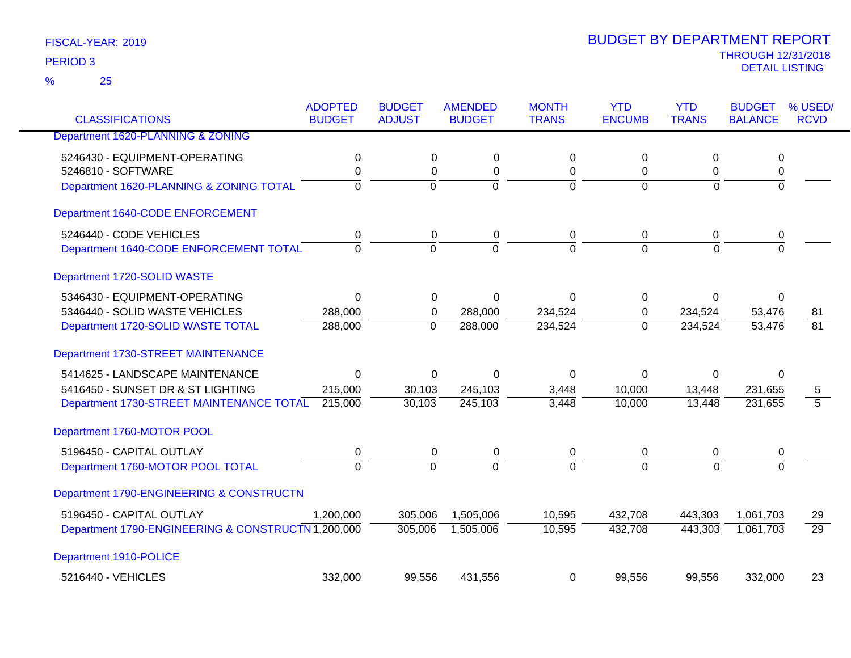25 %

| <b>CLASSIFICATIONS</b>                             | <b>ADOPTED</b><br><b>BUDGET</b> | <b>BUDGET</b><br><b>ADJUST</b> | <b>AMENDED</b><br><b>BUDGET</b> | <b>MONTH</b><br><b>TRANS</b> | <b>YTD</b><br><b>ENCUMB</b> | <b>YTD</b><br><b>TRANS</b> | <b>BUDGET</b><br><b>BALANCE</b> | % USED/<br><b>RCVD</b> |
|----------------------------------------------------|---------------------------------|--------------------------------|---------------------------------|------------------------------|-----------------------------|----------------------------|---------------------------------|------------------------|
| Department 1620-PLANNING & ZONING                  |                                 |                                |                                 |                              |                             |                            |                                 |                        |
| 5246430 - EQUIPMENT-OPERATING                      | 0                               | 0                              | $\pmb{0}$                       | $\Omega$                     | 0                           | 0                          | 0                               |                        |
| 5246810 - SOFTWARE                                 | 0                               | 0                              | 0                               | 0                            | 0                           | 0                          | 0                               |                        |
| Department 1620-PLANNING & ZONING TOTAL            | 0                               | $\mathbf 0$                    | $\overline{0}$                  | $\Omega$                     | $\Omega$                    | $\Omega$                   | $\overline{0}$                  |                        |
| Department 1640-CODE ENFORCEMENT                   |                                 |                                |                                 |                              |                             |                            |                                 |                        |
| 5246440 - CODE VEHICLES                            | $\mathbf 0$                     | $\boldsymbol{0}$               | $\pmb{0}$                       | $\pmb{0}$                    | $\pmb{0}$                   | $\mathbf 0$                | 0                               |                        |
| Department 1640-CODE ENFORCEMENT TOTAL             | $\Omega$                        | $\Omega$                       | $\Omega$                        | $\Omega$                     | $\Omega$                    | $\Omega$                   | $\Omega$                        |                        |
| Department 1720-SOLID WASTE                        |                                 |                                |                                 |                              |                             |                            |                                 |                        |
| 5346430 - EQUIPMENT-OPERATING                      | $\mathbf 0$                     | $\Omega$                       | $\Omega$                        | $\Omega$                     | $\Omega$                    | $\Omega$                   | $\Omega$                        |                        |
| 5346440 - SOLID WASTE VEHICLES                     | 288,000                         | 0                              | 288,000                         | 234,524                      | 0                           | 234,524                    | 53,476                          | 81                     |
| Department 1720-SOLID WASTE TOTAL                  | 288,000                         | $\mathbf 0$                    | 288,000                         | 234,524                      | $\overline{0}$              | 234,524                    | 53,476                          | $\overline{81}$        |
| Department 1730-STREET MAINTENANCE                 |                                 |                                |                                 |                              |                             |                            |                                 |                        |
| 5414625 - LANDSCAPE MAINTENANCE                    | 0                               | 0                              | $\Omega$                        | $\Omega$                     | 0                           | 0                          | $\Omega$                        |                        |
| 5416450 - SUNSET DR & ST LIGHTING                  | 215,000                         | 30,103                         | 245,103                         | 3,448                        | 10,000                      | 13,448                     | 231,655                         | 5                      |
| Department 1730-STREET MAINTENANCE TOTAL           | 215,000                         | 30,103                         | 245,103                         | 3,448                        | 10,000                      | 13,448                     | 231,655                         | $\overline{5}$         |
| Department 1760-MOTOR POOL                         |                                 |                                |                                 |                              |                             |                            |                                 |                        |
| 5196450 - CAPITAL OUTLAY                           | 0                               | 0                              | 0                               | 0                            | 0                           | 0                          | 0                               |                        |
| Department 1760-MOTOR POOL TOTAL                   | $\overline{0}$                  | $\overline{0}$                 | $\overline{0}$                  | $\Omega$                     | $\Omega$                    | $\Omega$                   | $\overline{0}$                  |                        |
| Department 1790-ENGINEERING & CONSTRUCTN           |                                 |                                |                                 |                              |                             |                            |                                 |                        |
| 5196450 - CAPITAL OUTLAY                           | 1,200,000                       | 305,006                        | 1,505,006                       | 10,595                       | 432,708                     | 443,303                    | 1,061,703                       | 29                     |
| Department 1790-ENGINEERING & CONSTRUCTN 1,200,000 |                                 | 305,006                        | 1,505,006                       | 10,595                       | 432,708                     | 443,303                    | 1,061,703                       | $\overline{29}$        |
| Department 1910-POLICE                             |                                 |                                |                                 |                              |                             |                            |                                 |                        |
| 5216440 - VEHICLES                                 | 332,000                         | 99,556                         | 431,556                         | 0                            | 99,556                      | 99,556                     | 332,000                         | 23                     |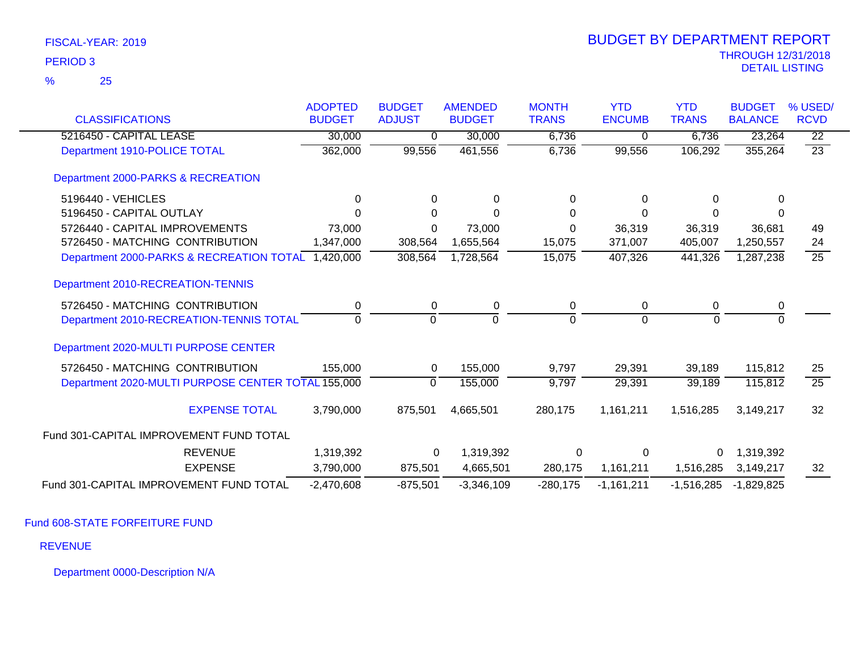|                                                    | <b>ADOPTED</b> | <b>BUDGET</b> | <b>AMENDED</b> | <b>MONTH</b> | <b>YTD</b>    | <b>YTD</b>   | <b>BUDGET</b>  | % USED/         |
|----------------------------------------------------|----------------|---------------|----------------|--------------|---------------|--------------|----------------|-----------------|
| <b>CLASSIFICATIONS</b>                             | <b>BUDGET</b>  | <b>ADJUST</b> | <b>BUDGET</b>  | <b>TRANS</b> | <b>ENCUMB</b> | <b>TRANS</b> | <b>BALANCE</b> | <b>RCVD</b>     |
| 5216450 - CAPITAL LEASE                            | 30,000         | 0             | 30,000         | 6,736        | $\Omega$      | 6,736        | 23,264         | $\overline{22}$ |
| Department 1910-POLICE TOTAL                       | 362,000        | 99,556        | 461,556        | 6,736        | 99,556        | 106,292      | 355,264        | $\overline{23}$ |
| Department 2000-PARKS & RECREATION                 |                |               |                |              |               |              |                |                 |
| 5196440 - VEHICLES                                 | $\Omega$       | 0             | $\Omega$       | 0            | $\Omega$      | $\Omega$     | $\Omega$       |                 |
| 5196450 - CAPITAL OUTLAY                           | 0              | $\Omega$      | $\Omega$       | 0            | 0             | 0            | 0              |                 |
| 5726440 - CAPITAL IMPROVEMENTS                     | 73,000         | 0             | 73,000         | 0            | 36,319        | 36,319       | 36,681         | 49              |
| 5726450 - MATCHING CONTRIBUTION                    | 1,347,000      | 308,564       | 1,655,564      | 15,075       | 371,007       | 405,007      | 1,250,557      | 24              |
| Department 2000-PARKS & RECREATION TOTAL 1,420,000 |                | 308,564       | 1,728,564      | 15,075       | 407,326       | 441,326      | 1,287,238      | 25              |
| Department 2010-RECREATION-TENNIS                  |                |               |                |              |               |              |                |                 |
| 5726450 - MATCHING CONTRIBUTION                    | 0              | 0             | 0              | 0            | $\mathbf 0$   | 0            | 0              |                 |
| Department 2010-RECREATION-TENNIS TOTAL            | $\Omega$       | $\Omega$      | $\Omega$       | $\Omega$     | $\Omega$      | $\Omega$     | $\Omega$       |                 |
| Department 2020-MULTI PURPOSE CENTER               |                |               |                |              |               |              |                |                 |
| 5726450 - MATCHING CONTRIBUTION                    | 155,000        | 0             | 155,000        | 9,797        | 29,391        | 39,189       | 115,812        | 25              |
| Department 2020-MULTI PURPOSE CENTER TOTAL 155,000 |                | $\mathbf{0}$  | 155,000        | 9,797        | 29,391        | 39,189       | 115,812        | $\overline{25}$ |
| <b>EXPENSE TOTAL</b>                               | 3,790,000      | 875,501       | 4,665,501      | 280,175      | 1,161,211     | 1,516,285    | 3,149,217      | 32              |
| Fund 301-CAPITAL IMPROVEMENT FUND TOTAL            |                |               |                |              |               |              |                |                 |
| <b>REVENUE</b>                                     | 1,319,392      | $\mathbf 0$   | 1,319,392      | $\Omega$     | 0             | 0            | 1,319,392      |                 |
| <b>EXPENSE</b>                                     | 3,790,000      | 875,501       | 4,665,501      | 280,175      | 1,161,211     | 1,516,285    | 3,149,217      | 32              |
| Fund 301-CAPITAL IMPROVEMENT FUND TOTAL            | $-2,470,608$   | $-875,501$    | $-3,346,109$   | $-280,175$   | $-1,161,211$  | $-1,516,285$ | $-1,829,825$   |                 |

Fund 608-STATE FORFEITURE FUND

REVENUE

Department 0000-Description N/A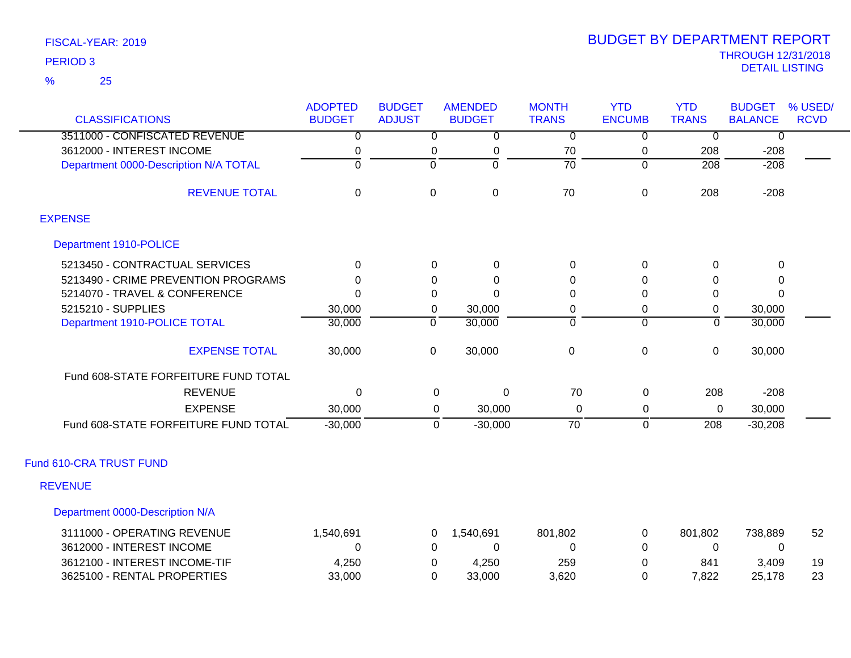25 %

| <b>CLASSIFICATIONS</b>                | <b>ADOPTED</b><br><b>BUDGET</b> | <b>BUDGET</b><br><b>ADJUST</b> | <b>AMENDED</b><br><b>BUDGET</b> | <b>MONTH</b><br><b>TRANS</b> | <b>YTD</b><br><b>ENCUMB</b> | <b>YTD</b><br><b>TRANS</b> | <b>BUDGET</b><br><b>BALANCE</b> | % USED/<br><b>RCVD</b> |
|---------------------------------------|---------------------------------|--------------------------------|---------------------------------|------------------------------|-----------------------------|----------------------------|---------------------------------|------------------------|
| 3511000 - CONFISCATED REVENUE         | $\overline{0}$                  | $\overline{0}$                 | $\overline{0}$                  | $\overline{0}$               | $\overline{0}$              | $\overline{0}$             | $\overline{0}$                  |                        |
| 3612000 - INTEREST INCOME             | $\mathbf 0$                     | 0                              | $\mathbf 0$                     | 70                           | 0                           | 208                        | $-208$                          |                        |
| Department 0000-Description N/A TOTAL | $\overline{0}$                  | $\overline{0}$                 | 0                               | $\overline{70}$              | $\overline{0}$              | $\frac{208}{ }$            | $-208$                          |                        |
|                                       |                                 |                                |                                 |                              |                             |                            |                                 |                        |
| <b>REVENUE TOTAL</b>                  | $\mathbf 0$                     | $\mathbf 0$                    | $\boldsymbol{0}$                | 70                           | $\mathbf 0$                 | 208                        | $-208$                          |                        |
| <b>EXPENSE</b>                        |                                 |                                |                                 |                              |                             |                            |                                 |                        |
| Department 1910-POLICE                |                                 |                                |                                 |                              |                             |                            |                                 |                        |
| 5213450 - CONTRACTUAL SERVICES        | $\Omega$                        | $\Omega$                       | $\pmb{0}$                       | $\pmb{0}$                    | 0                           | $\Omega$                   | 0                               |                        |
| 5213490 - CRIME PREVENTION PROGRAMS   | $\Omega$                        | 0                              | $\mathbf 0$                     | 0                            | $\Omega$                    | 0                          | 0                               |                        |
| 5214070 - TRAVEL & CONFERENCE         | $\Omega$                        | $\Omega$                       | $\Omega$                        | 0                            | $\Omega$                    | $\Omega$                   | $\Omega$                        |                        |
| 5215210 - SUPPLIES                    | 30,000                          | 0                              | 30,000                          | $\pmb{0}$                    | 0                           | 0                          | 30,000                          |                        |
| Department 1910-POLICE TOTAL          | 30,000                          | $\overline{0}$                 | 30,000                          | $\overline{0}$               | $\Omega$                    | $\overline{0}$             | 30,000                          |                        |
| <b>EXPENSE TOTAL</b>                  | 30,000                          | $\mathbf 0$                    | 30,000                          | $\pmb{0}$                    | $\mathbf 0$                 | $\pmb{0}$                  | 30,000                          |                        |
| Fund 608-STATE FORFEITURE FUND TOTAL  |                                 |                                |                                 |                              |                             |                            |                                 |                        |
| <b>REVENUE</b>                        | $\Omega$                        | 0                              | $\mathbf 0$                     | 70                           | 0                           | 208                        | $-208$                          |                        |
| <b>EXPENSE</b>                        | 30,000                          | 0                              | 30,000                          | 0                            | 0                           | 0                          | 30,000                          |                        |
| Fund 608-STATE FORFEITURE FUND TOTAL  | $-30,000$                       | $\mathbf 0$                    | $-30,000$                       | $\overline{70}$              | $\overline{0}$              | 208                        | $-30,208$                       |                        |
| Fund 610-CRA TRUST FUND               |                                 |                                |                                 |                              |                             |                            |                                 |                        |
| <b>REVENUE</b>                        |                                 |                                |                                 |                              |                             |                            |                                 |                        |
| Department 0000-Description N/A       |                                 |                                |                                 |                              |                             |                            |                                 |                        |
| 3111000 - OPERATING REVENUE           | 1,540,691                       | $\mathbf 0$                    | 1,540,691                       | 801,802                      | 0                           | 801,802                    | 738,889                         | 52                     |
| 3612000 - INTEREST INCOME             | $\Omega$                        | $\Omega$                       | $\Omega$                        | 0                            | $\Omega$                    | 0                          | 0                               |                        |
| 3612100 - INTEREST INCOME-TIF         | 4,250                           | 0                              | 4,250                           | 259                          | $\Omega$                    | 841                        | 3,409                           | 19                     |
| 3625100 - RENTAL PROPERTIES           | 33,000                          | $\Omega$                       | 33,000                          | 3,620                        | 0                           | 7,822                      | 25,178                          | 23                     |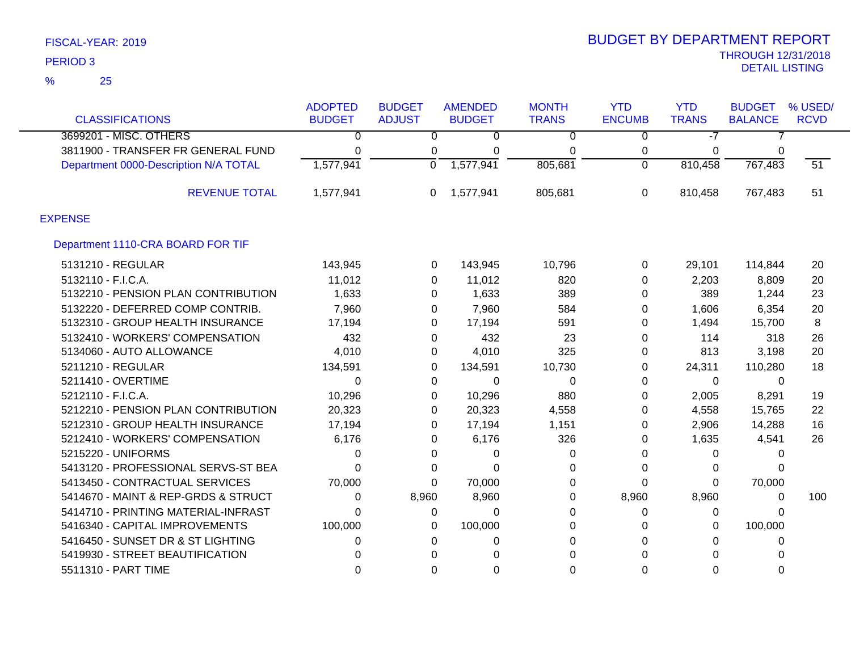| <b>CLASSIFICATIONS</b>                | <b>ADOPTED</b><br><b>BUDGET</b> | <b>BUDGET</b><br><b>ADJUST</b> | <b>AMENDED</b><br><b>BUDGET</b> | <b>MONTH</b><br><b>TRANS</b> | <b>YTD</b><br><b>ENCUMB</b> | <b>YTD</b><br><b>TRANS</b> | <b>BUDGET</b><br><b>BALANCE</b> | % USED/<br><b>RCVD</b> |
|---------------------------------------|---------------------------------|--------------------------------|---------------------------------|------------------------------|-----------------------------|----------------------------|---------------------------------|------------------------|
|                                       |                                 |                                |                                 |                              |                             |                            |                                 |                        |
| 3699201 - MISC. OTHERS                | 0                               | $\overline{0}$                 | $\overline{0}$                  | $\overline{0}$               | $\overline{0}$              | $-7$                       |                                 |                        |
| 3811900 - TRANSFER FR GENERAL FUND    | 0                               | 0                              | 0                               | 0                            | 0                           | 0                          | 0                               |                        |
| Department 0000-Description N/A TOTAL | 1,577,941                       | $\Omega$                       | 1,577,941                       | 805,681                      | $\Omega$                    | 810,458                    | 767,483                         | $\overline{51}$        |
| <b>REVENUE TOTAL</b>                  | 1,577,941                       | 0                              | 1,577,941                       | 805,681                      | 0                           | 810,458                    | 767,483                         | 51                     |
| <b>EXPENSE</b>                        |                                 |                                |                                 |                              |                             |                            |                                 |                        |
| Department 1110-CRA BOARD FOR TIF     |                                 |                                |                                 |                              |                             |                            |                                 |                        |
| 5131210 - REGULAR                     | 143,945                         | 0                              | 143,945                         | 10,796                       | 0                           | 29,101                     | 114,844                         | 20                     |
| 5132110 - F.I.C.A.                    | 11,012                          | $\Omega$                       | 11,012                          | 820                          | 0                           | 2,203                      | 8,809                           | 20                     |
| 5132210 - PENSION PLAN CONTRIBUTION   | 1,633                           | 0                              | 1,633                           | 389                          | 0                           | 389                        | 1,244                           | 23                     |
| 5132220 - DEFERRED COMP CONTRIB.      | 7,960                           | 0                              | 7,960                           | 584                          | 0                           | 1,606                      | 6,354                           | 20                     |
| 5132310 - GROUP HEALTH INSURANCE      | 17,194                          | 0                              | 17,194                          | 591                          | 0                           | 1,494                      | 15,700                          | 8                      |
| 5132410 - WORKERS' COMPENSATION       | 432                             | 0                              | 432                             | 23                           | 0                           | 114                        | 318                             | 26                     |
| 5134060 - AUTO ALLOWANCE              | 4,010                           | 0                              | 4,010                           | 325                          | 0                           | 813                        | 3,198                           | 20                     |
| 5211210 - REGULAR                     | 134,591                         | 0                              | 134,591                         | 10,730                       | 0                           | 24,311                     | 110,280                         | 18                     |
| 5211410 - OVERTIME                    | 0                               | 0                              | 0                               | 0                            | 0                           | $\mathbf{0}$               | 0                               |                        |
| 5212110 - F.I.C.A.                    | 10,296                          | 0                              | 10,296                          | 880                          | 0                           | 2,005                      | 8,291                           | 19                     |
| 5212210 - PENSION PLAN CONTRIBUTION   | 20,323                          | 0                              | 20,323                          | 4,558                        | 0                           | 4,558                      | 15,765                          | 22                     |
| 5212310 - GROUP HEALTH INSURANCE      | 17,194                          | 0                              | 17,194                          | 1,151                        | 0                           | 2,906                      | 14,288                          | 16                     |
| 5212410 - WORKERS' COMPENSATION       | 6,176                           | 0                              | 6,176                           | 326                          | 0                           | 1,635                      | 4,541                           | 26                     |
| 5215220 - UNIFORMS                    | 0                               | 0                              | 0                               | 0                            | $\Omega$                    | 0                          | 0                               |                        |
| 5413120 - PROFESSIONAL SERVS-ST BEA   | 0                               | 0                              | 0                               | 0                            | 0                           | 0                          | 0                               |                        |
| 5413450 - CONTRACTUAL SERVICES        | 70,000                          | $\Omega$                       | 70,000                          | 0                            | 0                           | 0                          | 70,000                          |                        |
| 5414670 - MAINT & REP-GRDS & STRUCT   | 0                               | 8,960                          | 8,960                           | 0                            | 8,960                       | 8,960                      | 0                               | 100                    |
| 5414710 - PRINTING MATERIAL-INFRAST   | 0                               | 0                              | $\Omega$                        | 0                            | 0                           | 0                          | 0                               |                        |
| 5416340 - CAPITAL IMPROVEMENTS        | 100,000                         | 0                              | 100,000                         | 0                            | 0                           | 0                          | 100,000                         |                        |
| 5416450 - SUNSET DR & ST LIGHTING     | 0                               | 0                              | 0                               | 0                            | 0                           | 0                          | 0                               |                        |
| 5419930 - STREET BEAUTIFICATION       | 0                               | 0                              | $\Omega$                        | 0                            | 0                           | $\Omega$                   | 0                               |                        |
| 5511310 - PART TIME                   | 0                               | 0                              | 0                               | 0                            | 0                           | 0                          | 0                               |                        |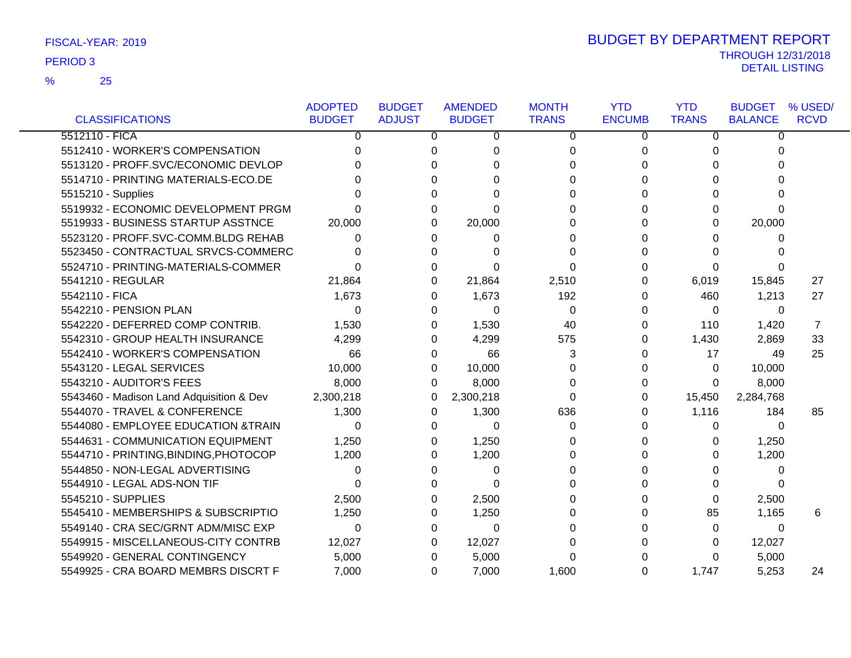25 %

|                                          | <b>ADOPTED</b> | <b>BUDGET</b> | <b>AMENDED</b> | <b>MONTH</b> | <b>YTD</b>    | <b>YTD</b>   | <b>BUDGET</b>  | % USED/     |
|------------------------------------------|----------------|---------------|----------------|--------------|---------------|--------------|----------------|-------------|
| <b>CLASSIFICATIONS</b>                   | <b>BUDGET</b>  | <b>ADJUST</b> | <b>BUDGET</b>  | <b>TRANS</b> | <b>ENCUMB</b> | <b>TRANS</b> | <b>BALANCE</b> | <b>RCVD</b> |
| 5512110 - FICA                           | $\Omega$       | 0             | 0              | $\mathbf 0$  | 0             | 0            | $\Omega$       |             |
| 5512410 - WORKER'S COMPENSATION          | n              | 0             | $\Omega$       | 0            | 0             | 0            | 0              |             |
| 5513120 - PROFF.SVC/ECONOMIC DEVLOP      |                | 0             | ∩              | 0            | 0             | 0            | 0              |             |
| 5514710 - PRINTING MATERIALS-ECO.DE      |                | 0             | ი              | 0            | 0             | 0            | 0              |             |
| 5515210 - Supplies                       |                | 0             | n              | 0            | <sup>0</sup>  | 0            | <sup>0</sup>   |             |
| 5519932 - ECONOMIC DEVELOPMENT PRGM      |                | 0             | $\Omega$       | 0            | <sup>0</sup>  | 0            | $\Omega$       |             |
| 5519933 - BUSINESS STARTUP ASSTNCE       | 20,000         | 0             | 20,000         | 0            | $\Omega$      | 0            | 20,000         |             |
| 5523120 - PROFF.SVC-COMM.BLDG REHAB      | 0              | 0             | 0              | $\Omega$     | 0             | 0            | 0              |             |
| 5523450 - CONTRACTUAL SRVCS-COMMERC      |                | 0             | O              | 0            | 0             | 0            | 0              |             |
| 5524710 - PRINTING-MATERIALS-COMMER      | O              | 0             | $\Omega$       | $\Omega$     | <sup>0</sup>  | 0            | 0              |             |
| 5541210 - REGULAR                        | 21,864         | 0             | 21,864         | 2,510        | 0             | 6,019        | 15,845         | 27          |
| 5542110 - FICA                           | 1,673          | 0             | 1,673          | 192          | $\Omega$      | 460          | 1,213          | 27          |
| 5542210 - PENSION PLAN                   | $\Omega$       | 0             | $\Omega$       | $\Omega$     | 0             | $\Omega$     | $\Omega$       |             |
| 5542220 - DEFERRED COMP CONTRIB.         | 1,530          | 0             | 1,530          | 40           | 0             | 110          | 1,420          | 7           |
| 5542310 - GROUP HEALTH INSURANCE         | 4,299          | 0             | 4,299          | 575          | 0             | 1,430        | 2,869          | 33          |
| 5542410 - WORKER'S COMPENSATION          | 66             | 0             | 66             | 3            | 0             | 17           | 49             | 25          |
| 5543120 - LEGAL SERVICES                 | 10,000         | 0             | 10,000         | 0            | 0             | 0            | 10,000         |             |
| 5543210 - AUDITOR'S FEES                 | 8,000          | 0             | 8,000          | 0            | 0             | 0            | 8,000          |             |
| 5543460 - Madison Land Adquisition & Dev | 2,300,218      | 0             | 2,300,218      | $\Omega$     | $\Omega$      | 15,450       | 2,284,768      |             |
| 5544070 - TRAVEL & CONFERENCE            | 1,300          | 0             | 1,300          | 636          | 0             | 1,116        | 184            | 85          |
| 5544080 - EMPLOYEE EDUCATION &TRAIN      | $\Omega$       | 0             | $\Omega$       | 0            | 0             | 0            | 0              |             |
| 5544631 - COMMUNICATION EQUIPMENT        | 1,250          | 0             | 1,250          | 0            | 0             | 0            | 1,250          |             |
| 5544710 - PRINTING, BINDING, PHOTOCOP    | 1,200          | 0             | 1,200          | 0            | $\Omega$      | 0            | 1,200          |             |
| 5544850 - NON-LEGAL ADVERTISING          | 0              | 0             | 0              | 0            |               | 0            | 0              |             |
| 5544910 - LEGAL ADS-NON TIF              | n              | O             | 0              | U            | <sup>0</sup>  | 0            | $\Omega$       |             |
| 5545210 - SUPPLIES                       | 2,500          | 0             | 2,500          | 0            | $\Omega$      | 0            | 2,500          |             |
| 5545410 - MEMBERSHIPS & SUBSCRIPTIO      | 1,250          | 0             | 1,250          | $\Omega$     | $\Omega$      | 85           | 1,165          | 6           |
| 5549140 - CRA SEC/GRNT ADM/MISC EXP      | $\Omega$       | 0             | $\Omega$       | 0            | 0             | $\Omega$     | 0              |             |
| 5549915 - MISCELLANEOUS-CITY CONTRB      | 12,027         | 0             | 12,027         | 0            | 0             | 0            | 12,027         |             |
| 5549920 - GENERAL CONTINGENCY            | 5,000          | 0             | 5,000          | 0            |               | 0            | 5,000          |             |
| 5549925 - CRA BOARD MEMBRS DISCRT F      | 7,000          | 0             | 7,000          | 1,600        | 0             | 1,747        | 5,253          | 24          |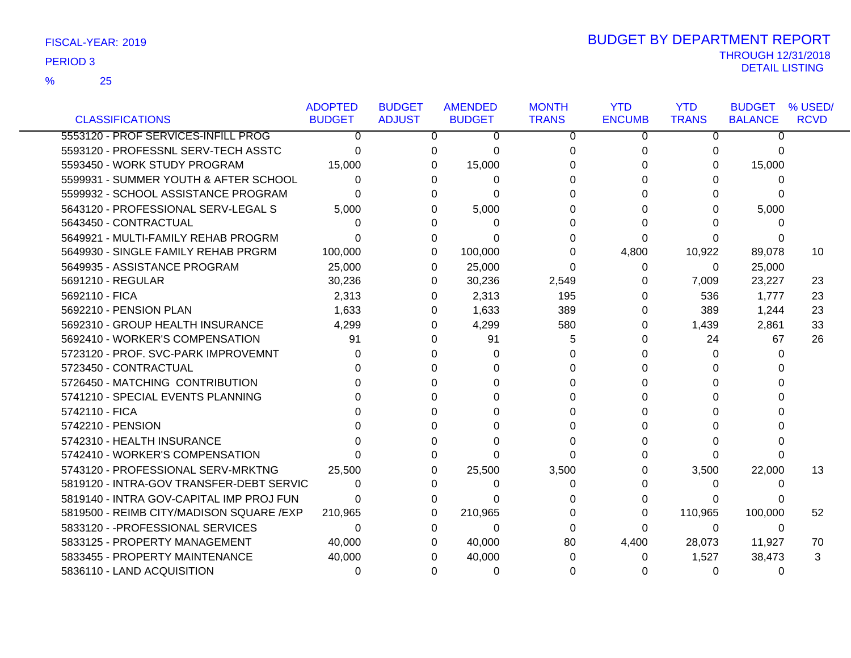| <b>CLASSIFICATIONS</b>                    | <b>ADOPTED</b><br><b>BUDGET</b> | <b>BUDGET</b><br><b>ADJUST</b> | <b>AMENDED</b><br><b>BUDGET</b> | <b>MONTH</b><br><b>TRANS</b> | <b>YTD</b><br><b>ENCUMB</b> | <b>YTD</b><br><b>TRANS</b> | <b>BUDGET</b><br><b>BALANCE</b> | % USED/<br><b>RCVD</b> |
|-------------------------------------------|---------------------------------|--------------------------------|---------------------------------|------------------------------|-----------------------------|----------------------------|---------------------------------|------------------------|
| 5553120 - PROF SERVICES-INFILL PROG       | 0                               | 0                              | 0                               | 0                            | 0                           | 0                          | 0                               |                        |
| 5593120 - PROFESSNL SERV-TECH ASSTC       |                                 | 0                              |                                 |                              |                             |                            |                                 |                        |
| 5593450 - WORK STUDY PROGRAM              | 0<br>15,000                     | 0                              | 0                               | 0<br>0                       | 0<br>O                      | 0<br>0                     | 0                               |                        |
|                                           |                                 |                                | 15,000                          |                              |                             |                            | 15,000                          |                        |
| 5599931 - SUMMER YOUTH & AFTER SCHOOL     | 0                               |                                | 0<br>0                          | 0                            |                             | 0                          | 0                               |                        |
| 5599932 - SCHOOL ASSISTANCE PROGRAM       | U                               |                                | U<br>0                          | U                            |                             | 0                          | <sup>0</sup>                    |                        |
| 5643120 - PROFESSIONAL SERV-LEGAL S       | 5,000                           |                                | 5,000                           | 0                            |                             | 0                          | 5,000                           |                        |
| 5643450 - CONTRACTUAL                     | 0                               | ∩                              | 0                               | 0                            |                             | ∩                          | 0                               |                        |
| 5649921 - MULTI-FAMILY REHAB PROGRM       | O                               |                                | 0<br>0                          | 0                            | 0                           | 0                          |                                 |                        |
| 5649930 - SINGLE FAMILY REHAB PRGRM       | 100,000                         |                                | 100,000<br>0                    | 0                            | 4,800                       | 10,922                     | 89,078                          | 10                     |
| 5649935 - ASSISTANCE PROGRAM              | 25,000                          |                                | 25,000<br>0                     | 0                            | 0                           | 0                          | 25,000                          |                        |
| 5691210 - REGULAR                         | 30,236                          | 0                              | 30,236                          | 2,549                        | 0                           | 7,009                      | 23,227                          | 23                     |
| 5692110 - FICA                            | 2,313                           | 0                              | 2,313                           | 195                          | 0                           | 536                        | 1,777                           | 23                     |
| 5692210 - PENSION PLAN                    | 1,633                           | 0                              | 1,633                           | 389                          | 0                           | 389                        | 1,244                           | 23                     |
| 5692310 - GROUP HEALTH INSURANCE          | 4,299                           | $\Omega$                       | 4,299                           | 580                          | 0                           | 1,439                      | 2,861                           | 33                     |
| 5692410 - WORKER'S COMPENSATION           | 91                              | $\Omega$                       | 91                              | 5                            | 0                           | 24                         | 67                              | 26                     |
| 5723120 - PROF. SVC-PARK IMPROVEMNT       | 0                               |                                | 0<br>0                          | 0                            |                             | 0                          | 0                               |                        |
| 5723450 - CONTRACTUAL                     |                                 |                                | U<br>0                          | 0                            |                             | 0                          | 0                               |                        |
| 5726450 - MATCHING CONTRIBUTION           |                                 | n                              | U                               | 0                            |                             | 0                          | U                               |                        |
| 5741210 - SPECIAL EVENTS PLANNING         |                                 |                                | ∩<br>O                          | 0                            |                             | 0                          |                                 |                        |
| 5742110 - FICA                            |                                 |                                | 0                               | 0                            |                             | 0                          |                                 |                        |
| 5742210 - PENSION                         |                                 |                                | ∩<br>0                          | 0                            |                             | 0                          | n                               |                        |
| 5742310 - HEALTH INSURANCE                |                                 |                                | U                               | 0                            |                             | 0                          |                                 |                        |
| 5742410 - WORKER'S COMPENSATION           |                                 | 0                              | 0                               | 0                            |                             | 0                          | 0                               |                        |
| 5743120 - PROFESSIONAL SERV-MRKTNG        | 25,500                          |                                | 25,500<br>0                     | 3,500                        |                             | 3,500                      | 22,000                          | 13                     |
| 5819120 - INTRA-GOV TRANSFER-DEBT SERVIC  | 0                               |                                | 0<br>U                          | 0                            |                             | 0                          | $\Omega$                        |                        |
| 5819140 - INTRA GOV-CAPITAL IMP PROJ FUN  | U                               | $\Omega$                       | 0                               | $\Omega$                     |                             | 0                          | 0                               |                        |
| 5819500 - REIMB CITY/MADISON SQUARE / EXP | 210,965                         | $\Omega$                       | 210,965                         | 0                            | 0                           | 110,965                    | 100,000                         | 52                     |
| 5833120 - - PROFESSIONAL SERVICES         | 0                               | 0                              | 0                               | 0                            | 0                           | $\Omega$                   | $\Omega$                        |                        |
| 5833125 - PROPERTY MANAGEMENT             | 40,000                          |                                | 40,000<br>0                     | 80                           | 4,400                       | 28,073                     | 11,927                          | 70                     |
| 5833455 - PROPERTY MAINTENANCE            | 40,000                          |                                | 40,000                          | 0                            | 0                           | 1,527                      | 38,473                          | 3                      |
| 5836110 - LAND ACQUISITION                | 0                               |                                | 0<br>0                          | 0                            |                             | 0                          | 0                               |                        |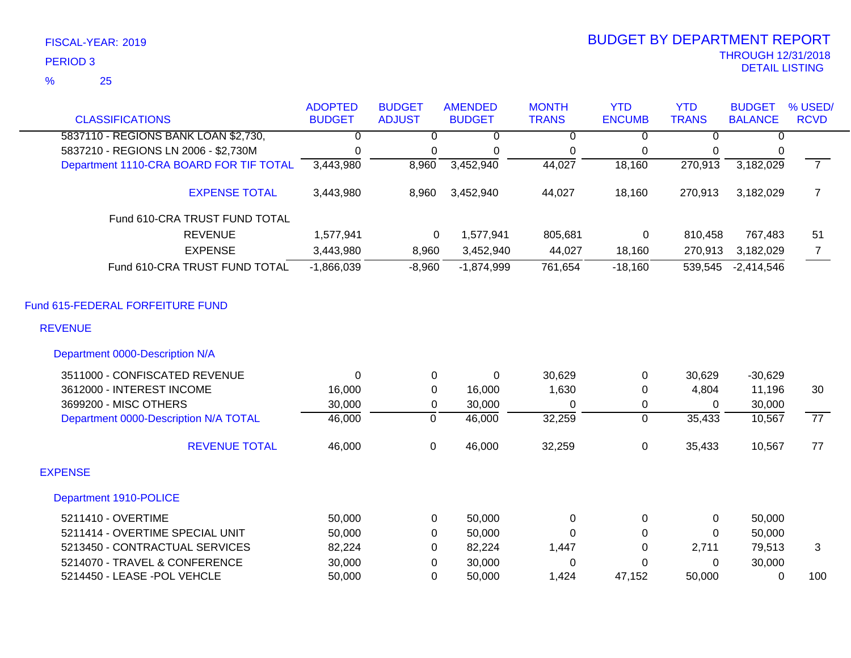| <b>CLASSIFICATIONS</b>                                                          | <b>ADOPTED</b><br><b>BUDGET</b> | <b>BUDGET</b><br><b>ADJUST</b> | <b>AMENDED</b><br><b>BUDGET</b> | <b>MONTH</b><br><b>TRANS</b> | <b>YTD</b><br><b>ENCUMB</b> | <b>YTD</b><br><b>TRANS</b> | <b>BUDGET</b><br><b>BALANCE</b> | % USED/<br><b>RCVD</b> |
|---------------------------------------------------------------------------------|---------------------------------|--------------------------------|---------------------------------|------------------------------|-----------------------------|----------------------------|---------------------------------|------------------------|
|                                                                                 |                                 |                                |                                 |                              |                             |                            |                                 |                        |
| 5837110 - REGIONS BANK LOAN \$2,730,                                            | 0                               | 0                              | 0                               | $\overline{0}$               | 0                           | 0                          | 0                               |                        |
| 5837210 - REGIONS LN 2006 - \$2,730M<br>Department 1110-CRA BOARD FOR TIF TOTAL | 0<br>3,443,980                  | 0<br>8,960                     | 0<br>3,452,940                  | 0<br>44,027                  | 0<br>18,160                 | 0<br>270,913               | 0<br>3,182,029                  | $\overline{7}$         |
|                                                                                 |                                 |                                |                                 |                              |                             |                            |                                 |                        |
| <b>EXPENSE TOTAL</b>                                                            | 3,443,980                       | 8,960                          | 3,452,940                       | 44,027                       | 18,160                      | 270,913                    | 3,182,029                       | $\overline{7}$         |
| Fund 610-CRA TRUST FUND TOTAL                                                   |                                 |                                |                                 |                              |                             |                            |                                 |                        |
| <b>REVENUE</b>                                                                  | 1,577,941                       | 0                              | 1,577,941                       | 805,681                      | 0                           | 810,458                    | 767,483                         | 51                     |
| <b>EXPENSE</b>                                                                  | 3,443,980                       | 8,960                          | 3,452,940                       | 44,027                       | 18,160                      | 270,913                    | 3,182,029                       | $\overline{7}$         |
| Fund 610-CRA TRUST FUND TOTAL                                                   | $-1,866,039$                    | $-8,960$                       | $-1,874,999$                    | 761,654                      | $-18,160$                   | 539,545                    | $-2,414,546$                    |                        |
| Fund 615-FEDERAL FORFEITURE FUND                                                |                                 |                                |                                 |                              |                             |                            |                                 |                        |
| <b>REVENUE</b>                                                                  |                                 |                                |                                 |                              |                             |                            |                                 |                        |
| Department 0000-Description N/A                                                 |                                 |                                |                                 |                              |                             |                            |                                 |                        |
| 3511000 - CONFISCATED REVENUE                                                   | $\Omega$                        | 0                              | $\mathbf 0$                     | 30,629                       | 0                           | 30,629                     | $-30,629$                       |                        |
| 3612000 - INTEREST INCOME                                                       | 16,000                          | 0                              | 16,000                          | 1,630                        | 0                           | 4,804                      | 11,196                          | 30                     |
| 3699200 - MISC OTHERS                                                           | 30,000                          | 0                              | 30,000                          | 0                            | 0                           | $\Omega$                   | 30,000                          |                        |
| Department 0000-Description N/A TOTAL                                           | 46,000                          | $\overline{0}$                 | 46,000                          | 32,259                       | $\overline{0}$              | 35,433                     | 10,567                          | $\overline{77}$        |
| <b>REVENUE TOTAL</b>                                                            | 46,000                          | $\mathbf 0$                    | 46,000                          | 32,259                       | 0                           | 35,433                     | 10,567                          | 77                     |
| <b>EXPENSE</b>                                                                  |                                 |                                |                                 |                              |                             |                            |                                 |                        |
| Department 1910-POLICE                                                          |                                 |                                |                                 |                              |                             |                            |                                 |                        |
| 5211410 - OVERTIME                                                              | 50,000                          | 0                              | 50,000                          | 0                            | 0                           | 0                          | 50,000                          |                        |
| 5211414 - OVERTIME SPECIAL UNIT                                                 | 50,000                          | 0                              | 50,000                          | $\Omega$                     | 0                           | $\Omega$                   | 50,000                          |                        |
| 5213450 - CONTRACTUAL SERVICES                                                  | 82,224                          | 0                              | 82,224                          | 1,447                        | $\Omega$                    | 2,711                      | 79,513                          | 3                      |
| 5214070 - TRAVEL & CONFERENCE                                                   | 30,000                          | $\mathbf 0$                    | 30,000                          | 0                            | $\Omega$                    | $\mathbf 0$                | 30,000                          |                        |
| 5214450 - LEASE -POL VEHCLE                                                     | 50,000                          | $\Omega$                       | 50,000                          | 1,424                        | 47,152                      | 50,000                     | $\Omega$                        | 100                    |